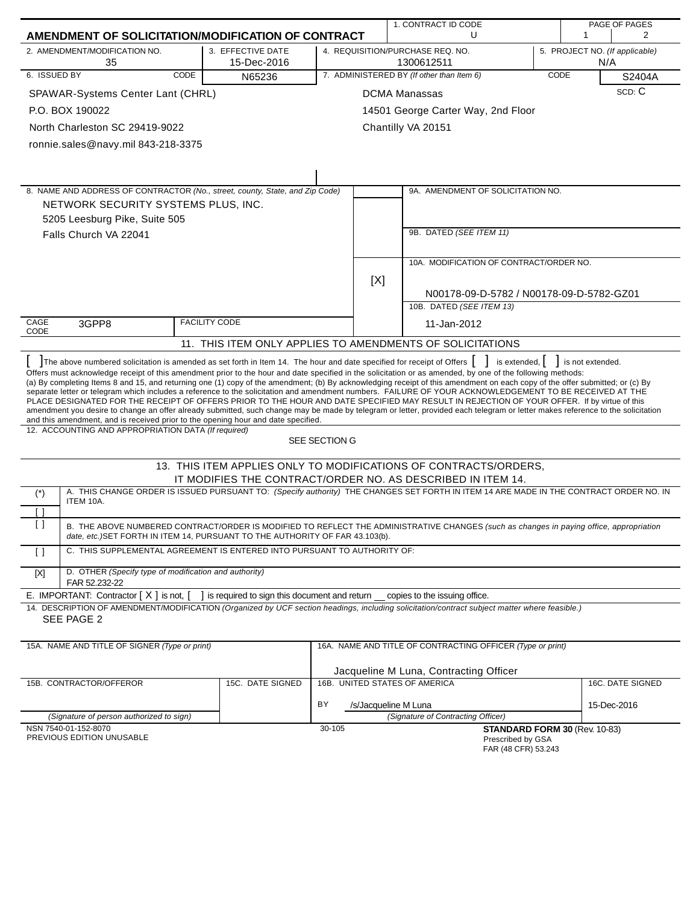|                                                                                                                                          |                                                                                                                                                                                                                                                                                                                                                                                                                                                                                                                                                                                                                                                                                                                                                                                                                                                                                                                             |                                  | 1. CONTRACT ID CODE | PAGE OF PAGES                                                                   |              |                                       |                  |  |
|------------------------------------------------------------------------------------------------------------------------------------------|-----------------------------------------------------------------------------------------------------------------------------------------------------------------------------------------------------------------------------------------------------------------------------------------------------------------------------------------------------------------------------------------------------------------------------------------------------------------------------------------------------------------------------------------------------------------------------------------------------------------------------------------------------------------------------------------------------------------------------------------------------------------------------------------------------------------------------------------------------------------------------------------------------------------------------|----------------------------------|---------------------|---------------------------------------------------------------------------------|--------------|---------------------------------------|------------------|--|
|                                                                                                                                          | AMENDMENT OF SOLICITATION/MODIFICATION OF CONTRACT                                                                                                                                                                                                                                                                                                                                                                                                                                                                                                                                                                                                                                                                                                                                                                                                                                                                          |                                  |                     | U                                                                               | 1            | 2                                     |                  |  |
|                                                                                                                                          | 2. AMENDMENT/MODIFICATION NO.<br>35                                                                                                                                                                                                                                                                                                                                                                                                                                                                                                                                                                                                                                                                                                                                                                                                                                                                                         | 3. EFFECTIVE DATE<br>15-Dec-2016 |                     | 4. REQUISITION/PURCHASE REQ. NO.<br>1300612511                                  |              | 5. PROJECT NO. (If applicable)<br>N/A |                  |  |
| 6. ISSUED BY                                                                                                                             | CODE                                                                                                                                                                                                                                                                                                                                                                                                                                                                                                                                                                                                                                                                                                                                                                                                                                                                                                                        | N65236                           |                     | 7. ADMINISTERED BY (If other than Item 6)                                       |              | CODE                                  | S2404A           |  |
|                                                                                                                                          | SPAWAR-Systems Center Lant (CHRL)                                                                                                                                                                                                                                                                                                                                                                                                                                                                                                                                                                                                                                                                                                                                                                                                                                                                                           |                                  |                     | <b>DCMA Manassas</b>                                                            |              |                                       | SCD: C           |  |
|                                                                                                                                          | P.O. BOX 190022                                                                                                                                                                                                                                                                                                                                                                                                                                                                                                                                                                                                                                                                                                                                                                                                                                                                                                             |                                  |                     | 14501 George Carter Way, 2nd Floor                                              |              |                                       |                  |  |
|                                                                                                                                          | North Charleston SC 29419-9022                                                                                                                                                                                                                                                                                                                                                                                                                                                                                                                                                                                                                                                                                                                                                                                                                                                                                              |                                  |                     | Chantilly VA 20151                                                              |              |                                       |                  |  |
|                                                                                                                                          | ronnie.sales@navy.mil 843-218-3375                                                                                                                                                                                                                                                                                                                                                                                                                                                                                                                                                                                                                                                                                                                                                                                                                                                                                          |                                  |                     |                                                                                 |              |                                       |                  |  |
|                                                                                                                                          |                                                                                                                                                                                                                                                                                                                                                                                                                                                                                                                                                                                                                                                                                                                                                                                                                                                                                                                             |                                  |                     |                                                                                 |              |                                       |                  |  |
|                                                                                                                                          |                                                                                                                                                                                                                                                                                                                                                                                                                                                                                                                                                                                                                                                                                                                                                                                                                                                                                                                             |                                  |                     |                                                                                 |              |                                       |                  |  |
|                                                                                                                                          | 8. NAME AND ADDRESS OF CONTRACTOR (No., street, county, State, and Zip Code)                                                                                                                                                                                                                                                                                                                                                                                                                                                                                                                                                                                                                                                                                                                                                                                                                                                |                                  |                     | 9A. AMENDMENT OF SOLICITATION NO.                                               |              |                                       |                  |  |
|                                                                                                                                          | NETWORK SECURITY SYSTEMS PLUS, INC.                                                                                                                                                                                                                                                                                                                                                                                                                                                                                                                                                                                                                                                                                                                                                                                                                                                                                         |                                  |                     |                                                                                 |              |                                       |                  |  |
|                                                                                                                                          | 5205 Leesburg Pike, Suite 505                                                                                                                                                                                                                                                                                                                                                                                                                                                                                                                                                                                                                                                                                                                                                                                                                                                                                               |                                  |                     |                                                                                 |              |                                       |                  |  |
|                                                                                                                                          | Falls Church VA 22041                                                                                                                                                                                                                                                                                                                                                                                                                                                                                                                                                                                                                                                                                                                                                                                                                                                                                                       |                                  |                     | 9B. DATED (SEE ITEM 11)                                                         |              |                                       |                  |  |
|                                                                                                                                          |                                                                                                                                                                                                                                                                                                                                                                                                                                                                                                                                                                                                                                                                                                                                                                                                                                                                                                                             |                                  |                     |                                                                                 |              |                                       |                  |  |
|                                                                                                                                          |                                                                                                                                                                                                                                                                                                                                                                                                                                                                                                                                                                                                                                                                                                                                                                                                                                                                                                                             |                                  |                     | 10A. MODIFICATION OF CONTRACT/ORDER NO.                                         |              |                                       |                  |  |
|                                                                                                                                          |                                                                                                                                                                                                                                                                                                                                                                                                                                                                                                                                                                                                                                                                                                                                                                                                                                                                                                                             |                                  |                     | [X]                                                                             |              |                                       |                  |  |
|                                                                                                                                          |                                                                                                                                                                                                                                                                                                                                                                                                                                                                                                                                                                                                                                                                                                                                                                                                                                                                                                                             |                                  |                     | N00178-09-D-5782 / N00178-09-D-5782-GZ01                                        |              |                                       |                  |  |
|                                                                                                                                          |                                                                                                                                                                                                                                                                                                                                                                                                                                                                                                                                                                                                                                                                                                                                                                                                                                                                                                                             |                                  |                     | 10B. DATED (SEE ITEM 13)                                                        |              |                                       |                  |  |
| CAGE                                                                                                                                     | 3GPP8                                                                                                                                                                                                                                                                                                                                                                                                                                                                                                                                                                                                                                                                                                                                                                                                                                                                                                                       | <b>FACILITY CODE</b>             |                     | 11-Jan-2012                                                                     |              |                                       |                  |  |
| CODE                                                                                                                                     |                                                                                                                                                                                                                                                                                                                                                                                                                                                                                                                                                                                                                                                                                                                                                                                                                                                                                                                             |                                  |                     | 11. THIS ITEM ONLY APPLIES TO AMENDMENTS OF SOLICITATIONS                       |              |                                       |                  |  |
|                                                                                                                                          | The above numbered solicitation is amended as set forth in Item 14. The hour and date specified for receipt of Offers                                                                                                                                                                                                                                                                                                                                                                                                                                                                                                                                                                                                                                                                                                                                                                                                       |                                  |                     |                                                                                 | is extended, | is not extended.                      |                  |  |
|                                                                                                                                          | Offers must acknowledge receipt of this amendment prior to the hour and date specified in the solicitation or as amended, by one of the following methods:<br>(a) By completing Items 8 and 15, and returning one (1) copy of the amendment; (b) By acknowledging receipt of this amendment on each copy of the offer submitted; or (c) By<br>separate letter or telegram which includes a reference to the solicitation and amendment numbers. FAILURE OF YOUR ACKNOWLEDGEMENT TO BE RECEIVED AT THE<br>PLACE DESIGNATED FOR THE RECEIPT OF OFFERS PRIOR TO THE HOUR AND DATE SPECIFIED MAY RESULT IN REJECTION OF YOUR OFFER. If by virtue of this<br>amendment you desire to change an offer already submitted, such change may be made by telegram or letter, provided each telegram or letter makes reference to the solicitation<br>and this amendment, and is received prior to the opening hour and date specified. |                                  |                     |                                                                                 |              |                                       |                  |  |
|                                                                                                                                          | 12. ACCOUNTING AND APPROPRIATION DATA (If required)                                                                                                                                                                                                                                                                                                                                                                                                                                                                                                                                                                                                                                                                                                                                                                                                                                                                         |                                  | SEE SECTION G       |                                                                                 |              |                                       |                  |  |
|                                                                                                                                          |                                                                                                                                                                                                                                                                                                                                                                                                                                                                                                                                                                                                                                                                                                                                                                                                                                                                                                                             |                                  |                     | 13. THIS ITEM APPLIES ONLY TO MODIFICATIONS OF CONTRACTS/ORDERS,                |              |                                       |                  |  |
|                                                                                                                                          |                                                                                                                                                                                                                                                                                                                                                                                                                                                                                                                                                                                                                                                                                                                                                                                                                                                                                                                             |                                  |                     | IT MODIFIES THE CONTRACT/ORDER NO. AS DESCRIBED IN ITEM 14.                     |              |                                       |                  |  |
| $(*)$                                                                                                                                    | A. THIS CHANGE ORDER IS ISSUED PURSUANT TO: (Specify authority) THE CHANGES SET FORTH IN ITEM 14 ARE MADE IN THE CONTRACT ORDER NO. IN                                                                                                                                                                                                                                                                                                                                                                                                                                                                                                                                                                                                                                                                                                                                                                                      |                                  |                     |                                                                                 |              |                                       |                  |  |
| ſΙ                                                                                                                                       | ITEM 10A.                                                                                                                                                                                                                                                                                                                                                                                                                                                                                                                                                                                                                                                                                                                                                                                                                                                                                                                   |                                  |                     |                                                                                 |              |                                       |                  |  |
| ſ 1                                                                                                                                      | B. THE ABOVE NUMBERED CONTRACT/ORDER IS MODIFIED TO REFLECT THE ADMINISTRATIVE CHANGES (such as changes in paving office, appropriation<br>date, etc.)SET FORTH IN ITEM 14, PURSUANT TO THE AUTHORITY OF FAR 43.103(b).                                                                                                                                                                                                                                                                                                                                                                                                                                                                                                                                                                                                                                                                                                     |                                  |                     |                                                                                 |              |                                       |                  |  |
| $\lceil$ $\rceil$                                                                                                                        | C. THIS SUPPLEMENTAL AGREEMENT IS ENTERED INTO PURSUANT TO AUTHORITY OF:                                                                                                                                                                                                                                                                                                                                                                                                                                                                                                                                                                                                                                                                                                                                                                                                                                                    |                                  |                     |                                                                                 |              |                                       |                  |  |
| $[{\sf X}]$                                                                                                                              | D. OTHER (Specify type of modification and authority)<br>FAR 52.232-22                                                                                                                                                                                                                                                                                                                                                                                                                                                                                                                                                                                                                                                                                                                                                                                                                                                      |                                  |                     |                                                                                 |              |                                       |                  |  |
|                                                                                                                                          | E. IMPORTANT: Contractor $[X]$ is not, $[$                                                                                                                                                                                                                                                                                                                                                                                                                                                                                                                                                                                                                                                                                                                                                                                                                                                                                  |                                  |                     | ] is required to sign this document and return __ copies to the issuing office. |              |                                       |                  |  |
|                                                                                                                                          | 14. DESCRIPTION OF AMENDMENT/MODIFICATION (Organized by UCF section headings, including solicitation/contract subject matter where feasible.)                                                                                                                                                                                                                                                                                                                                                                                                                                                                                                                                                                                                                                                                                                                                                                               |                                  |                     |                                                                                 |              |                                       |                  |  |
|                                                                                                                                          | SEE PAGE 2                                                                                                                                                                                                                                                                                                                                                                                                                                                                                                                                                                                                                                                                                                                                                                                                                                                                                                                  |                                  |                     |                                                                                 |              |                                       |                  |  |
|                                                                                                                                          | 15A. NAME AND TITLE OF SIGNER (Type or print)                                                                                                                                                                                                                                                                                                                                                                                                                                                                                                                                                                                                                                                                                                                                                                                                                                                                               |                                  |                     | 16A. NAME AND TITLE OF CONTRACTING OFFICER (Type or print)                      |              |                                       |                  |  |
|                                                                                                                                          |                                                                                                                                                                                                                                                                                                                                                                                                                                                                                                                                                                                                                                                                                                                                                                                                                                                                                                                             |                                  |                     |                                                                                 |              |                                       |                  |  |
|                                                                                                                                          | 15B. CONTRACTOR/OFFEROR                                                                                                                                                                                                                                                                                                                                                                                                                                                                                                                                                                                                                                                                                                                                                                                                                                                                                                     | 15C. DATE SIGNED                 |                     | Jacqueline M Luna, Contracting Officer<br>16B. UNITED STATES OF AMERICA         |              |                                       | 16C. DATE SIGNED |  |
|                                                                                                                                          |                                                                                                                                                                                                                                                                                                                                                                                                                                                                                                                                                                                                                                                                                                                                                                                                                                                                                                                             |                                  |                     |                                                                                 |              |                                       |                  |  |
|                                                                                                                                          |                                                                                                                                                                                                                                                                                                                                                                                                                                                                                                                                                                                                                                                                                                                                                                                                                                                                                                                             |                                  | BY                  | /s/Jacqueline M Luna<br>15-Dec-2016                                             |              |                                       |                  |  |
|                                                                                                                                          | (Signature of person authorized to sign)                                                                                                                                                                                                                                                                                                                                                                                                                                                                                                                                                                                                                                                                                                                                                                                                                                                                                    |                                  |                     | (Signature of Contracting Officer)                                              |              |                                       |                  |  |
| NSN 7540-01-152-8070<br>30-105<br>STANDARD FORM 30 (Rev. 10-83)<br>PREVIOUS EDITION UNUSABLE<br>Prescribed by GSA<br>FAR (48 CFR) 53.243 |                                                                                                                                                                                                                                                                                                                                                                                                                                                                                                                                                                                                                                                                                                                                                                                                                                                                                                                             |                                  |                     |                                                                                 |              |                                       |                  |  |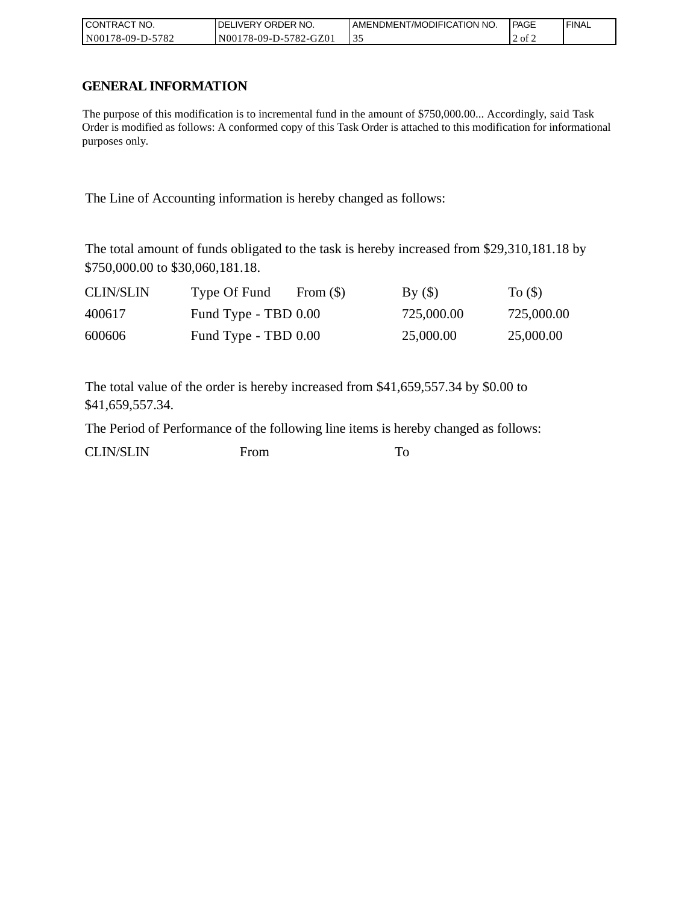| CONTRACT<br>T NO. | DELIVERY ORDER NO.    | AMENDMENT/MODIFICATION NO. | l PAGE | ' FINAL |
|-------------------|-----------------------|----------------------------|--------|---------|
| N00178-09-D-5782  | N00178-09-D-5782-GZ01 |                            | 2 of 2 |         |

## **GENERAL INFORMATION**

The purpose of this modification is to incremental fund in the amount of \$750,000.00... Accordingly, said Task Order is modified as follows: A conformed copy of this Task Order is attached to this modification for informational purposes only.

The Line of Accounting information is hereby changed as follows:

The total amount of funds obligated to the task is hereby increased from \$29,310,181.18 by \$750,000.00 to \$30,060,181.18.

| <b>CLIN/SLIN</b> | Type Of Fund         | From $(\$)$ | By()       | To $($ )   |
|------------------|----------------------|-------------|------------|------------|
| 400617           | Fund Type - TBD 0.00 |             | 725,000.00 | 725,000.00 |
| 600606           | Fund Type - TBD 0.00 |             | 25,000.00  | 25,000.00  |

The total value of the order is hereby increased from \$41,659,557.34 by \$0.00 to \$41,659,557.34.

The Period of Performance of the following line items is hereby changed as follows: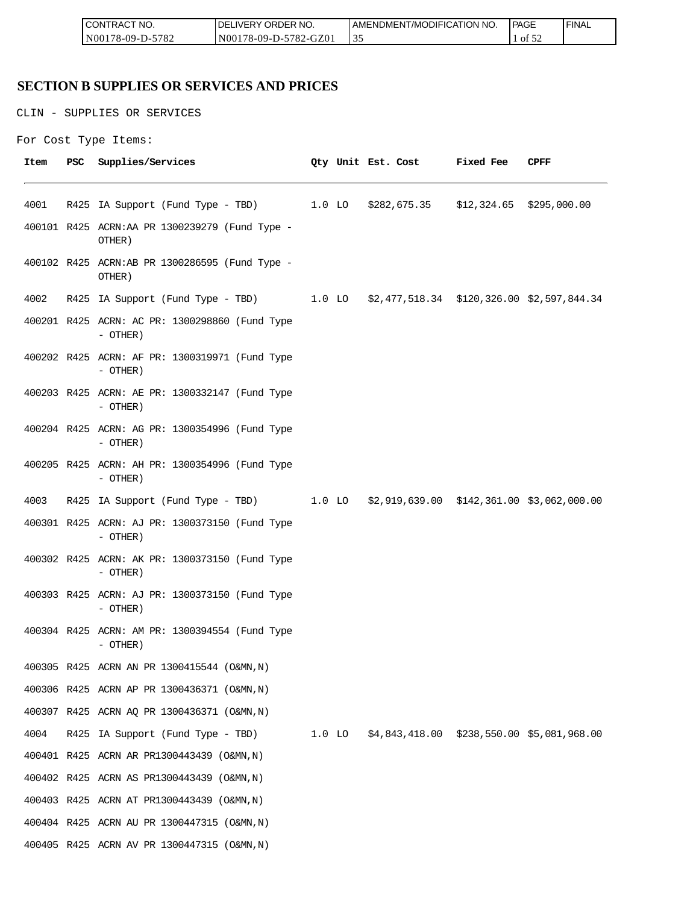| <b>CONT</b><br>CT NO.<br>TRAC'             | ORDER<br>NO.<br><b>IVERY</b><br>ΩF    | AMENDMENT/MODIFICATION NO.     | <b>PAGE</b> | <b>FINAL</b> |
|--------------------------------------------|---------------------------------------|--------------------------------|-------------|--------------|
| $-5782$<br>N001<br>78-09-L<br>$\mathbf{L}$ | 5782<br>2-GZ01<br>N001<br>$18-09-D-5$ | $\sim$ $\sim$<br>$\mathcal{L}$ | Οİ          |              |

## **SECTION B SUPPLIES OR SERVICES AND PRICES**

CLIN - SUPPLIES OR SERVICES

```
For Cost Type Items:
```

| Item | PSC | Supplies/Services                                                                   |  |  | Qty Unit Est. Cost Fixed Fee | CPFF |
|------|-----|-------------------------------------------------------------------------------------|--|--|------------------------------|------|
| 4001 |     | R425 IA Support (Fund Type - TBD) 1.0 LO \$282,675.35 \$12,324.65 \$295,000.00      |  |  |                              |      |
|      |     | 400101 R425 ACRN:AA PR 1300239279 (Fund Type -<br>OTHER)                            |  |  |                              |      |
|      |     | 400102 R425 ACRN:AB PR 1300286595 (Fund Type -<br>OTHER)                            |  |  |                              |      |
| 4002 |     | R425 IA Support (Fund Type - TBD) 1.0 LO \$2,477,518.34 \$120,326.00 \$2,597,844.34 |  |  |                              |      |
|      |     | 400201 R425 ACRN: AC PR: 1300298860 (Fund Type<br>- OTHER)                          |  |  |                              |      |
|      |     | 400202 R425 ACRN: AF PR: 1300319971 (Fund Type<br>$-$ OTHER)                        |  |  |                              |      |
|      |     | 400203 R425 ACRN: AE PR: 1300332147 (Fund Type<br>$-$ OTHER)                        |  |  |                              |      |
|      |     | 400204 R425 ACRN: AG PR: 1300354996 (Fund Type<br>$-$ OTHER)                        |  |  |                              |      |
|      |     | 400205 R425 ACRN: AH PR: 1300354996 (Fund Type<br>$-$ OTHER)                        |  |  |                              |      |
| 4003 |     | R425 IA Support (Fund Type - TBD) 1.0 LO \$2,919,639.00 \$142,361.00 \$3,062,000.00 |  |  |                              |      |
|      |     | 400301 R425 ACRN: AJ PR: 1300373150 (Fund Type<br>$-$ OTHER)                        |  |  |                              |      |
|      |     | 400302 R425 ACRN: AK PR: 1300373150 (Fund Type<br>$-$ OTHER)                        |  |  |                              |      |
|      |     | 400303 R425 ACRN: AJ PR: 1300373150 (Fund Type<br>- OTHER)                          |  |  |                              |      |
|      |     | 400304 R425 ACRN: AM PR: 1300394554 (Fund Type<br>- OTHER)                          |  |  |                              |      |
|      |     | 400305 R425 ACRN AN PR 1300415544 (O&MN, N)                                         |  |  |                              |      |
|      |     | 400306 R425 ACRN AP PR 1300436371 (O&MN, N)                                         |  |  |                              |      |
|      |     | 400307 R425 ACRN AQ PR 1300436371 (O&MN, N)                                         |  |  |                              |      |
| 4004 |     | R425 IA Support (Fund Type - TBD) 1.0 LO \$4,843,418.00 \$238,550.00 \$5,081,968.00 |  |  |                              |      |
|      |     | 400401 R425 ACRN AR PR1300443439 (O&MN, N)                                          |  |  |                              |      |
|      |     | 400402 R425 ACRN AS PR1300443439 (O&MN, N)                                          |  |  |                              |      |
|      |     | 400403 R425 ACRN AT PR1300443439 (O&MN, N)                                          |  |  |                              |      |
|      |     | 400404 R425 ACRN AU PR 1300447315 (O&MN, N)                                         |  |  |                              |      |
|      |     | 400405 R425 ACRN AV PR 1300447315 (O&MN, N)                                         |  |  |                              |      |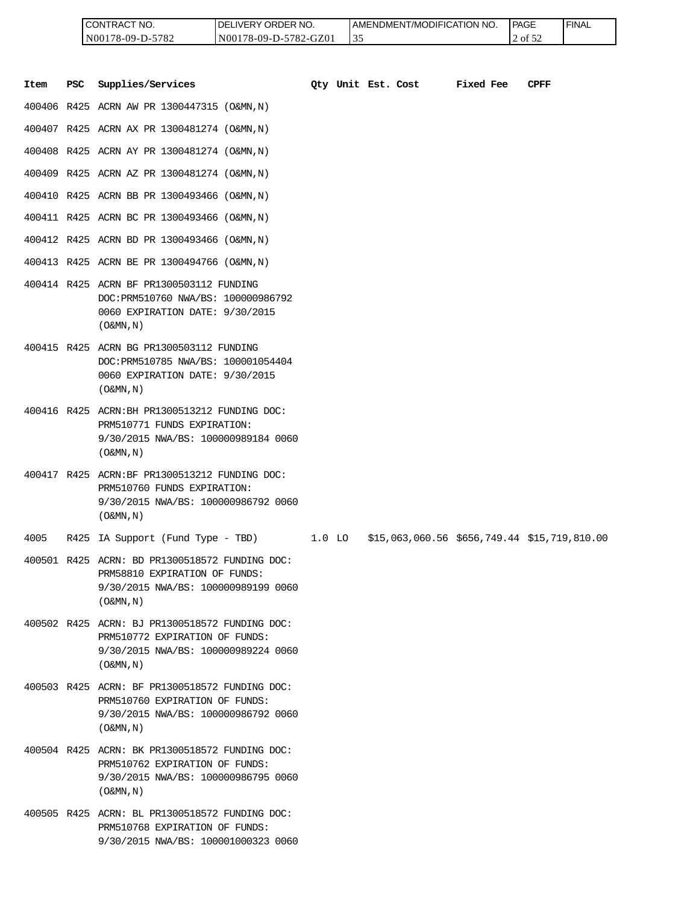| I CONTRACT NO.     | <b>IDELIVERY ORDER NO.</b> | I AMENDMENT/MODIFICATION NO. | l PAGE  | ' FINAL |
|--------------------|----------------------------|------------------------------|---------|---------|
| $N00178-09-D-5782$ | N00178-09-D-5782-GZ01      | -35                          | 2 of 52 |         |

|      |            | CONTRACT NO.<br>N00178-09-D-5782                                                                                                                      | DELIVERY ORDER NO.<br>N00178-09-D-5782-GZ01 |        | 35 |                    | AMENDMENT/MODIFICATION NO.                   |           | <b>PAGE</b><br>2 of 52 | <b>FINAL</b> |
|------|------------|-------------------------------------------------------------------------------------------------------------------------------------------------------|---------------------------------------------|--------|----|--------------------|----------------------------------------------|-----------|------------------------|--------------|
| Item | <b>PSC</b> | Supplies/Services                                                                                                                                     |                                             |        |    | Oty Unit Est. Cost |                                              | Fixed Fee | <b>CPFF</b>            |              |
|      |            | 400406 R425 ACRN AW PR 1300447315 (O&MN, N)                                                                                                           |                                             |        |    |                    |                                              |           |                        |              |
|      |            | 400407 R425 ACRN AX PR 1300481274 (O&MN, N)                                                                                                           |                                             |        |    |                    |                                              |           |                        |              |
|      |            | 400408 R425 ACRN AY PR 1300481274 (O&MN, N)                                                                                                           |                                             |        |    |                    |                                              |           |                        |              |
|      |            | 400409 R425 ACRN AZ PR 1300481274 (O&MN, N)                                                                                                           |                                             |        |    |                    |                                              |           |                        |              |
|      |            | 400410 R425 ACRN BB PR 1300493466 (O&MN, N)                                                                                                           |                                             |        |    |                    |                                              |           |                        |              |
|      |            | 400411 R425 ACRN BC PR 1300493466 (O&MN, N)                                                                                                           |                                             |        |    |                    |                                              |           |                        |              |
|      |            | 400412 R425 ACRN BD PR 1300493466 (O&MN, N)                                                                                                           |                                             |        |    |                    |                                              |           |                        |              |
|      |            | 400413 R425 ACRN BE PR 1300494766 (O&MN, N)                                                                                                           |                                             |        |    |                    |                                              |           |                        |              |
|      |            | 400414 R425 ACRN BF PR1300503112 FUNDING<br>DOC: PRM510760 NWA/BS: 100000986792<br>0060 EXPIRATION DATE: 9/30/2015<br>$($ O&MN, $N$ $)$               |                                             |        |    |                    |                                              |           |                        |              |
|      |            | 400415 R425 ACRN BG PR1300503112 FUNDING<br>DOC: PRM510785 NWA/BS: 100001054404<br>0060 EXPIRATION DATE: 9/30/2015<br>$($ O&MN, $N$ $)$               |                                             |        |    |                    |                                              |           |                        |              |
|      |            | 400416 R425 ACRN: BH PR1300513212 FUNDING DOC:<br>PRM510771 FUNDS EXPIRATION:<br>9/30/2015 NWA/BS: 100000989184 0060<br>$($ O&MN, $N$ $)$             |                                             |        |    |                    |                                              |           |                        |              |
|      |            | 400417 R425 ACRN:BF PR1300513212 FUNDING DOC:<br>PRM510760 FUNDS EXPIRATION:<br>9/30/2015 NWA/BS: 100000986792 0060<br>$($ O&MN, N)                   |                                             |        |    |                    |                                              |           |                        |              |
| 4005 |            | R425 IA Support (Fund Type - TBD)                                                                                                                     |                                             | 1.0 LO |    |                    | \$15,063,060.56 \$656,749.44 \$15,719,810.00 |           |                        |              |
|      |            | 400501 R425 ACRN: BD PR1300518572 FUNDING DOC:<br>PRM58810 EXPIRATION OF FUNDS:<br>9/30/2015 NWA/BS: 100000989199 0060<br>$($ O&MN, N)                |                                             |        |    |                    |                                              |           |                        |              |
|      |            | 400502 R425 ACRN: BJ PR1300518572 FUNDING DOC:<br>PRM510772 EXPIRATION OF FUNDS:<br>9/30/2015 NWA/BS: 100000989224 0060<br>$($ O&MN, $\overline{N}$ ) |                                             |        |    |                    |                                              |           |                        |              |
|      |            | 400503 R425 ACRN: BF PR1300518572 FUNDING DOC:<br>PRM510760 EXPIRATION OF FUNDS:<br>9/30/2015 NWA/BS: 100000986792 0060<br>$($ O&MN, N)               |                                             |        |    |                    |                                              |           |                        |              |
|      |            | 400504 R425 ACRN: BK PR1300518572 FUNDING DOC:<br>PRM510762 EXPIRATION OF FUNDS:<br>9/30/2015 NWA/BS: 100000986795 0060<br>$($ O&MN, N)               |                                             |        |    |                    |                                              |           |                        |              |
|      |            | 400505 R425 ACRN: BL PR1300518572 FUNDING DOC:<br>PRM510768 EXPIRATION OF FUNDS:<br>9/30/2015 NWA/BS: 100001000323 0060                               |                                             |        |    |                    |                                              |           |                        |              |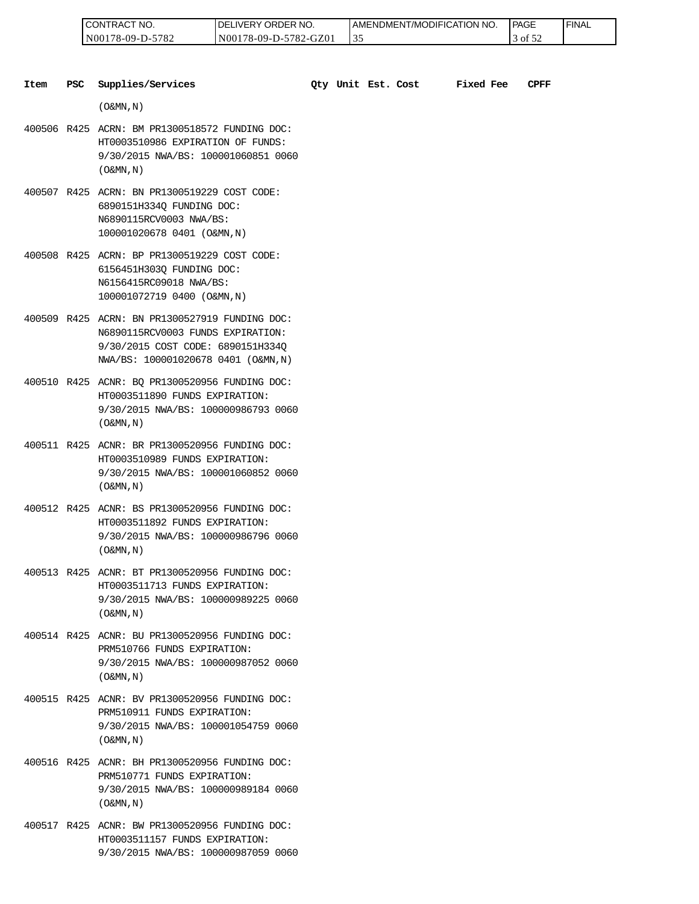| 'NO.<br><b>CONT</b><br>TRAC                      | ORDER NO.<br>IVERY<br>эF                    | AMENDMENT/MODIFICATION NO. | <b>PAGE</b>       | <b>FINAL</b> |
|--------------------------------------------------|---------------------------------------------|----------------------------|-------------------|--------------|
| 5700<br>N <sub>00</sub><br>$78-09-L$<br>⊿ '<br>. | $782 - C$<br>GZ01<br>N00<br>$18 - 09 - D -$ | $\sim$ $\sim$<br>33        | $\sim$<br>of $52$ |              |

| Item | <b>PSC</b> | Supplies/Services                                                                                                                                              |  |  | Oty Unit Est. Cost Fixed Fee | CPFF |
|------|------------|----------------------------------------------------------------------------------------------------------------------------------------------------------------|--|--|------------------------------|------|
|      |            | $($ O&MN, N)                                                                                                                                                   |  |  |                              |      |
|      |            | 400506 R425 ACRN: BM PR1300518572 FUNDING DOC:<br>HT0003510986 EXPIRATION OF FUNDS:<br>9/30/2015 NWA/BS: 100001060851 0060<br>$($ O&MN, $\overline{N}$ )       |  |  |                              |      |
|      |            | 400507 R425 ACRN: BN PR1300519229 COST CODE:<br>6890151H334Q FUNDING DOC:<br>N6890115RCV0003 NWA/BS:<br>100001020678 0401 (O&MN, N)                            |  |  |                              |      |
|      |            | 400508 R425 ACRN: BP PR1300519229 COST CODE:<br>6156451H303Q FUNDING DOC:<br>N6156415RC09018 NWA/BS:<br>100001072719 0400 (O&MN, N)                            |  |  |                              |      |
|      |            | 400509 R425 ACRN: BN PR1300527919 FUNDING DOC:<br>N6890115RCV0003 FUNDS EXPIRATION:<br>9/30/2015 COST CODE: 6890151H334Q<br>NWA/BS: 100001020678 0401 (O&MN,N) |  |  |                              |      |
|      |            | 400510 R425 ACNR: BO PR1300520956 FUNDING DOC:<br>HT0003511890 FUNDS EXPIRATION:<br>9/30/2015 NWA/BS: 100000986793 0060<br>$($ O&MN, $\overline{N}$ )          |  |  |                              |      |
|      |            | 400511 R425 ACNR: BR PR1300520956 FUNDING DOC:<br>HT0003510989 FUNDS EXPIRATION:<br>9/30/2015 NWA/BS: 100001060852 0060<br>$($ O&MN, N)                        |  |  |                              |      |
|      |            | 400512 R425 ACNR: BS PR1300520956 FUNDING DOC:<br>HT0003511892 FUNDS EXPIRATION:<br>9/30/2015 NWA/BS: 100000986796 0060<br>$($ O&MN, N)                        |  |  |                              |      |
|      |            | 400513 R425 ACNR: BT PR1300520956 FUNDING DOC:<br>HT0003511713 FUNDS EXPIRATION:<br>9/30/2015 NWA/BS: 100000989225 0060<br>$($ O&MN, $N)$                      |  |  |                              |      |
|      |            | 400514 R425 ACNR: BU PR1300520956 FUNDING DOC:<br>PRM510766 FUNDS EXPIRATION:<br>9/30/2015 NWA/BS: 100000987052 0060<br>$($ O&MN, $\overline{N}$ )             |  |  |                              |      |
|      |            | 400515 R425 ACNR: BV PR1300520956 FUNDING DOC:<br>PRM510911 FUNDS EXPIRATION:<br>9/30/2015 NWA/BS: 100001054759 0060<br>$($ O&MN, N)                           |  |  |                              |      |
|      |            | 400516 R425 ACNR: BH PR1300520956 FUNDING DOC:<br>PRM510771 FUNDS EXPIRATION:<br>9/30/2015 NWA/BS: 100000989184 0060<br>$($ O&MN, N)                           |  |  |                              |      |

400517 R425 ACNR: BW PR1300520956 FUNDING DOC: HT0003511157 FUNDS EXPIRATION: 9/30/2015 NWA/BS: 100000987059 0060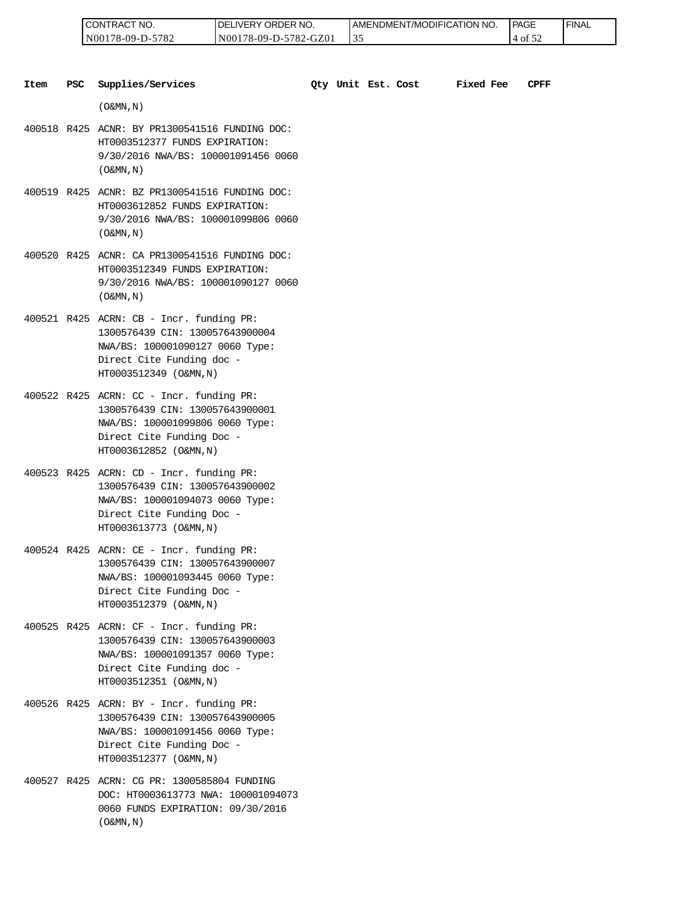| 'NO.<br>CONTRAC                    | ORDER NO.<br>ר.<br><b>IVERY</b>       | I AMENDMENT/MODIFICATION NO. | <b>PAGE</b><br>______ | <b>FINAL</b> |
|------------------------------------|---------------------------------------|------------------------------|-----------------------|--------------|
| 5700<br>N00<br>78-09-I<br>⊿ '<br>. | GZ0<br>N00<br>78-09-D-:<br>- 182<br>. | -33                          | ΟĪ<br>-24             |              |

| Item | <b>PSC</b> | Supplies/Services                                                                                                                                                     |  | Oty Unit Est. Cost | <b>Fixed Fee</b> | CPFF |
|------|------------|-----------------------------------------------------------------------------------------------------------------------------------------------------------------------|--|--------------------|------------------|------|
|      |            | $($ O&MN, N)                                                                                                                                                          |  |                    |                  |      |
|      |            | 400518 R425 ACNR: BY PR1300541516 FUNDING DOC:<br>HT0003512377 FUNDS EXPIRATION:<br>9/30/2016 NWA/BS: 100001091456 0060<br>$($ O&MN, N)                               |  |                    |                  |      |
|      |            | 400519 R425 ACNR: BZ PR1300541516 FUNDING DOC:<br>HT0003612852 FUNDS EXPIRATION:<br>9/30/2016 NWA/BS: 100001099806 0060<br>$($ O&MN, $N$ $)$                          |  |                    |                  |      |
|      |            | 400520 R425 ACNR: CA PR1300541516 FUNDING DOC:<br>HT0003512349 FUNDS EXPIRATION:<br>9/30/2016 NWA/BS: 100001090127 0060<br>$($ O&MN, N)                               |  |                    |                  |      |
|      |            | 400521 R425 ACRN: CB - Incr. funding PR:<br>1300576439 CIN: 130057643900004<br>NWA/BS: 100001090127 0060 Type:<br>Direct Cite Funding doc -<br>HT0003512349 (O&MN, N) |  |                    |                  |      |
|      |            | 400522 R425 ACRN: CC - Incr. funding PR:<br>1300576439 CIN: 130057643900001<br>NWA/BS: 100001099806 0060 Type:<br>Direct Cite Funding Doc -<br>HT0003612852 (O&MN, N) |  |                    |                  |      |
|      |            | 400523 R425 ACRN: CD - Incr. funding PR:<br>1300576439 CIN: 130057643900002<br>NWA/BS: 100001094073 0060 Type:<br>Direct Cite Funding Doc -<br>HT0003613773 (O&MN, N) |  |                    |                  |      |
|      |            | 400524 R425 ACRN: CE - Incr. funding PR:<br>1300576439 CIN: 130057643900007<br>NWA/BS: 100001093445 0060 Type:<br>Direct Cite Funding Doc -<br>HT0003512379 (O&MN, N) |  |                    |                  |      |
|      |            | 400525 R425 ACRN: CF - Incr. funding PR:<br>1300576439 CIN: 130057643900003<br>NWA/BS: 100001091357 0060 Type:<br>Direct Cite Funding doc -<br>HT0003512351 (O&MN, N) |  |                    |                  |      |
|      |            | 400526 R425 ACRN: BY - Incr. funding PR:<br>1300576439 CIN: 130057643900005<br>NWA/BS: 100001091456 0060 Type:<br>Direct Cite Funding Doc -<br>HT0003512377 (O&MN, N) |  |                    |                  |      |
|      |            | 400527 R425 ACRN: CG PR: 1300585804 FUNDING<br>DOC: HT0003613773 NWA: 100001094073<br>0060 FUNDS EXPIRATION: 09/30/2016                                               |  |                    |                  |      |

 $($  O&MN , N  $)$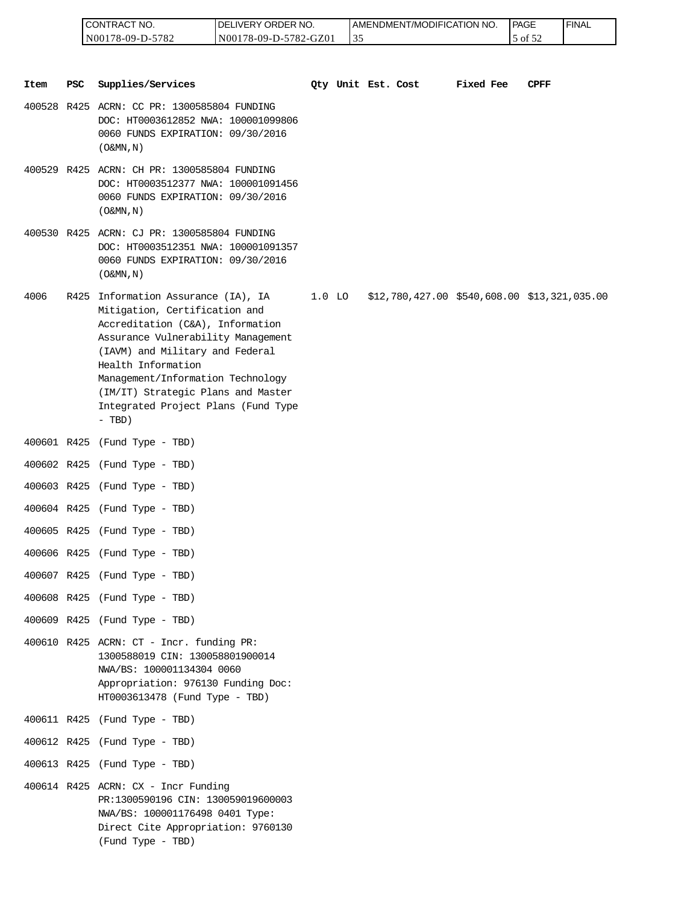| <b>ICONTRACT NO.</b> | <b>IDELIVERY ORDER NO.</b> | <b>I AMENDMENT/MODIFICATION NO.</b> | <b>IPAGE</b> | ' FINAL |
|----------------------|----------------------------|-------------------------------------|--------------|---------|
| N00178-09-D-5782     | N00178-09-D-5782-GZ01      | 35                                  | of 52        |         |

|      |            | CONTRACT NO.<br>N00178-09-D-5782                                                                                                                                                                                                                                                                                                 | DELIVERY ORDER NO.<br>N00178-09-D-5782-GZ01 |          | 35 | AMENDMENT/MODIFICATION NO.                      |           | PAGE<br>5 of 52 | <b>FINAL</b> |
|------|------------|----------------------------------------------------------------------------------------------------------------------------------------------------------------------------------------------------------------------------------------------------------------------------------------------------------------------------------|---------------------------------------------|----------|----|-------------------------------------------------|-----------|-----------------|--------------|
|      |            |                                                                                                                                                                                                                                                                                                                                  |                                             |          |    |                                                 |           |                 |              |
| Item | <b>PSC</b> | Supplies/Services                                                                                                                                                                                                                                                                                                                |                                             |          |    | Qty Unit Est. Cost                              | Fixed Fee | CPFF            |              |
|      |            | 400528 R425 ACRN: CC PR: 1300585804 FUNDING<br>DOC: HT0003612852 NWA: 100001099806<br>0060 FUNDS EXPIRATION: 09/30/2016<br>$($ O&MN, N)                                                                                                                                                                                          |                                             |          |    |                                                 |           |                 |              |
|      |            | 400529 R425 ACRN: CH PR: 1300585804 FUNDING<br>DOC: HT0003512377 NWA: 100001091456<br>0060 FUNDS EXPIRATION: 09/30/2016<br>$($ O&MN, N)                                                                                                                                                                                          |                                             |          |    |                                                 |           |                 |              |
|      |            | 400530 R425 ACRN: CJ PR: 1300585804 FUNDING<br>DOC: HT0003512351 NWA: 100001091357<br>0060 FUNDS EXPIRATION: 09/30/2016<br>$($ O&MN, $N$ $)$                                                                                                                                                                                     |                                             |          |    |                                                 |           |                 |              |
| 4006 | R425       | Information Assurance (IA), IA<br>Mitigation, Certification and<br>Accreditation (C&A), Information<br>Assurance Vulnerability Management<br>(IAVM) and Military and Federal<br>Health Information<br>Management/Information Technology<br>(IM/IT) Strategic Plans and Master<br>Integrated Project Plans (Fund Type<br>$- TBD)$ |                                             | $1.0$ LO |    | $$12,780,427.00$ $$540,608.00$ $$13,321,035.00$ |           |                 |              |
|      |            | 400601 R425 (Fund Type - TBD)                                                                                                                                                                                                                                                                                                    |                                             |          |    |                                                 |           |                 |              |
|      |            | 400602 R425 (Fund Type - TBD)                                                                                                                                                                                                                                                                                                    |                                             |          |    |                                                 |           |                 |              |
|      |            | 400603 R425 (Fund Type - TBD)                                                                                                                                                                                                                                                                                                    |                                             |          |    |                                                 |           |                 |              |
|      |            | 400604 R425 (Fund Type - TBD)                                                                                                                                                                                                                                                                                                    |                                             |          |    |                                                 |           |                 |              |
|      |            | 400605 R425 (Fund Type - TBD)                                                                                                                                                                                                                                                                                                    |                                             |          |    |                                                 |           |                 |              |
|      |            | 400606 R425 (Fund Type - TBD)                                                                                                                                                                                                                                                                                                    |                                             |          |    |                                                 |           |                 |              |
|      |            | 400607 R425 (Fund Type - TBD)                                                                                                                                                                                                                                                                                                    |                                             |          |    |                                                 |           |                 |              |
|      |            | 400608 R425 (Fund Type - TBD)                                                                                                                                                                                                                                                                                                    |                                             |          |    |                                                 |           |                 |              |
|      |            | 400609 R425 (Fund Type - TBD)                                                                                                                                                                                                                                                                                                    |                                             |          |    |                                                 |           |                 |              |
|      |            | 400610 R425 ACRN: CT - Incr. funding PR:<br>1300588019 CIN: 130058801900014<br>NWA/BS: 100001134304 0060<br>Appropriation: 976130 Funding Doc:<br>HT0003613478 (Fund Type - TBD)                                                                                                                                                 |                                             |          |    |                                                 |           |                 |              |
|      |            | 400611 R425 (Fund Type - TBD)                                                                                                                                                                                                                                                                                                    |                                             |          |    |                                                 |           |                 |              |
|      |            | 400612 R425 (Fund Type - TBD)                                                                                                                                                                                                                                                                                                    |                                             |          |    |                                                 |           |                 |              |
|      |            | 400613 R425 (Fund Type - TBD)                                                                                                                                                                                                                                                                                                    |                                             |          |    |                                                 |           |                 |              |
|      |            | $400614$ R425 ACRN: CX - Incr Funding<br>PR:1300590196 CIN: 130059019600003<br>NWA/BS: 100001176498 0401 Type:<br>Direct Cite Appropriation: 9760130<br>(Fund Type - TBD)                                                                                                                                                        |                                             |          |    |                                                 |           |                 |              |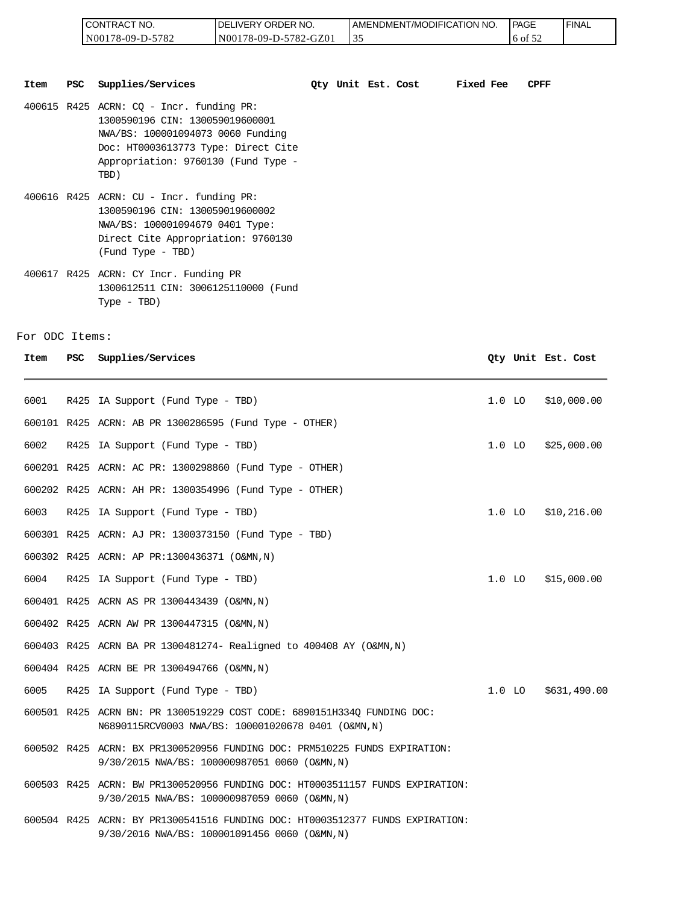| I CONTRACT NO.   | <b>I DELIVERY ORDER NO.</b> | I AMENDMENT/MODIFICATION NO. | <b>PAGE</b>  | 'FINAL |
|------------------|-----------------------------|------------------------------|--------------|--------|
| N00178-09-D-5782 | N00178-09-D-5782-GZ01       |                              | $16$ of $52$ |        |

| Item | PSC | Supplies/Services                                                                                                                                                                                      |  | Oty Unit Est. Cost | Fixed Fee | CPFF |
|------|-----|--------------------------------------------------------------------------------------------------------------------------------------------------------------------------------------------------------|--|--------------------|-----------|------|
|      |     | 400615 R425 ACRN: CQ - Incr. funding PR:<br>1300590196 CIN: 130059019600001<br>NWA/BS: 100001094073 0060 Funding<br>Doc: HT0003613773 Type: Direct Cite<br>Appropriation: 9760130 (Fund Type -<br>TBD) |  |                    |           |      |
|      |     | 400616 R425 ACRN: CU - Incr. funding PR:<br>1300590196 CIN: 130059019600002<br>NWA/BS: 100001094679 0401 Type:<br>Direct Cite Appropriation: 9760130<br>(Fund Type - TBD)                              |  |                    |           |      |
|      |     | 400617 R425 ACRN: CY Incr. Funding PR<br>1300612511 CIN: 3006125110000 (Fund                                                                                                                           |  |                    |           |      |

For ODC Items:

|                |            | CONTRACT NO.<br>N00178-09-D-5782                                                                                                                                                                         | DELIVERY ORDER NO.<br>N00178-09-D-5782-GZ01 |                    | 35 | AMENDMENT/MODIFICATION NO. |                  |          | <b>PAGE</b><br>6 of 52 | <b>FINAL</b> |
|----------------|------------|----------------------------------------------------------------------------------------------------------------------------------------------------------------------------------------------------------|---------------------------------------------|--------------------|----|----------------------------|------------------|----------|------------------------|--------------|
| Item           | <b>PSC</b> | Supplies/Services                                                                                                                                                                                        |                                             | Qty Unit Est. Cost |    |                            | <b>Fixed Fee</b> |          | CPFF                   |              |
|                |            | $400615$ R425 ACRN: CQ - Incr. funding PR:<br>1300590196 CIN: 130059019600001<br>NWA/BS: 100001094073 0060 Funding<br>Doc: HT0003613773 Type: Direct Cite<br>Appropriation: 9760130 (Fund Type -<br>TBD) |                                             |                    |    |                            |                  |          |                        |              |
|                |            | $400616$ R425 ACRN: CU - Incr. funding PR:<br>1300590196 CIN: 130059019600002<br>NWA/BS: 100001094679 0401 Type:<br>Direct Cite Appropriation: 9760130<br>(Fund Type - TBD)                              |                                             |                    |    |                            |                  |          |                        |              |
|                |            | 400617 R425 ACRN: CY Incr. Funding PR<br>1300612511 CIN: 3006125110000 (Fund<br>Type - TBD)                                                                                                              |                                             |                    |    |                            |                  |          |                        |              |
| 'or ODC Items: |            |                                                                                                                                                                                                          |                                             |                    |    |                            |                  |          |                        |              |
| Item           | PSC        | Supplies/Services                                                                                                                                                                                        |                                             |                    |    |                            |                  |          | Qty Unit Est. Cost     |              |
| 6001           |            | R425 IA Support (Fund Type - TBD)                                                                                                                                                                        |                                             |                    |    |                            |                  |          | $1.0$ LO               | \$10,000.00  |
|                |            | 600101 R425 ACRN: AB PR 1300286595 (Fund Type - OTHER)                                                                                                                                                   |                                             |                    |    |                            |                  |          |                        |              |
| 6002           |            | R425 IA Support (Fund Type - TBD)                                                                                                                                                                        |                                             |                    |    |                            |                  |          | $1.0$ LO               | \$25,000.00  |
|                |            | 600201 R425 ACRN: AC PR: 1300298860 (Fund Type - OTHER)                                                                                                                                                  |                                             |                    |    |                            |                  |          |                        |              |
|                |            | 600202 R425 ACRN: AH PR: 1300354996 (Fund Type - OTHER)                                                                                                                                                  |                                             |                    |    |                            |                  |          |                        |              |
| 6003           |            | R425 IA Support (Fund Type - TBD)                                                                                                                                                                        |                                             |                    |    |                            |                  | $1.0$ LO |                        | \$10, 216.00 |
|                |            | 600301 R425 ACRN: AJ PR: 1300373150 (Fund Type - TBD)                                                                                                                                                    |                                             |                    |    |                            |                  |          |                        |              |
|                |            | 600302 R425 ACRN: AP PR:1300436371 (O&MN,N)                                                                                                                                                              |                                             |                    |    |                            |                  |          |                        |              |
| 6004           |            | R425 IA Support (Fund Type - TBD)                                                                                                                                                                        |                                             |                    |    |                            |                  |          | $1.0$ LO               | \$15,000.00  |
|                |            | 600401 R425 ACRN AS PR 1300443439 (O&MN, N)                                                                                                                                                              |                                             |                    |    |                            |                  |          |                        |              |
|                |            | 600402 R425 ACRN AW PR 1300447315 (O&MN, N)                                                                                                                                                              |                                             |                    |    |                            |                  |          |                        |              |
|                |            | 600403 R425 ACRN BA PR 1300481274- Realigned to 400408 AY (O&MN, N)                                                                                                                                      |                                             |                    |    |                            |                  |          |                        |              |
|                |            | 600404 R425 ACRN BE PR 1300494766 (O&MN, N)                                                                                                                                                              |                                             |                    |    |                            |                  |          |                        |              |
| 6005           |            | R425 IA Support (Fund Type - TBD)                                                                                                                                                                        |                                             |                    |    |                            |                  |          | $1.0$ LO               | \$631,490.00 |
|                |            | 600501 R425 ACRN BN: PR 1300519229 COST CODE: 6890151H334Q FUNDING DOC:<br>N6890115RCV0003 NWA/BS: 100001020678 0401 (O&MN,N)                                                                            |                                             |                    |    |                            |                  |          |                        |              |
|                |            | 600502 R425 ACRN: BX PR1300520956 FUNDING DOC: PRM510225 FUNDS EXPIRATION:<br>9/30/2015 NWA/BS: 100000987051 0060 (O&MN,N)                                                                               |                                             |                    |    |                            |                  |          |                        |              |
|                |            | 600503 R425 ACRN: BW PR1300520956 FUNDING DOC: HT0003511157 FUNDS EXPIRATION:<br>9/30/2015 NWA/BS: 100000987059 0060 (O&MN,N)                                                                            |                                             |                    |    |                            |                  |          |                        |              |
|                |            | 600504 R425 ACRN: BY PR1300541516 FUNDING DOC: HT0003512377 FUNDS EXPIRATION:<br>9/30/2016 NWA/BS: 100001091456 0060 (O&MN,N)                                                                            |                                             |                    |    |                            |                  |          |                        |              |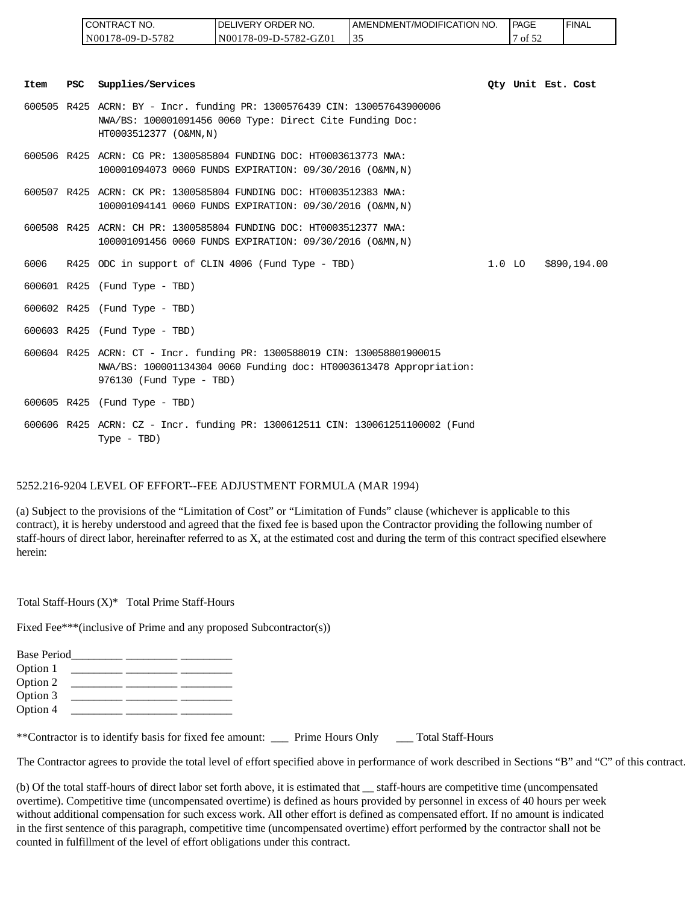| <b>I CONTRACT NO.</b> | DELIVERY ORDER NO.    | AMENDMENT/MODIFICATION NO. | l PAGE | ' FINAL |
|-----------------------|-----------------------|----------------------------|--------|---------|
| N00178-09-D-5782      | N00178-09-D-5782-GZ01 | <u>. .</u>                 | of 52  |         |

|                                              |     | CONTRACT NO.<br>N00178-09-D-5782                                   | DELIVERY ORDER NO.<br>N00178-09-D-5782-GZ01                                                                                                    | AMENDMENT/MODIFICATION NO.<br>35                                                                                                                                                                                                                                                                                                                                                                                                                                                                                                                  |          | PAGE<br>7 of 52    | <b>FINAL</b> |
|----------------------------------------------|-----|--------------------------------------------------------------------|------------------------------------------------------------------------------------------------------------------------------------------------|---------------------------------------------------------------------------------------------------------------------------------------------------------------------------------------------------------------------------------------------------------------------------------------------------------------------------------------------------------------------------------------------------------------------------------------------------------------------------------------------------------------------------------------------------|----------|--------------------|--------------|
| Item                                         | PSC | Supplies/Services                                                  |                                                                                                                                                |                                                                                                                                                                                                                                                                                                                                                                                                                                                                                                                                                   |          | Qty Unit Est. Cost |              |
|                                              |     | HT0003512377 (O&MN, N)                                             | 600505 R425 ACRN: BY - Incr. funding PR: 1300576439 CIN: 130057643900006<br>NWA/BS: 100001091456 0060 Type: Direct Cite Funding Doc:           |                                                                                                                                                                                                                                                                                                                                                                                                                                                                                                                                                   |          |                    |              |
|                                              |     |                                                                    | 600506 R425 ACRN: CG PR: 1300585804 FUNDING DOC: HT0003613773 NWA:<br>100001094073 0060 FUNDS EXPIRATION: 09/30/2016 (O&MN,N)                  |                                                                                                                                                                                                                                                                                                                                                                                                                                                                                                                                                   |          |                    |              |
|                                              |     |                                                                    | 600507 R425 ACRN: CK PR: 1300585804 FUNDING DOC: HT0003512383 NWA:<br>100001094141 0060 FUNDS EXPIRATION: 09/30/2016 (O&MN,N)                  |                                                                                                                                                                                                                                                                                                                                                                                                                                                                                                                                                   |          |                    |              |
|                                              |     |                                                                    | 600508 R425 ACRN: CH PR: 1300585804 FUNDING DOC: HT0003512377 NWA:<br>100001091456 0060 FUNDS EXPIRATION: 09/30/2016 (O&MN,N)                  |                                                                                                                                                                                                                                                                                                                                                                                                                                                                                                                                                   |          |                    |              |
| 6006                                         |     |                                                                    | R425 ODC in support of CLIN 4006 (Fund Type - TBD)                                                                                             |                                                                                                                                                                                                                                                                                                                                                                                                                                                                                                                                                   | $1.0$ LO |                    | \$890,194.00 |
|                                              |     | 600601 R425 (Fund Type - TBD)                                      |                                                                                                                                                |                                                                                                                                                                                                                                                                                                                                                                                                                                                                                                                                                   |          |                    |              |
|                                              |     | 600602 R425 (Fund Type - TBD)                                      |                                                                                                                                                |                                                                                                                                                                                                                                                                                                                                                                                                                                                                                                                                                   |          |                    |              |
|                                              |     | 600603 R425 (Fund Type - TBD)                                      |                                                                                                                                                |                                                                                                                                                                                                                                                                                                                                                                                                                                                                                                                                                   |          |                    |              |
|                                              |     | 976130 (Fund Type - TBD)                                           | 600604 R425 ACRN: CT - Incr. funding PR: 1300588019 CIN: 130058801900015<br>NWA/BS: 100001134304 0060 Funding doc: HT0003613478 Appropriation: |                                                                                                                                                                                                                                                                                                                                                                                                                                                                                                                                                   |          |                    |              |
|                                              |     | 600605 R425 (Fund Type - TBD)                                      |                                                                                                                                                |                                                                                                                                                                                                                                                                                                                                                                                                                                                                                                                                                   |          |                    |              |
|                                              |     | Type - TBD)                                                        | 600606 R425 ACRN: CZ - Incr. funding PR: 1300612511 CIN: 130061251100002 (Fund                                                                 |                                                                                                                                                                                                                                                                                                                                                                                                                                                                                                                                                   |          |                    |              |
| herein:                                      |     |                                                                    | 5252.216-9204 LEVEL OF EFFORT--FEE ADJUSTMENT FORMULA (MAR 1994)                                                                               | (a) Subject to the provisions of the "Limitation of Cost" or "Limitation of Funds" clause (whichever is applicable to this<br>contract), it is hereby understood and agreed that the fixed fee is based upon the Contractor providing the following number of<br>staff-hours of direct labor, hereinafter referred to as X, at the estimated cost and during the term of this contract specified elsewhere                                                                                                                                        |          |                    |              |
|                                              |     | Total Staff-Hours (X)* Total Prime Staff-Hours                     |                                                                                                                                                |                                                                                                                                                                                                                                                                                                                                                                                                                                                                                                                                                   |          |                    |              |
|                                              |     | Fixed Fee***(inclusive of Prime and any proposed Subcontractor(s)) |                                                                                                                                                |                                                                                                                                                                                                                                                                                                                                                                                                                                                                                                                                                   |          |                    |              |
| Option 1<br>Option 2<br>Option 3<br>Option 4 |     |                                                                    |                                                                                                                                                |                                                                                                                                                                                                                                                                                                                                                                                                                                                                                                                                                   |          |                    |              |
|                                              |     |                                                                    |                                                                                                                                                | ** Contractor is to identify basis for fixed fee amount: ____ Prime Hours Only _____ Total Staff-Hours                                                                                                                                                                                                                                                                                                                                                                                                                                            |          |                    |              |
|                                              |     |                                                                    |                                                                                                                                                | The Contractor agrees to provide the total level of effort specified above in performance of work described in Sections "B" and "C"                                                                                                                                                                                                                                                                                                                                                                                                               |          |                    |              |
|                                              |     |                                                                    | counted in fulfillment of the level of effort obligations under this contract.                                                                 | (b) Of the total staff-hours of direct labor set forth above, it is estimated that __staff-hours are competitive time (uncompensated<br>overtime). Competitive time (uncompensated overtime) is defined as hours provided by personnel in excess of 40 hours per week<br>without additional compensation for such excess work. All other effort is defined as compensated effort. If no amount is indicated<br>in the first sentence of this paragraph, competitive time (uncompensated overtime) effort performed by the contractor shall not be |          |                    |              |

#### 5252.216-9204 LEVEL OF EFFORT--FEE ADJUSTMENT FORMULA (MAR 1994)

| <b>Base Period</b> |  |  |
|--------------------|--|--|
| Option 1           |  |  |
| Option 2           |  |  |
| Option 3           |  |  |
| Option 4           |  |  |

The Contractor agrees to provide the total level of effort specified above in performance of work described in Sections "B" and "C" of this contract.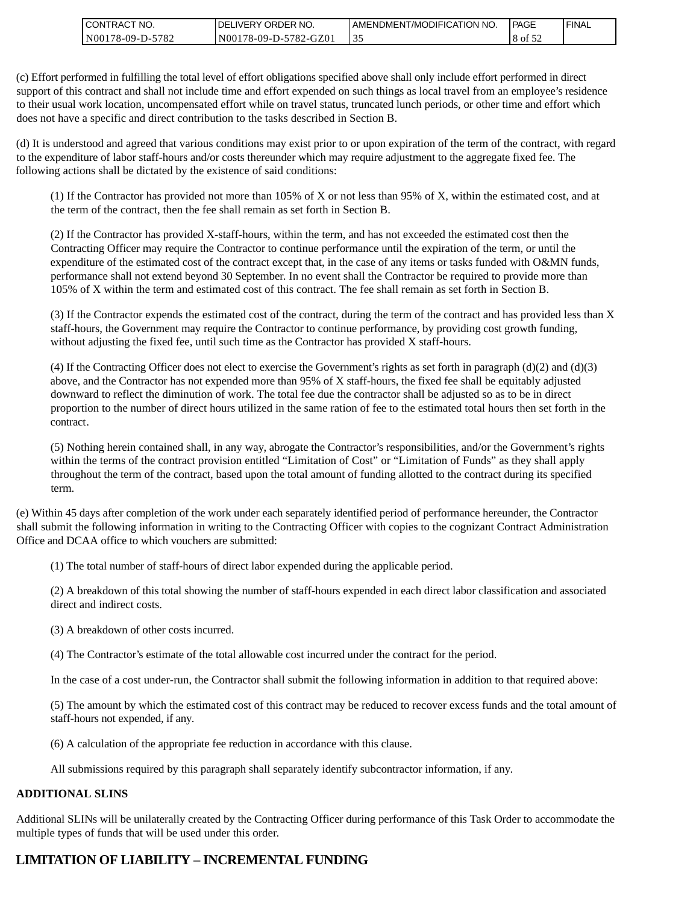| <b>I CONTRACT NO.</b> | `NO.<br>DELIVERY ORDER | I AMENDMENT/MODIFICATION NO. | <b>PAGE</b> | <b>I FINAL</b> |
|-----------------------|------------------------|------------------------------|-------------|----------------|
| N00178-09-D-5782      | N00178-09-D-5782-GZ01  | . J .                        | 8 of 52     |                |

(c) Effort performed in fulfilling the total level of effort obligations specified above shall only include effort performed in direct support of this contract and shall not include time and effort expended on such things as local travel from an employee's residence to their usual work location, uncompensated effort while on travel status, truncated lunch periods, or other time and effort which does not have a specific and direct contribution to the tasks described in Section B.

(d) It is understood and agreed that various conditions may exist prior to or upon expiration of the term of the contract, with regard to the expenditure of labor staff-hours and/or costs thereunder which may require adjustment to the aggregate fixed fee. The following actions shall be dictated by the existence of said conditions:

(1) If the Contractor has provided not more than 105% of X or not less than 95% of X, within the estimated cost, and at the term of the contract, then the fee shall remain as set forth in Section B.

(2) If the Contractor has provided X-staff-hours, within the term, and has not exceeded the estimated cost then the Contracting Officer may require the Contractor to continue performance until the expiration of the term, or until the expenditure of the estimated cost of the contract except that, in the case of any items or tasks funded with O&MN funds, performance shall not extend beyond 30 September. In no event shall the Contractor be required to provide more than 105% of X within the term and estimated cost of this contract. The fee shall remain as set forth in Section B.

(3) If the Contractor expends the estimated cost of the contract, during the term of the contract and has provided less than X staff-hours, the Government may require the Contractor to continue performance, by providing cost growth funding, without adjusting the fixed fee, until such time as the Contractor has provided X staff-hours.

(4) If the Contracting Officer does not elect to exercise the Government's rights as set forth in paragraph (d)(2) and (d)(3) above, and the Contractor has not expended more than 95% of X staff-hours, the fixed fee shall be equitably adjusted downward to reflect the diminution of work. The total fee due the contractor shall be adjusted so as to be in direct proportion to the number of direct hours utilized in the same ration of fee to the estimated total hours then set forth in the contract.

(5) Nothing herein contained shall, in any way, abrogate the Contractor's responsibilities, and/or the Government's rights within the terms of the contract provision entitled "Limitation of Cost" or "Limitation of Funds" as they shall apply throughout the term of the contract, based upon the total amount of funding allotted to the contract during its specified term.

(e) Within 45 days after completion of the work under each separately identified period of performance hereunder, the Contractor shall submit the following information in writing to the Contracting Officer with copies to the cognizant Contract Administration Office and DCAA office to which vouchers are submitted:

(1) The total number of staff-hours of direct labor expended during the applicable period.

(2) A breakdown of this total showing the number of staff-hours expended in each direct labor classification and associated direct and indirect costs.

(3) A breakdown of other costs incurred.

(4) The Contractor's estimate of the total allowable cost incurred under the contract for the period.

In the case of a cost under-run, the Contractor shall submit the following information in addition to that required above:

(5) The amount by which the estimated cost of this contract may be reduced to recover excess funds and the total amount of staff-hours not expended, if any.

(6) A calculation of the appropriate fee reduction in accordance with this clause.

All submissions required by this paragraph shall separately identify subcontractor information, if any.

#### **ADDITIONAL SLINS**

Additional SLINs will be unilaterally created by the Contracting Officer during performance of this Task Order to accommodate the multiple types of funds that will be used under this order.

# **LIMITATION OF LIABILITY – INCREMENTAL FUNDING**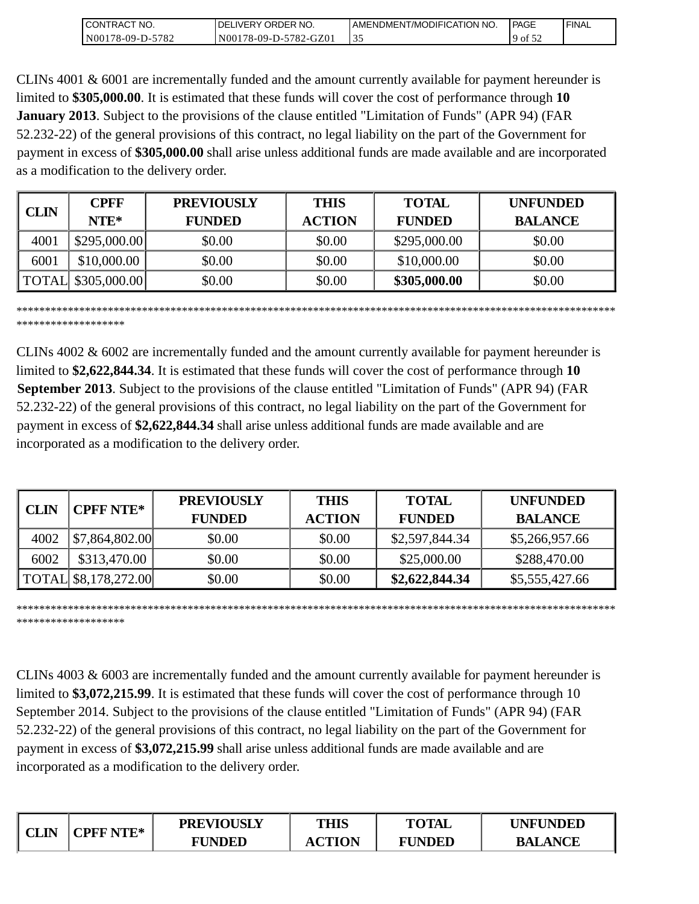| <b>I CONTRACT NO.</b> | <b>IDELIVERY ORDER NO.</b> | AMENDMENT/MODIFICATION NO. | l PAGE | ' FINAL |
|-----------------------|----------------------------|----------------------------|--------|---------|
| IN00178-09-D-5782     | N00178-09-D-5782-GZ01      |                            | 9 of   |         |

CLINs 4001 & 6001 are incrementally funded and the amount currently available for payment hereunder is limited to **\$305,000.00**. It is estimated that these funds will cover the cost of performance through **10 January 2013**. Subject to the provisions of the clause entitled "Limitation of Funds" (APR 94) (FAR 52.232-22) of the general provisions of this contract, no legal liability on the part of the Government for payment in excess of **\$305,000.00** shall arise unless additional funds are made available and are incorporated as a modification to the delivery order.

| <b>CLIN</b> | <b>CPFF</b>               | <b>PREVIOUSLY</b> | <b>THIS</b>   | <b>TOTAL</b>  | <b>UNFUNDED</b> |
|-------------|---------------------------|-------------------|---------------|---------------|-----------------|
|             | NTE*                      | <b>FUNDED</b>     | <b>ACTION</b> | <b>FUNDED</b> | <b>BALANCE</b>  |
| 4001        | \$295,000.00]             | \$0.00            | \$0.00        | \$295,000.00  | \$0.00          |
| 6001        | \$10,000.00               | \$0.00            | \$0.00        | \$10,000.00   | \$0.00          |
|             | <b>TOTAL</b> \$305,000.00 | \$0.00            | \$0.00        | \$305,000.00  | \$0.00          |

\*\*\*\*\*\*\*\*\*\*\*\*\*\*\*\*\*\*\*\*\*\*\*\*\*\*\*\*\*\*\*\*\*\*\*\*\*\*\*\*\*\*\*\*\*\*\*\*\*\*\*\*\*\*\*\*\*\*\*\*\*\*\*\*\*\*\*\*\*\*\*\*\*\*\*\*\*\*\*\*\*\*\*\*\*\*\*\*\*\*\*\*\*\*\*\*\*\*\*\*\*\*\*\*\*

\*\*\*\*\*\*\*\*\*\*\*\*\*\*\*\*\*\*\*

CLINs 4002 & 6002 are incrementally funded and the amount currently available for payment hereunder is limited to **\$2,622,844.34**. It is estimated that these funds will cover the cost of performance through **10 September 2013**. Subject to the provisions of the clause entitled "Limitation of Funds" (APR 94) (FAR 52.232-22) of the general provisions of this contract, no legal liability on the part of the Government for payment in excess of **\$2,622,844.34** shall arise unless additional funds are made available and are incorporated as a modification to the delivery order.

| <b>CLIN</b> | <b>CPFF NTE*</b>     | <b>PREVIOUSLY</b><br><b>FUNDED</b> | <b>THIS</b><br><b>ACTION</b> | <b>TOTAL</b><br><b>FUNDED</b> | <b>UNFUNDED</b><br><b>BALANCE</b> |
|-------------|----------------------|------------------------------------|------------------------------|-------------------------------|-----------------------------------|
| 4002        | \$7,864,802.00       | \$0.00                             | \$0.00                       | \$2,597,844.34                | \$5,266,957.66                    |
| 6002        | \$313,470.00         | \$0.00                             | \$0.00                       | \$25,000.00                   | \$288,470.00                      |
|             | TOTAL \$8,178,272.00 | \$0.00                             | \$0.00                       | \$2,622,844.34                | \$5,555,427.66                    |

\*\*\*\*\*\*\*\*\*\*\*\*\*\*\*\*\*\*\*\*\*\*\*\*\*\*\*\*\*\*\*\*\*\*\*\*\*\*\*\*\*\*\*\*\*\*\*\*\*\*\*\*\*\*\*\*\*\*\*\*\*\*\*\*\*\*\*\*\*\*\*\*\*\*\*\*\*\*\*\*\*\*\*\*\*\*\*\*\*\*\*\*\*\*\*\*\*\*\*\*\*\*\*\*\*

\*\*\*\*\*\*\*\*\*\*\*\*\*\*\*\*\*\*\*

CLINs 4003 & 6003 are incrementally funded and the amount currently available for payment hereunder is limited to **\$3,072,215.99**. It is estimated that these funds will cover the cost of performance through 10 September 2014. Subject to the provisions of the clause entitled "Limitation of Funds" (APR 94) (FAR 52.232-22) of the general provisions of this contract, no legal liability on the part of the Government for payment in excess of **\$3,072,215.99** shall arise unless additional funds are made available and are incorporated as a modification to the delivery order. **EXAMPLE TOTAL**<br> **BALANCE CONTRACT CONTRACT CONTRACT CONTRACT CONTRACT CONTRACT CONTRACT CONTRACT CONTRACT CONTRACT CONTRACT CONTRACT CONTRACT CONTRACT CONTRACT CONTRACT CONTRACT CONTRACT CONTRACT CONTRACT CONTRACT CONTRAC** 

| $\sim$ t<br>$\mathcal{L} \mathbf{I} \mathbf{I} \mathbf{N}$ |           | <b>PREVIOUSLY</b> | <b>THIS</b> | <b>TOTAL</b>  | <b>INFUNDED</b> |
|------------------------------------------------------------|-----------|-------------------|-------------|---------------|-----------------|
|                                                            | CPFF NTF* | <b>FUNDED</b>     | CTION       | <b>FUNDED</b> | <b>BALANCE</b>  |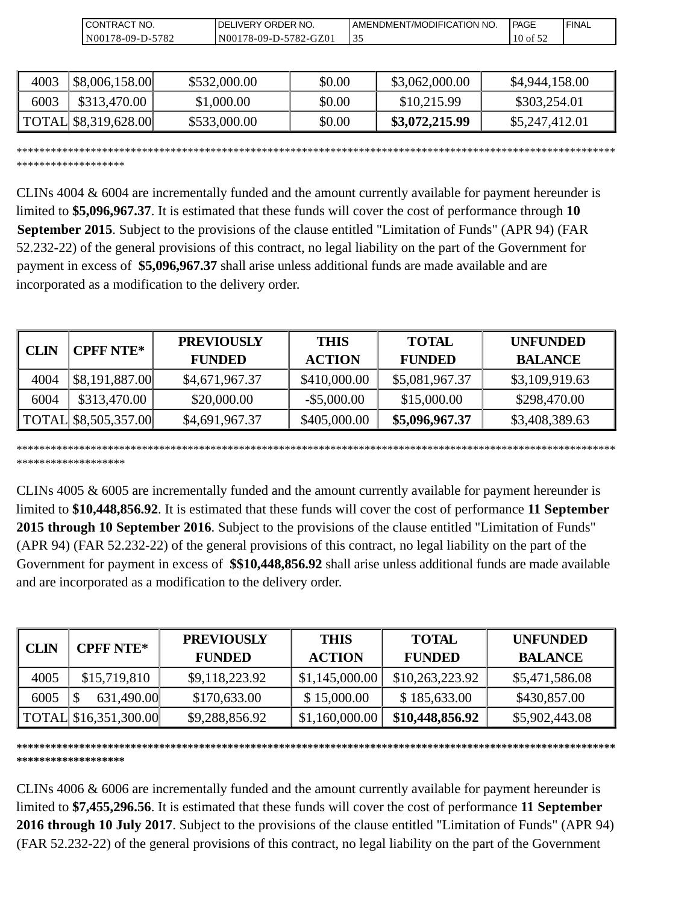| " NO.<br>ICONTRAC,    | ORDER NO.<br><b>IVERY</b><br>⊣נו | AMENDMENT/MODIFICATION NO. | PAGE | ' FINAL |
|-----------------------|----------------------------------|----------------------------|------|---------|
| $178 - 09 - D - 5782$ | 78-09-D-5782-GZ01"               | $\sim$                     | 10   |         |
| N001                  | N <sub>00</sub> 1                | ັ້                         | ΟĪ   |         |

| 4003 | \$8,006,158.00       | \$532,000.00 | \$0.00 | \$3,062,000.00 | \$4,944,158.00 |
|------|----------------------|--------------|--------|----------------|----------------|
| 6003 | \$313,470.00         | \$1,000.00   | \$0.00 | \$10,215.99    | \$303,254.01   |
|      | TOTAL \$8,319,628.00 | \$533,000.00 | \$0.00 | \$3,072,215.99 | \$5,247,412.01 |

\*\*\*\*\*\*\*\*\*\*\*\*\*\*\*\*\*\*\*\*\*\*\*\*\*\*\*\*\*\*\*\*\*\*\*\*\*\*\*\*\*\*\*\*\*\*\*\*\*\*\*\*\*\*\*\*\*\*\*\*\*\*\*\*\*\*\*\*\*\*\*\*\*\*\*\*\*\*\*\*\*\*\*\*\*\*\*\*\*\*\*\*\*\*\*\*\*\*\*\*\*\*\*\*\* \*\*\*\*\*\*\*\*\*\*\*\*\*\*\*\*\*\*\*

CLINs 4004 & 6004 are incrementally funded and the amount currently available for payment hereunder is limited to **\$5,096,967.37**. It is estimated that these funds will cover the cost of performance through **10 September 2015**. Subject to the provisions of the clause entitled "Limitation of Funds" (APR 94) (FAR 52.232-22) of the general provisions of this contract, no legal liability on the part of the Government for payment in excess of **\$5,096,967.37** shall arise unless additional funds are made available and are incorporated as a modification to the delivery order.

| <b>CLIN</b> | <b>CPFF NTE*</b>     | <b>PREVIOUSLY</b> | <b>THIS</b>    | <b>TOTAL</b>   | <b>UNFUNDED</b> |
|-------------|----------------------|-------------------|----------------|----------------|-----------------|
|             |                      | <b>FUNDED</b>     | <b>ACTION</b>  | <b>FUNDED</b>  | <b>BALANCE</b>  |
| 4004        | \$8,191,887.00       | \$4,671,967.37    | \$410,000.00   | \$5,081,967.37 | \$3,109,919.63  |
| 6004        | \$313,470.00         | \$20,000.00       | $-$ \$5,000.00 | \$15,000.00    | \$298,470.00    |
|             | TOTAL \$8,505,357.00 | \$4,691,967.37    | \$405,000.00   | \$5,096,967.37 | \$3,408,389.63  |

\*\*\*\*\*\*\*\*\*\*\*\*\*\*\*\*\*\*\*\*\*\*\*\*\*\*\*\*\*\*\*\*\*\*\*\*\*\*\*\*\*\*\*\*\*\*\*\*\*\*\*\*\*\*\*\*\*\*\*\*\*\*\*\*\*\*\*\*\*\*\*\*\*\*\*\*\*\*\*\*\*\*\*\*\*\*\*\*\*\*\*\*\*\*\*\*\*\*\*\*\*\*\*\*\* \*\*\*\*\*\*\*\*\*\*\*\*\*\*\*\*\*\*\*

CLINs 4005 & 6005 are incrementally funded and the amount currently available for payment hereunder is limited to **\$10,448,856.92**. It is estimated that these funds will cover the cost of performance **11 September 2015 through 10 September 2016**. Subject to the provisions of the clause entitled "Limitation of Funds" (APR 94) (FAR 52.232-22) of the general provisions of this contract, no legal liability on the part of the Government for payment in excess of **\$\$10,448,856.92** shall arise unless additional funds are made available and are incorporated as a modification to the delivery order. (FAR 52.232-22) of the general provisions of the general provisions of the general provisions of the general provisions of the general provisions of the general provisions of the general provisions of the Government CONTR

| <b>CLIN</b> | <b>CPFF NTE*</b>      | <b>PREVIOUSLY</b><br><b>FUNDED</b> | <b>THIS</b><br><b>ACTION</b> | <b>TOTAL</b><br><b>FUNDED</b> | <b>UNFUNDED</b><br><b>BALANCE</b> |
|-------------|-----------------------|------------------------------------|------------------------------|-------------------------------|-----------------------------------|
| 4005        | \$15,719,810          | \$9,118,223.92                     | \$1,145,000.00               | \$10,263,223.92               | \$5,471,586.08                    |
| 6005        | 631,490.00            | \$170,633.00                       | \$15,000.00                  | \$185,633.00                  | \$430,857.00                      |
|             | TOTAL \$16,351,300.00 | \$9,288,856.92                     | \$1,160,000.00               | \$10,448,856.92               | \$5,902,443.08                    |

**\*\*\*\*\*\*\*\*\*\*\*\*\*\*\*\*\*\*\*\*\*\*\*\*\*\*\*\*\*\*\*\*\*\*\*\*\*\*\*\*\*\*\*\*\*\*\*\*\*\*\*\*\*\*\*\*\*\*\*\*\*\*\*\*\*\*\*\*\*\*\*\*\*\*\*\*\*\*\*\*\*\*\*\*\*\*\*\*\*\*\*\*\*\*\*\*\*\*\*\*\*\*\*\*\* \*\*\*\*\*\*\*\*\*\*\*\*\*\*\*\*\*\*\***

CLINs 4006 & 6006 are incrementally funded and the amount currently available for payment hereunder is limited to **\$7,455,296.56**. It is estimated that these funds will cover the cost of performance **11 September 2016 through 10 July 2017**. Subject to the provisions of the clause entitled "Limitation of Funds" (APR 94)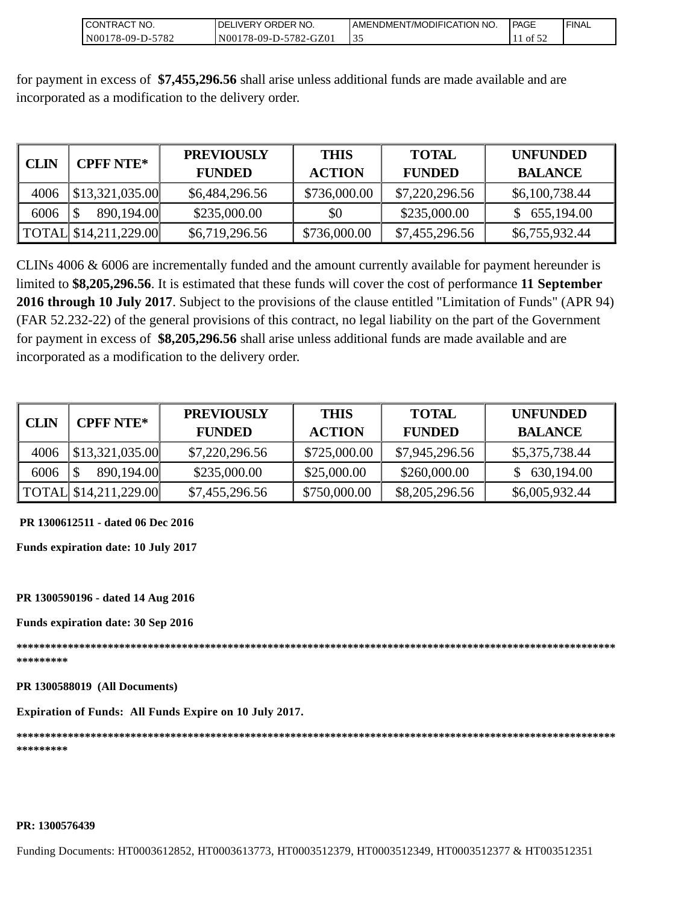| I CONTRACT NO.   | DELIVERY ORDER NO.    | LAMENDMENT/MODIFICATION NO. | PAGE  | <b>FINAL</b> |
|------------------|-----------------------|-----------------------------|-------|--------------|
| N00178-09-D-5782 | N00178-09-D-5782-GZ01 | 32                          | of 52 |              |

for payment in excess of **\$7,455,296.56** shall arise unless additional funds are made available and are incorporated as a modification to the delivery order.

| <b>CLIN</b> | <b>CPFF NTE*</b>        | <b>PREVIOUSLY</b><br><b>FUNDED</b> | <b>THIS</b><br><b>ACTION</b> | <b>TOTAL</b><br><b>FUNDED</b> | <b>UNFUNDED</b><br><b>BALANCE</b> |
|-------------|-------------------------|------------------------------------|------------------------------|-------------------------------|-----------------------------------|
| 4006        | $\vert$ \$13,321,035.00 | \$6,484,296.56                     | \$736,000.00                 | \$7,220,296.56                | \$6,100,738.44                    |
| 6006        | 890,194.00              | \$235,000.00                       | \$0                          | \$235,000.00                  | 655,194.00<br>$\mathbb{S}$        |
|             | TOTAL \$14,211,229.00   | \$6,719,296.56                     | \$736,000.00                 | \$7,455,296.56                | \$6,755,932.44                    |

CLINs 4006 & 6006 are incrementally funded and the amount currently available for payment hereunder is limited to **\$8,205,296.56**. It is estimated that these funds will cover the cost of performance **11 September 2016 through 10 July 2017**. Subject to the provisions of the clause entitled "Limitation of Funds" (APR 94) (FAR 52.232-22) of the general provisions of this contract, no legal liability on the part of the Government for payment in excess of **\$8,205,296.56** shall arise unless additional funds are made available and are incorporated as a modification to the delivery order.

| <b>CLIN</b> | <b>CPFF NTE*</b>      | <b>PREVIOUSLY</b> | <b>THIS</b>   | <b>TOTAL</b>   | <b>UNFUNDED</b> |
|-------------|-----------------------|-------------------|---------------|----------------|-----------------|
|             |                       | <b>FUNDED</b>     | <b>ACTION</b> | <b>FUNDED</b>  | <b>BALANCE</b>  |
| 4006        | \$13,321,035.00       | \$7,220,296.56    | \$725,000.00  | \$7,945,296.56 | \$5,375,738.44  |
| 6006        | 890,194.00            | \$235,000.00      | \$25,000.00   | \$260,000.00   | 630,194.00      |
|             | TOTAL \$14,211,229.00 | \$7,455,296.56    | \$750,000.00  | \$8,205,296.56 | \$6,005,932.44  |

 **PR 1300612511 - dated 06 Dec 2016**

**Funds expiration date: 10 July 2017**

**PR 1300590196 - dated 14 Aug 2016** 

**Funds expiration date: 30 Sep 2016**

**\*\*\*\*\*\*\*\*\*\*\*\*\*\*\*\*\*\*\*\*\*\*\*\*\*\*\*\*\*\*\*\*\*\*\*\*\*\*\*\*\*\*\*\*\*\*\*\*\*\*\*\*\*\*\*\*\*\*\*\*\*\*\*\*\*\*\*\*\*\*\*\*\*\*\*\*\*\*\*\*\*\*\*\*\*\*\*\*\*\*\*\*\*\*\*\*\*\*\*\*\*\*\*\*\* \*\*\*\*\*\*\*\*\*** 

#### **PR 1300588019 (All Documents)**

**Expiration of Funds: All Funds Expire on 10 July 2017.**

**\*\*\*\*\*\*\*\*\*\*\*\*\*\*\*\*\*\*\*\*\*\*\*\*\*\*\*\*\*\*\*\*\*\*\*\*\*\*\*\*\*\*\*\*\*\*\*\*\*\*\*\*\*\*\*\*\*\*\*\*\*\*\*\*\*\*\*\*\*\*\*\*\*\*\*\*\*\*\*\*\*\*\*\*\*\*\*\*\*\*\*\*\*\*\*\*\*\*\*\*\*\*\*\*\* \*\*\*\*\*\*\*\*\***

#### **PR: 1300576439**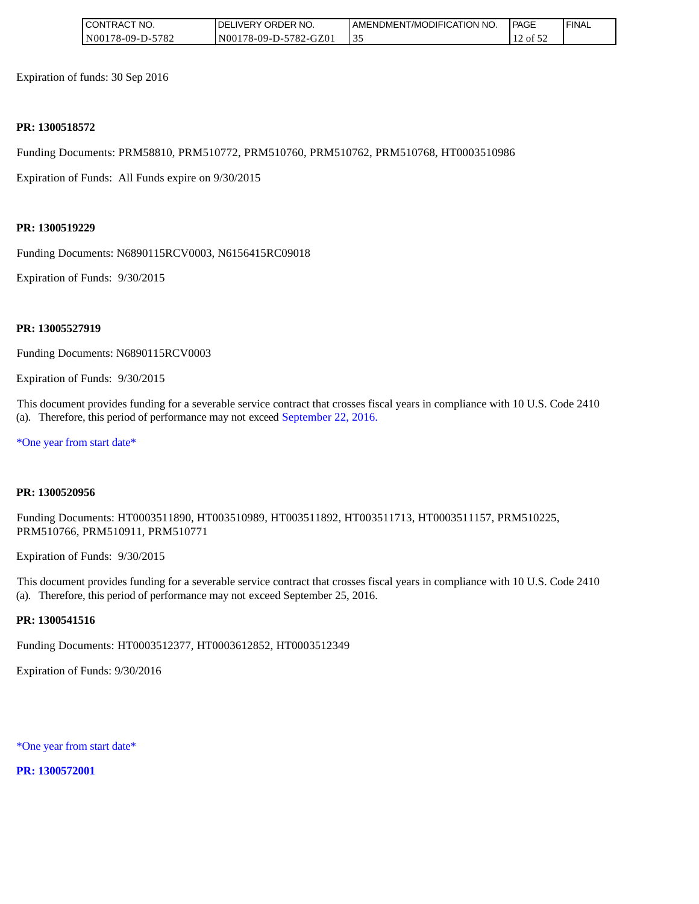| <b>ICONTRACT NO.</b> | I DELIVERY ORDER NO.  | AMENDMENT/MODIFICATION NO. | <b>PAGE</b>   | ' FINAL |
|----------------------|-----------------------|----------------------------|---------------|---------|
| IN00178-09-D-5782    | N00178-09-D-5782-GZ01 |                            | $\cdot$ of 52 |         |

Expiration of funds: 30 Sep 2016

#### **PR: 1300518572**

Funding Documents: PRM58810, PRM510772, PRM510760, PRM510762, PRM510768, HT0003510986

Expiration of Funds: All Funds expire on 9/30/2015

#### **PR: 1300519229**

Funding Documents: N6890115RCV0003, N6156415RC09018

Expiration of Funds: 9/30/2015

#### **PR: 13005527919**

Funding Documents: N6890115RCV0003

Expiration of Funds: 9/30/2015

This document provides funding for a severable service contract that crosses fiscal years in compliance with 10 U.S. Code 2410 (a). Therefore, this period of performance may not exceed September 22, 2016.

\*One year from start date\*

#### **PR: 1300520956**

Funding Documents: HT0003511890, HT003510989, HT003511892, HT003511713, HT0003511157, PRM510225, PRM510766, PRM510911, PRM510771

Expiration of Funds: 9/30/2015

This document provides funding for a severable service contract that crosses fiscal years in compliance with 10 U.S. Code 2410 (a). Therefore, this period of performance may not exceed September 25, 2016.

#### **PR: 1300541516**

Funding Documents: HT0003512377, HT0003612852, HT0003512349

Expiration of Funds: 9/30/2016

\*One year from start date\*

**PR: 1300572001**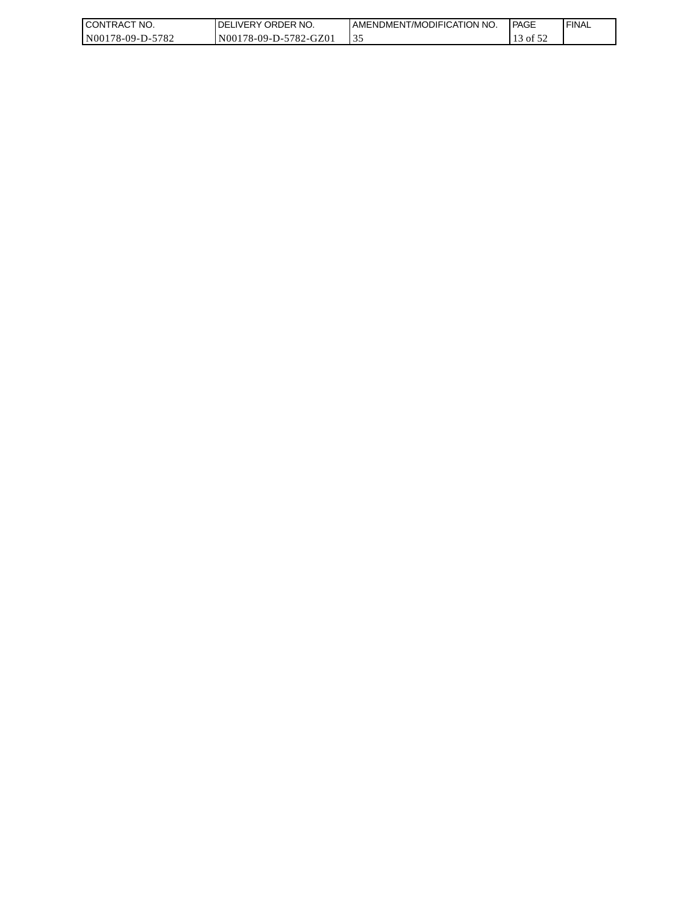| CONTRACT NO.     | DELIVERY ORDER NO.    | l AMENDMENT/MODIFICATION NO. | <b>PAGE</b> | ' FINAL |
|------------------|-----------------------|------------------------------|-------------|---------|
| N00178-09-D-5782 | N00178-09-D-5782-GZ01 |                              | ' of 52     |         |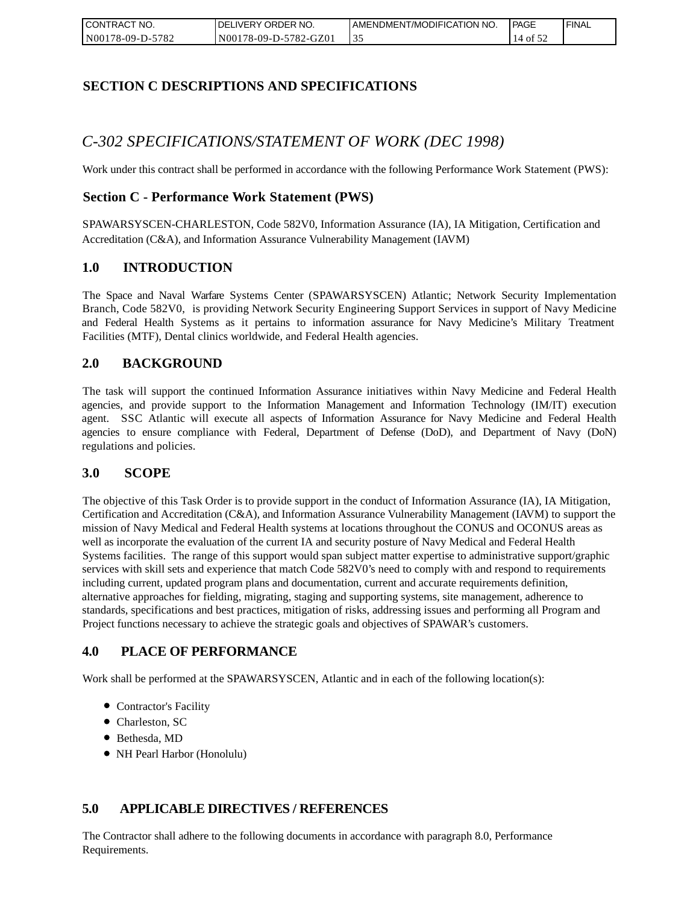| <b>CONTRACT</b><br>T NO. | DELIVERY ORDER NO.    | I AMENDMENT/MODIFICATION NO. | l PAGE      | 'FINAL |
|--------------------------|-----------------------|------------------------------|-------------|--------|
| N00178-09-D-5782         | N00178-09-D-5782-GZ01 |                              | of 52<br>14 |        |

## **SECTION C DESCRIPTIONS AND SPECIFICATIONS**

# *C-302 SPECIFICATIONS/STATEMENT OF WORK (DEC 1998)*

Work under this contract shall be performed in accordance with the following Performance Work Statement (PWS):

### **Section C - Performance Work Statement (PWS)**

SPAWARSYSCEN-CHARLESTON, Code 582V0, Information Assurance (IA), IA Mitigation, Certification and Accreditation (C&A), and Information Assurance Vulnerability Management (IAVM)

### **1.0 INTRODUCTION**

The Space and Naval Warfare Systems Center (SPAWARSYSCEN) Atlantic; Network Security Implementation Branch, Code 582V0, is providing Network Security Engineering Support Services in support of Navy Medicine and Federal Health Systems as it pertains to information assurance for Navy Medicine's Military Treatment Facilities (MTF), Dental clinics worldwide, and Federal Health agencies.

### **2.0 BACKGROUND**

The task will support the continued Information Assurance initiatives within Navy Medicine and Federal Health agencies, and provide support to the Information Management and Information Technology (IM/IT) execution agent. SSC Atlantic will execute all aspects of Information Assurance for Navy Medicine and Federal Health agencies to ensure compliance with Federal, Department of Defense (DoD), and Department of Navy (DoN) regulations and policies.

### **3.0 SCOPE**

The objective of this Task Order is to provide support in the conduct of Information Assurance (IA), IA Mitigation, Certification and Accreditation (C&A), and Information Assurance Vulnerability Management (IAVM) to support the mission of Navy Medical and Federal Health systems at locations throughout the CONUS and OCONUS areas as well as incorporate the evaluation of the current IA and security posture of Navy Medical and Federal Health Systems facilities. The range of this support would span subject matter expertise to administrative support/graphic services with skill sets and experience that match Code 582V0's need to comply with and respond to requirements including current, updated program plans and documentation, current and accurate requirements definition, alternative approaches for fielding, migrating, staging and supporting systems, site management, adherence to standards, specifications and best practices, mitigation of risks, addressing issues and performing all Program and Project functions necessary to achieve the strategic goals and objectives of SPAWAR's customers.

### **4.0 PLACE OF PERFORMANCE**

Work shall be performed at the SPAWARSYSCEN, Atlantic and in each of the following location(s):

- Contractor's Facility
- Charleston, SC
- Bethesda, MD
- NH Pearl Harbor (Honolulu)

### **5.0 APPLICABLE DIRECTIVES / REFERENCES**

The Contractor shall adhere to the following documents in accordance with paragraph 8.0, Performance Requirements.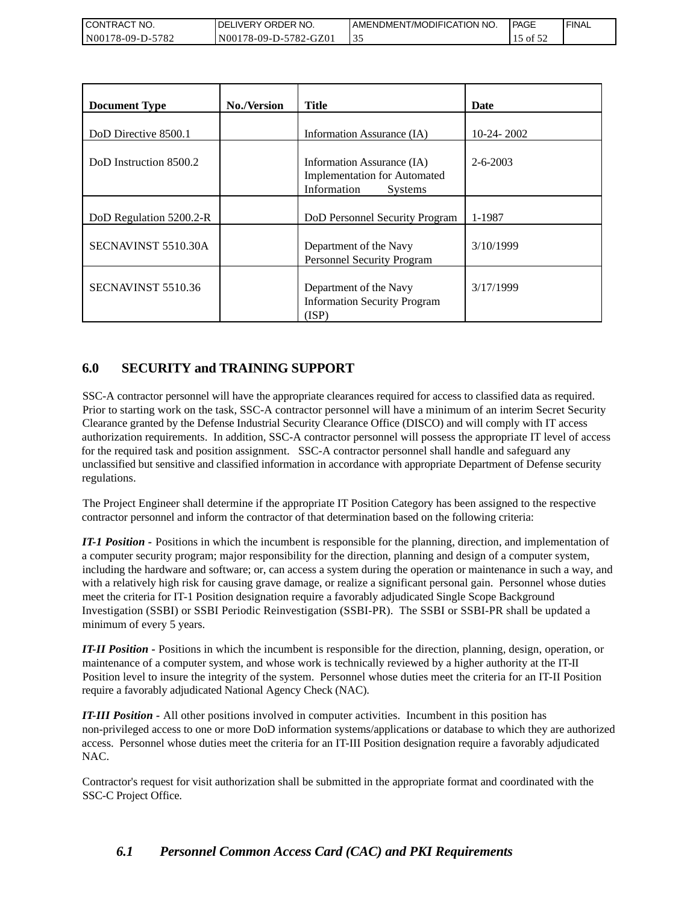| I CONTRACT NO.   | <b>IDELIVERY ORDER NO.</b> | I AMENDMENT/MODIFICATION NO. | <b>I PAGE</b> | ' FINAL |
|------------------|----------------------------|------------------------------|---------------|---------|
| N00178-09-D-5782 | N00178-09-D-5782-GZ01      |                              | 0Ť            |         |

| <b>Document Type</b>    | <b>No./Version</b> | <b>Title</b>                                                                                       | Date           |
|-------------------------|--------------------|----------------------------------------------------------------------------------------------------|----------------|
| DoD Directive 8500.1    |                    | Information Assurance (IA)                                                                         | $10-24-2002$   |
| DoD Instruction 8500.2  |                    | Information Assurance (IA)<br><b>Implementation for Automated</b><br>Information<br><b>Systems</b> | $2 - 6 - 2003$ |
| DoD Regulation 5200.2-R |                    | DoD Personnel Security Program                                                                     | 1-1987         |
| SECNAVINST 5510.30A     |                    | Department of the Navy<br>Personnel Security Program                                               | 3/10/1999      |
| SECNAVINST 5510.36      |                    | Department of the Navy<br><b>Information Security Program</b><br>(ISP)                             | 3/17/1999      |

# **6.0 SECURITY and TRAINING SUPPORT**

SSC-A contractor personnel will have the appropriate clearances required for access to classified data as required. Prior to starting work on the task, SSC-A contractor personnel will have a minimum of an interim Secret Security Clearance granted by the Defense Industrial Security Clearance Office (DISCO) and will comply with IT access authorization requirements. In addition, SSC-A contractor personnel will possess the appropriate IT level of access for the required task and position assignment. SSC-A contractor personnel shall handle and safeguard any unclassified but sensitive and classified information in accordance with appropriate Department of Defense security regulations.

The Project Engineer shall determine if the appropriate IT Position Category has been assigned to the respective contractor personnel and inform the contractor of that determination based on the following criteria:

*IT-1 Position -* Positions in which the incumbent is responsible for the planning, direction, and implementation of a computer security program; major responsibility for the direction, planning and design of a computer system, including the hardware and software; or, can access a system during the operation or maintenance in such a way, and with a relatively high risk for causing grave damage, or realize a significant personal gain. Personnel whose duties meet the criteria for IT-1 Position designation require a favorably adjudicated Single Scope Background Investigation (SSBI) or SSBI Periodic Reinvestigation (SSBI-PR). The SSBI or SSBI-PR shall be updated a minimum of every 5 years.

*IT-II Position -* Positions in which the incumbent is responsible for the direction, planning, design, operation, or maintenance of a computer system, and whose work is technically reviewed by a higher authority at the IT-II Position level to insure the integrity of the system. Personnel whose duties meet the criteria for an IT-II Position require a favorably adjudicated National Agency Check (NAC).

*IT-III Position -* All other positions involved in computer activities. Incumbent in this position has non-privileged access to one or more DoD information systems/applications or database to which they are authorized access. Personnel whose duties meet the criteria for an IT-III Position designation require a favorably adjudicated NAC.

Contractor's request for visit authorization shall be submitted in the appropriate format and coordinated with the SSC-C Project Office.

# *6.1 Personnel Common Access Card (CAC) and PKI Requirements*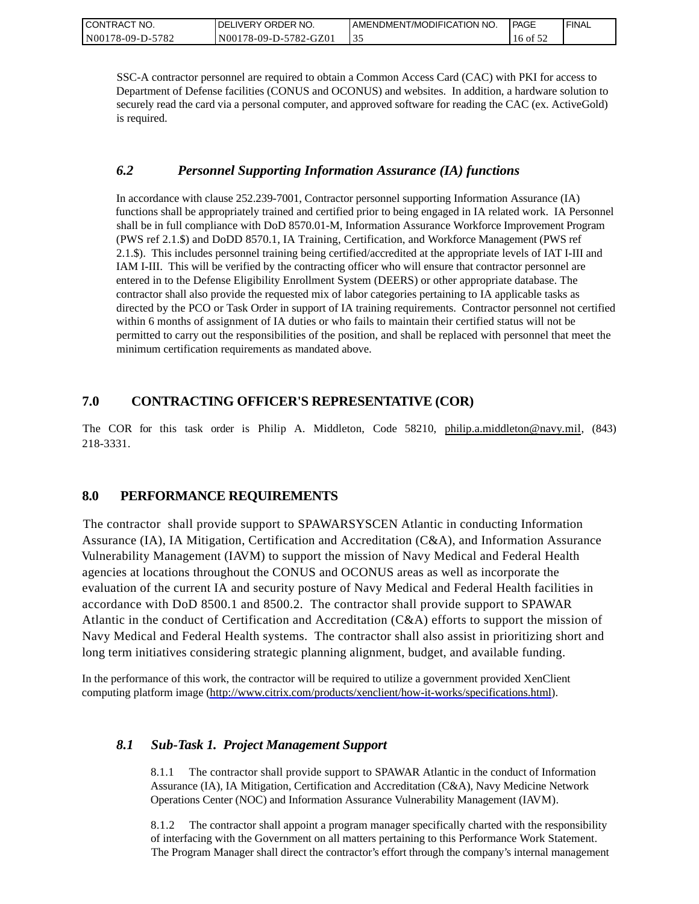| CONTRACT NO.     | I DELIVERY ORDER NO.  | I AMENDMENT/MODIFICATION NO. | <b>PAGE</b> | ' FINAL |
|------------------|-----------------------|------------------------------|-------------|---------|
| N00178-09-D-5782 | N00178-09-D-5782-GZ01 | ັ້                           | 16 of 52    |         |

SSC-A contractor personnel are required to obtain a Common Access Card (CAC) with PKI for access to Department of Defense facilities (CONUS and OCONUS) and websites. In addition, a hardware solution to securely read the card via a personal computer, and approved software for reading the CAC (ex. ActiveGold) is required.

### *6.2 Personnel Supporting Information Assurance (IA) functions*

In accordance with clause 252.239-7001, Contractor personnel supporting Information Assurance (IA) functions shall be appropriately trained and certified prior to being engaged in IA related work. IA Personnel shall be in full compliance with DoD 8570.01-M, Information Assurance Workforce Improvement Program (PWS ref 2.1.\$) and DoDD 8570.1, IA Training, Certification, and Workforce Management (PWS ref 2.1.\$). This includes personnel training being certified/accredited at the appropriate levels of IAT I-III and IAM I-III. This will be verified by the contracting officer who will ensure that contractor personnel are entered in to the Defense Eligibility Enrollment System (DEERS) or other appropriate database. The contractor shall also provide the requested mix of labor categories pertaining to IA applicable tasks as directed by the PCO or Task Order in support of IA training requirements. Contractor personnel not certified within 6 months of assignment of IA duties or who fails to maintain their certified status will not be permitted to carry out the responsibilities of the position, and shall be replaced with personnel that meet the minimum certification requirements as mandated above.

## **7.0 CONTRACTING OFFICER'S REPRESENTATIVE (COR)**

The COR for this task order is Philip A. Middleton, Code 58210, [philip.a.middleton@navy.mil,](mailto:cphilip.a.middleton@navy.mil) (843) 218-3331.

## **8.0 PERFORMANCE REQUIREMENTS**

The contractor shall provide support to SPAWARSYSCEN Atlantic in conducting Information Assurance (IA), IA Mitigation, Certification and Accreditation (C&A), and Information Assurance Vulnerability Management (IAVM) to support the mission of Navy Medical and Federal Health agencies at locations throughout the CONUS and OCONUS areas as well as incorporate the evaluation of the current IA and security posture of Navy Medical and Federal Health facilities in accordance with DoD 8500.1 and 8500.2. The contractor shall provide support to SPAWAR Atlantic in the conduct of Certification and Accreditation (C&A) efforts to support the mission of Navy Medical and Federal Health systems. The contractor shall also assist in prioritizing short and long term initiatives considering strategic planning alignment, budget, and available funding.

In the performance of this work, the contractor will be required to utilize a government provided XenClient computing platform image [\(http://www.citrix.com/products/xenclient/how-it-works/specifications.html\)](http://www.citrix.com/products/xenclient/how-it-works/specifications.html).

### *8.1 Sub-Task 1. Project Management Support*

8.1.1 The contractor shall provide support to SPAWAR Atlantic in the conduct of Information Assurance (IA), IA Mitigation, Certification and Accreditation (C&A), Navy Medicine Network Operations Center (NOC) and Information Assurance Vulnerability Management (IAVM).

8.1.2 The contractor shall appoint a program manager specifically charted with the responsibility of interfacing with the Government on all matters pertaining to this Performance Work Statement. The Program Manager shall direct the contractor's effort through the company's internal management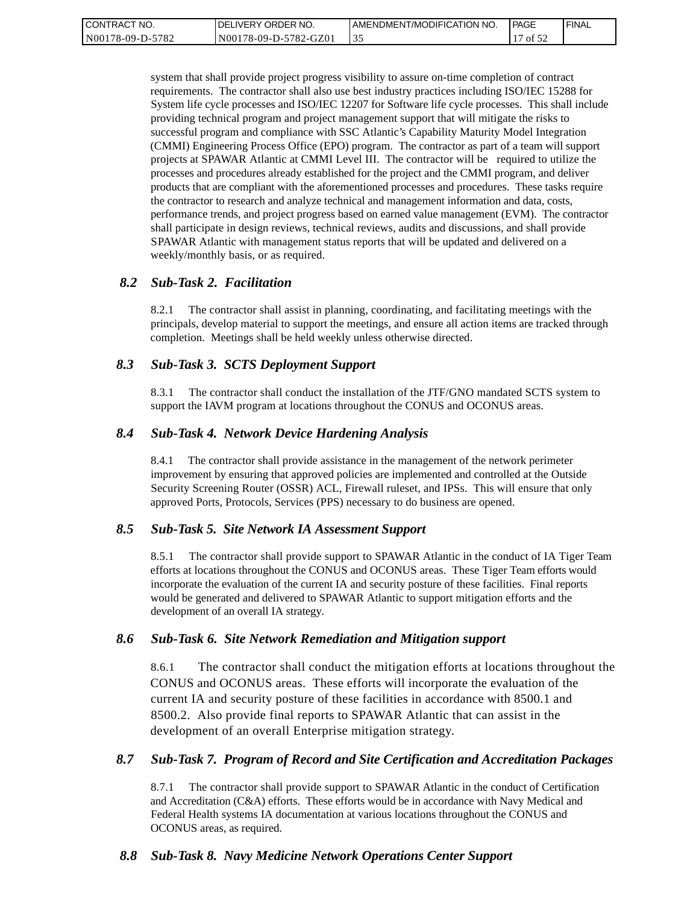| CONTRACT NO.     | <b>IDELIVERY ORDER NO.</b> | I AMENDMENT/MODIFICATION NO. | PAGE           | <b>FINAL</b> |
|------------------|----------------------------|------------------------------|----------------|--------------|
| N00178-09-D-5782 | N00178-09-D-5782-GZ01      | ' 35                         | $\prime$ of 5. |              |

system that shall provide project progress visibility to assure on-time completion of contract requirements. The contractor shall also use best industry practices including ISO/IEC 15288 for System life cycle processes and ISO/IEC 12207 for Software life cycle processes. This shall include providing technical program and project management support that will mitigate the risks to successful program and compliance with SSC Atlantic's Capability Maturity Model Integration (CMMI) Engineering Process Office (EPO) program. The contractor as part of a team will support projects at SPAWAR Atlantic at CMMI Level III. The contractor will be required to utilize the processes and procedures already established for the project and the CMMI program, and deliver products that are compliant with the aforementioned processes and procedures. These tasks require the contractor to research and analyze technical and management information and data, costs, performance trends, and project progress based on earned value management (EVM). The contractor shall participate in design reviews, technical reviews, audits and discussions, and shall provide SPAWAR Atlantic with management status reports that will be updated and delivered on a weekly/monthly basis, or as required.

### *8.2 Sub-Task 2. Facilitation*

8.2.1 The contractor shall assist in planning, coordinating, and facilitating meetings with the principals, develop material to support the meetings, and ensure all action items are tracked through completion. Meetings shall be held weekly unless otherwise directed.

### *8.3 Sub-Task 3. SCTS Deployment Support*

8.3.1 The contractor shall conduct the installation of the JTF/GNO mandated SCTS system to support the IAVM program at locations throughout the CONUS and OCONUS areas.

#### *8.4 Sub-Task 4. Network Device Hardening Analysis*

8.4.1 The contractor shall provide assistance in the management of the network perimeter improvement by ensuring that approved policies are implemented and controlled at the Outside Security Screening Router (OSSR) ACL, Firewall ruleset, and IPSs. This will ensure that only approved Ports, Protocols, Services (PPS) necessary to do business are opened.

#### *8.5 Sub-Task 5. Site Network IA Assessment Support*

8.5.1 The contractor shall provide support to SPAWAR Atlantic in the conduct of IA Tiger Team efforts at locations throughout the CONUS and OCONUS areas. These Tiger Team efforts would incorporate the evaluation of the current IA and security posture of these facilities. Final reports would be generated and delivered to SPAWAR Atlantic to support mitigation efforts and the development of an overall IA strategy.

#### *8.6 Sub-Task 6. Site Network Remediation and Mitigation support*

8.6.1 The contractor shall conduct the mitigation efforts at locations throughout the CONUS and OCONUS areas. These efforts will incorporate the evaluation of the current IA and security posture of these facilities in accordance with 8500.1 and 8500.2. Also provide final reports to SPAWAR Atlantic that can assist in the development of an overall Enterprise mitigation strategy.

#### *8.7 Sub-Task 7. Program of Record and Site Certification and Accreditation Packages*

8.7.1 The contractor shall provide support to SPAWAR Atlantic in the conduct of Certification and Accreditation (C&A) efforts. These efforts would be in accordance with Navy Medical and Federal Health systems IA documentation at various locations throughout the CONUS and OCONUS areas, as required.

### *8.8 Sub-Task 8. Navy Medicine Network Operations Center Support*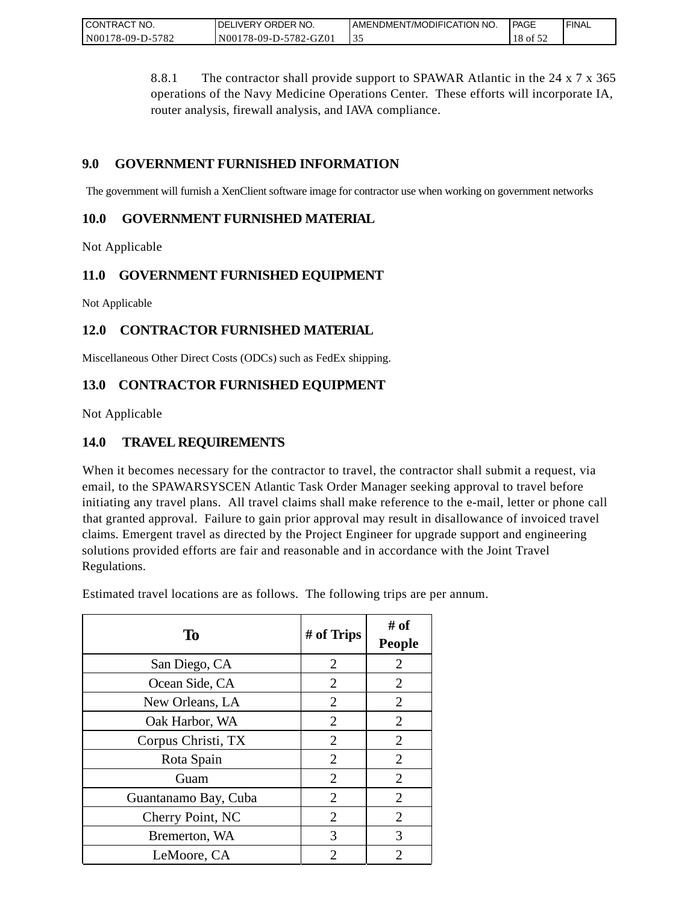| <b>CONTRACT</b><br>T NO. | ' ORDER NO.<br><b>DELIVERY</b> | AMENDMENT/MODIFICATION NO. | <b>PAGE</b> | ' FINAL |
|--------------------------|--------------------------------|----------------------------|-------------|---------|
| N00178-09-D-5782         | N00178-09-D-5782-GZ01          | ັ້                         | 18 of 52    |         |

8.8.1 The contractor shall provide support to SPAWAR Atlantic in the 24 x 7 x 365 operations of the Navy Medicine Operations Center. These efforts will incorporate IA, router analysis, firewall analysis, and IAVA compliance.

## **9.0 GOVERNMENT FURNISHED INFORMATION**

The government will furnish a XenClient software image for contractor use when working on government networks

## **10.0 GOVERNMENT FURNISHED MATERIAL**

Not Applicable

## **11.0 GOVERNMENT FURNISHED EQUIPMENT**

Not Applicable

# **12.0 CONTRACTOR FURNISHED MATERIAL**

Miscellaneous Other Direct Costs (ODCs) such as FedEx shipping.

## **13.0 CONTRACTOR FURNISHED EQUIPMENT**

Not Applicable

## **14.0 TRAVEL REQUIREMENTS**

When it becomes necessary for the contractor to travel, the contractor shall submit a request, via email, to the SPAWARSYSCEN Atlantic Task Order Manager seeking approval to travel before initiating any travel plans. All travel claims shall make reference to the e-mail, letter or phone call that granted approval. Failure to gain prior approval may result in disallowance of invoiced travel claims. Emergent travel as directed by the Project Engineer for upgrade support and engineering solutions provided efforts are fair and reasonable and in accordance with the Joint Travel Regulations.

Estimated travel locations are as follows. The following trips are per annum.

| To                   | # of Trips     | # of<br><b>People</b> |
|----------------------|----------------|-----------------------|
| San Diego, CA        | $\overline{2}$ | $\overline{2}$        |
| Ocean Side, CA       | $\overline{2}$ | $\overline{2}$        |
| New Orleans, LA      | 2              | 2                     |
| Oak Harbor, WA       | $\overline{2}$ | $\overline{2}$        |
| Corpus Christi, TX   | 2              | $\overline{2}$        |
| Rota Spain           | $\overline{2}$ | $\overline{2}$        |
| Guam                 | $\overline{2}$ | $\overline{2}$        |
| Guantanamo Bay, Cuba | 2              | $\overline{2}$        |
| Cherry Point, NC     | $\overline{2}$ | $\overline{2}$        |
| Bremerton, WA        | 3              | 3                     |
| LeMoore, CA          | 2              | 2                     |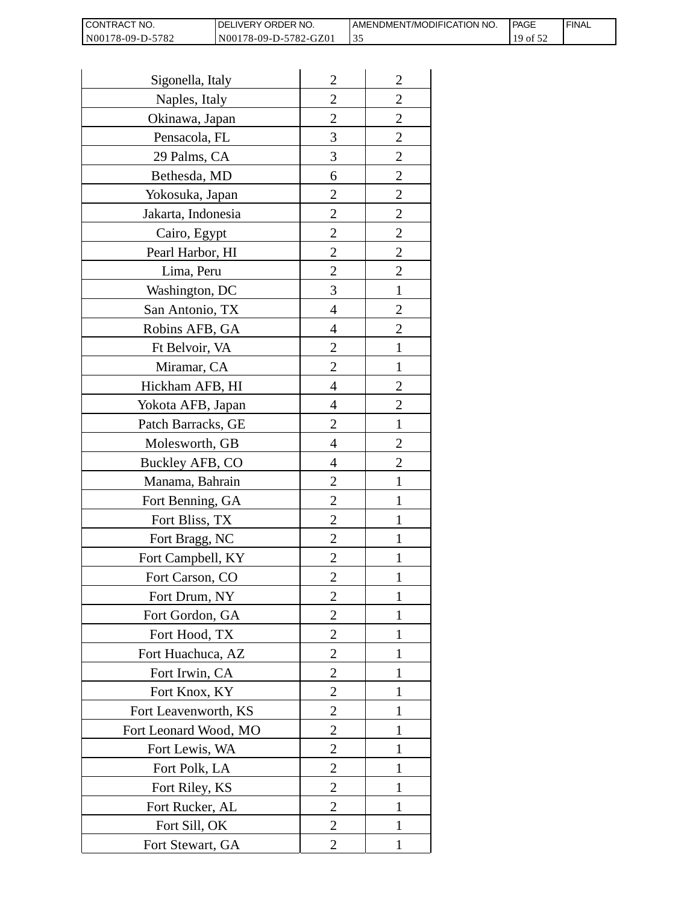| CONTRACT NO.     | <b>IDELIVERY ORDER NO.</b> | AMENDMENT/MODIFICATION NO. | <b>IPAGE</b> | ' FINAL |
|------------------|----------------------------|----------------------------|--------------|---------|
| N00178-09-D-5782 | N00178-09-D-5782-GZ01      |                            | 19 of 52     |         |

| Sigonella, Italy      | $\overline{2}$ | $\overline{2}$ |
|-----------------------|----------------|----------------|
| Naples, Italy         | $\overline{2}$ | $\overline{2}$ |
| Okinawa, Japan        | $\overline{2}$ | $\overline{2}$ |
| Pensacola, FL         | 3              | $\overline{2}$ |
| 29 Palms, CA          | 3              | $\overline{c}$ |
| Bethesda, MD          | 6              | $\overline{c}$ |
| Yokosuka, Japan       | $\overline{2}$ | $\overline{2}$ |
| Jakarta, Indonesia    | $\overline{2}$ | $\overline{2}$ |
| Cairo, Egypt          | $\overline{c}$ | $\overline{2}$ |
| Pearl Harbor, HI      | $\overline{c}$ | $\overline{2}$ |
| Lima, Peru            | $\overline{c}$ | $\overline{2}$ |
| Washington, DC        | 3              | $\mathbf{1}$   |
| San Antonio, TX       | $\overline{4}$ | $\overline{2}$ |
| Robins AFB, GA        | 4              | $\overline{2}$ |
| Ft Belvoir, VA        | $\overline{c}$ | 1              |
| Miramar, CA           | $\overline{2}$ | 1              |
| Hickham AFB, HI       | 4              | $\overline{2}$ |
| Yokota AFB, Japan     | 4              | $\overline{2}$ |
| Patch Barracks, GE    | $\overline{2}$ | $\mathbf{1}$   |
| Molesworth, GB        | $\overline{4}$ | $\overline{2}$ |
| Buckley AFB, CO       | 4              | $\overline{2}$ |
| Manama, Bahrain       | $\overline{2}$ | 1              |
| Fort Benning, GA      | $\overline{c}$ | 1              |
| Fort Bliss, TX        | $\overline{c}$ | 1              |
| Fort Bragg, NC        | $\overline{2}$ | $\mathbf{1}$   |
| Fort Campbell, KY     | $\overline{2}$ | 1              |
| Fort Carson, CO       | $\mathfrak{D}$ | 1              |
| Fort Drum, NY         | $\overline{2}$ | 1              |
| Fort Gordon, GA       | 2              | 1              |
| Fort Hood, TX         | $\overline{c}$ | 1              |
| Fort Huachuca, AZ     | $\overline{2}$ | 1              |
| Fort Irwin, CA        | $\overline{2}$ | 1              |
| Fort Knox, KY         | 2              | 1              |
| Fort Leavenworth, KS  | $\overline{2}$ | 1              |
| Fort Leonard Wood, MO | $\overline{2}$ | 1              |
| Fort Lewis, WA        | $\overline{2}$ | 1              |
| Fort Polk, LA         | $\overline{2}$ | 1              |
| Fort Riley, KS        | $\overline{2}$ | 1              |
| Fort Rucker, AL       | $\overline{2}$ | 1              |
| Fort Sill, OK         | $\overline{2}$ | 1              |
| Fort Stewart, GA      | $\overline{2}$ | 1              |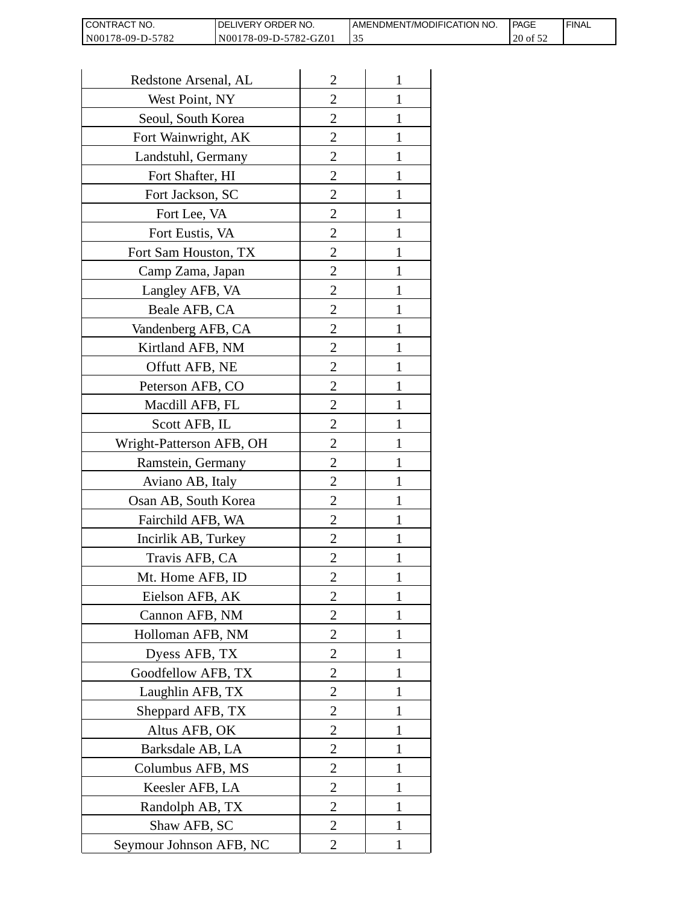| <b>CONTRACT NO.</b> | <b>IDELIVERY ORDER NO.</b> | AMENDMENT/MODIFICATION NO. | <b>IPAGE</b> | ' FINAL |
|---------------------|----------------------------|----------------------------|--------------|---------|
| N00178-09-D-5782    | N00178-09-D-5782-GZ01      |                            | 20 of 52     |         |

| Redstone Arsenal, AL     | $\overline{2}$ | 1            |
|--------------------------|----------------|--------------|
| West Point, NY           | $\overline{2}$ | $\mathbf{1}$ |
| Seoul, South Korea       | $\overline{2}$ | 1            |
| Fort Wainwright, AK      | 2              | 1            |
| Landstuhl, Germany       | 2              | 1            |
| Fort Shafter, HI         | $\overline{2}$ | 1            |
| Fort Jackson, SC         | $\overline{2}$ | 1            |
| Fort Lee, VA             | $\overline{2}$ | 1            |
| Fort Eustis, VA          | $\overline{2}$ | 1            |
| Fort Sam Houston, TX     | 2              | 1            |
| Camp Zama, Japan         | $\overline{2}$ | 1            |
| Langley AFB, VA          | 2              | 1            |
| Beale AFB, CA            | 2              | 1            |
| Vandenberg AFB, CA       | 2              | 1            |
| Kirtland AFB, NM         | $\overline{2}$ | 1            |
| Offutt AFB, NE           | $\overline{2}$ | 1            |
| Peterson AFB, CO         | 2              | 1            |
| Macdill AFB, FL          | $\overline{2}$ | 1            |
| Scott AFB, IL            | $\overline{c}$ | 1            |
| Wright-Patterson AFB, OH | $\overline{2}$ | 1            |
| Ramstein, Germany        | $\overline{2}$ | 1            |
| Aviano AB, Italy         | 2              | 1            |
| Osan AB, South Korea     | 2              | 1            |
| Fairchild AFB, WA        | 2              | 1            |
| Incirlik AB, Turkey      | $\overline{c}$ | 1            |
| Travis AFB, CA           | $\overline{2}$ | 1            |
| Mt. Home AFB, ID         | $\overline{2}$ |              |
| Eielson AFB, AK          | 2              | 1            |
| Cannon AFB, NM           | 2              | 1            |
| Holloman AFB, NM         | $\overline{2}$ | 1            |
| Dyess AFB, TX            | 2              | 1            |
| Goodfellow AFB, TX       | $\overline{2}$ | 1            |
| Laughlin AFB, TX         | 2              | 1            |
| Sheppard AFB, TX         | 2              | 1            |
| Altus AFB, OK            | $\overline{2}$ | 1            |
| Barksdale AB, LA         | 2              | 1            |
| Columbus AFB, MS         | 2              | 1            |
| Keesler AFB, LA          | 2              | 1            |
| Randolph AB, TX          | $\overline{2}$ | $\mathbf{1}$ |
| Shaw AFB, SC             | $\overline{2}$ | 1            |
| Seymour Johnson AFB, NC  | 2              | 1            |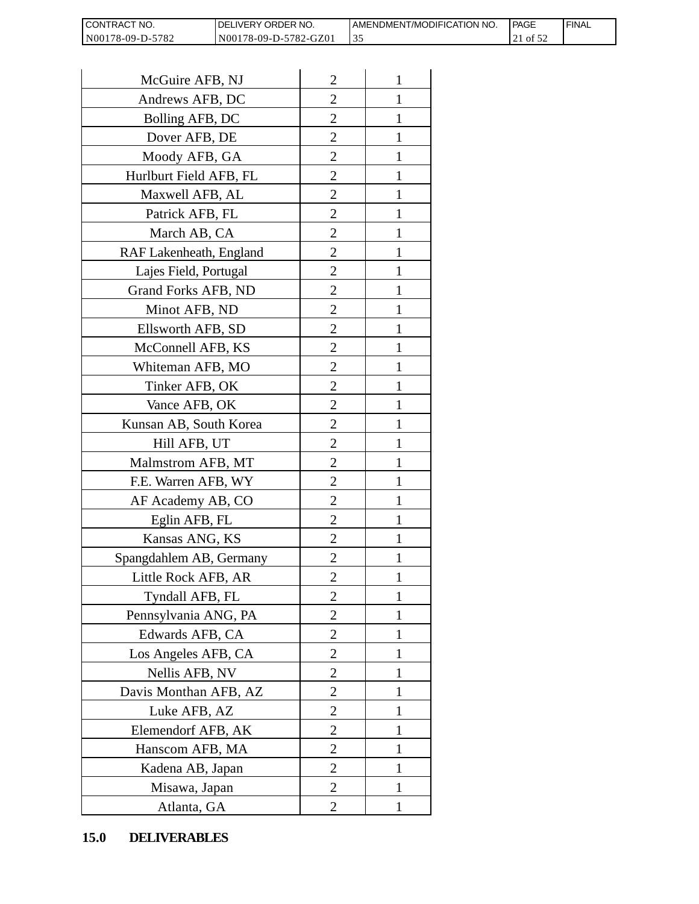| <b>CONTRACT</b><br>T NO. | DELIVERY ORDER NO.    | AMENDMENT/MODIFICATION NO. | <b>IPAGE</b> | ' FINAL |
|--------------------------|-----------------------|----------------------------|--------------|---------|
| N00178-09-D-5782         | N00178-09-D-5782-GZ01 |                            | of 52<br>"   |         |

| CONTRACT NO.<br>N00178-09-D-5782 | DELIVERY ORDER NO.<br>N00178-09-D-5782-GZ01 |                | AMENDMENT/MOI<br>35 |
|----------------------------------|---------------------------------------------|----------------|---------------------|
|                                  |                                             |                |                     |
| McGuire AFB, NJ                  |                                             | $\overline{2}$ | 1                   |
| Andrews AFB, DC                  |                                             | 2              | 1                   |
| Bolling AFB, DC                  |                                             | 2              | 1                   |
| Dover AFB, DE                    |                                             | $\overline{2}$ | $\mathbf{1}$        |
| Moody AFB, GA                    |                                             | $\overline{2}$ | 1                   |
| Hurlburt Field AFB, FL           |                                             | $\overline{2}$ | 1                   |
| Maxwell AFB, AL                  |                                             | $\overline{2}$ | 1                   |
| Patrick AFB, FL                  |                                             | $\overline{2}$ | 1                   |
| March AB, CA                     |                                             | $\overline{c}$ | 1                   |
| RAF Lakenheath, England          |                                             | $\overline{2}$ | $\mathbf{1}$        |
| Lajes Field, Portugal            |                                             | $\overline{2}$ | 1                   |
| Grand Forks AFB, ND              |                                             | $\overline{c}$ | 1                   |
| Minot AFB, ND                    |                                             | $\overline{2}$ | 1                   |
| Ellsworth AFB, SD                |                                             | $\overline{c}$ | 1                   |
| McConnell AFB, KS                |                                             | $\overline{c}$ | 1                   |
| Whiteman AFB, MO                 |                                             | $\overline{2}$ | 1                   |
| Tinker AFB, OK                   |                                             | $\overline{2}$ | 1                   |
| Vance AFB, OK                    |                                             | $\overline{c}$ | 1                   |
| Kunsan AB, South Korea           |                                             | $\overline{2}$ | 1                   |
| Hill AFB, UT                     |                                             | $\overline{c}$ | 1                   |
| Malmstrom AFB, MT                |                                             | $\overline{2}$ | 1                   |
| F.E. Warren AFB, WY              |                                             | $\overline{2}$ | $\mathbf{1}$        |
| AF Academy AB, CO                |                                             | $\overline{2}$ | 1                   |
| Eglin AFB, FL                    |                                             | $\overline{c}$ | $\mathbf{1}$        |
| Kansas ANG, KS                   |                                             | $\overline{c}$ |                     |
| Spangdahlem AB, Germany          |                                             | $\overline{2}$ | 1                   |
| Little Rock AFB, AR              |                                             | 2              | 1                   |
| Tyndall AFB, FL                  |                                             | $\overline{2}$ | $\mathbf{1}$        |
| Pennsylvania ANG, PA             |                                             | $\overline{2}$ | 1                   |
| Edwards AFB, CA                  |                                             | 2              | 1                   |
| Los Angeles AFB, CA              |                                             | $\overline{2}$ | 1                   |
| Nellis AFB, NV                   |                                             | 2              | 1                   |
| Davis Monthan AFB, AZ            |                                             | $\overline{c}$ | 1                   |
| Luke AFB, AZ                     |                                             | $\overline{2}$ | 1                   |
| Elemendorf AFB, AK               |                                             | $\overline{2}$ | 1                   |
| Hanscom AFB, MA                  |                                             | $\overline{2}$ | 1                   |
| Kadena AB, Japan                 |                                             | 2              | 1                   |
| Misawa, Japan                    |                                             | $\overline{2}$ | 1                   |
| Atlanta, GA                      |                                             | $\overline{2}$ | 1                   |
| <b>DELIVERABLES</b><br>15.0      |                                             |                |                     |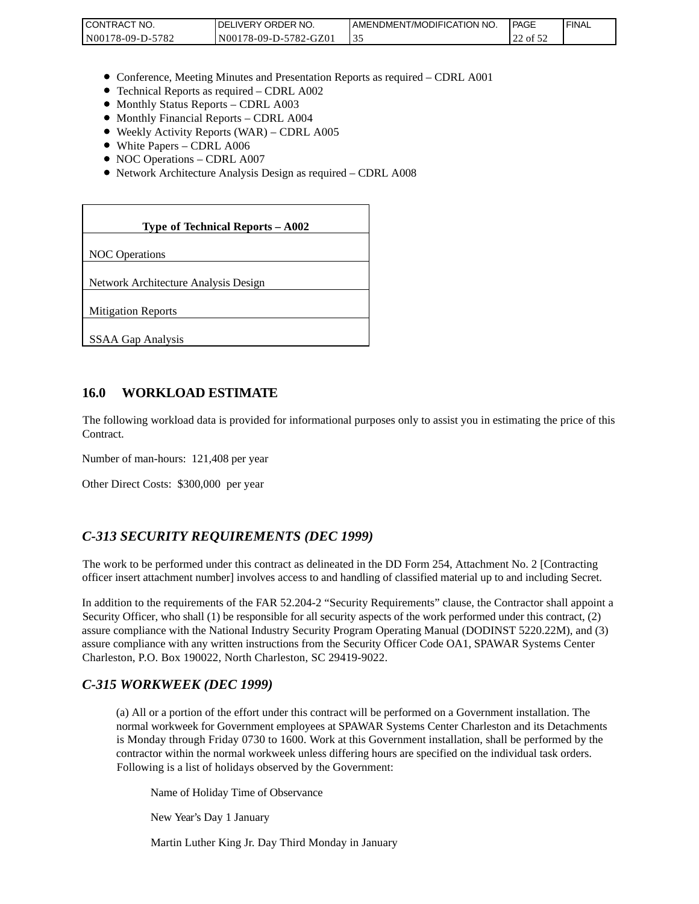| <b>CONTRACT</b><br>" NO. | `NO.<br>DELIVERY ORDER | AMENDMENT/MODIFICATION NO. | l PAGE   | ' FINAL |
|--------------------------|------------------------|----------------------------|----------|---------|
| N00178-09-D-5782         | N00178-09-D-5782-GZ01  | ັ້                         | 22 of 52 |         |

- Conference, Meeting Minutes and Presentation Reports as required CDRL A001
- Technical Reports as required CDRL A002
- Monthly Status Reports CDRL A003
- Monthly Financial Reports CDRL A004
- Weekly Activity Reports (WAR) CDRL A005
- White Papers CDRL A006
- NOC Operations CDRL A007
- Network Architecture Analysis Design as required CDRL A008

| CONTRACT NO.                                                                                                                                  | DELIVERY ORDER NO.                                                                                                                                                                                                                                                                                                                                               | AMENDME |
|-----------------------------------------------------------------------------------------------------------------------------------------------|------------------------------------------------------------------------------------------------------------------------------------------------------------------------------------------------------------------------------------------------------------------------------------------------------------------------------------------------------------------|---------|
| N00178-09-D-5782                                                                                                                              | N00178-09-D-5782-GZ01                                                                                                                                                                                                                                                                                                                                            | 35      |
| • Monthly Status Reports - CDRL A003<br>• Monthly Financial Reports - CDRL A004<br>• White Papers - CDRL A006<br>• NOC Operations - CDRL A007 | • Conference, Meeting Minutes and Presentation Reports as rec<br>• Technical Reports as required - CDRL A002<br>• Weekly Activity Reports (WAR) - CDRL A005<br>• Network Architecture Analysis Design as required - CDRL A                                                                                                                                       |         |
|                                                                                                                                               | Type of Technical Reports - A002                                                                                                                                                                                                                                                                                                                                 |         |
| <b>NOC</b> Operations                                                                                                                         |                                                                                                                                                                                                                                                                                                                                                                  |         |
| Network Architecture Analysis Design                                                                                                          |                                                                                                                                                                                                                                                                                                                                                                  |         |
| <b>Mitigation Reports</b>                                                                                                                     |                                                                                                                                                                                                                                                                                                                                                                  |         |
| <b>SSAA Gap Analysis</b>                                                                                                                      |                                                                                                                                                                                                                                                                                                                                                                  |         |
|                                                                                                                                               |                                                                                                                                                                                                                                                                                                                                                                  |         |
| <b>WORKLOAD ESTIMATE</b><br>16.0                                                                                                              |                                                                                                                                                                                                                                                                                                                                                                  |         |
| Contract.                                                                                                                                     | The following workload data is provided for informational purposes                                                                                                                                                                                                                                                                                               |         |
| Number of man-hours: 121,408 per year                                                                                                         |                                                                                                                                                                                                                                                                                                                                                                  |         |
| Other Direct Costs: \$300,000 per year                                                                                                        |                                                                                                                                                                                                                                                                                                                                                                  |         |
|                                                                                                                                               | C-313 SECURITY REQUIREMENTS (DEC 1999)                                                                                                                                                                                                                                                                                                                           |         |
|                                                                                                                                               | The work to be performed under this contract as delineated in the DI<br>officer insert attachment number] involves access to and handling of o                                                                                                                                                                                                                   |         |
|                                                                                                                                               | In addition to the requirements of the FAR 52.204-2 "Security Requi<br>Security Officer, who shall (1) be responsible for all security aspects of<br>assure compliance with the National Industry Security Program Oper<br>assure compliance with any written instructions from the Security Of<br>Charleston, P.O. Box 190022, North Charleston, SC 29419-9022. |         |
| C-315 WORKWEEK (DEC 1999)                                                                                                                     |                                                                                                                                                                                                                                                                                                                                                                  |         |
|                                                                                                                                               | (a) All or a portion of the effort under this contract will be per<br>normal workweek for Government employees at SPAWAR Sy<br>is Monday through Friday 0730 to 1600. Work at this Gover<br>contractor within the normal workweek unless differing hours<br>Following is a list of holidays observed by the Government:                                          |         |
|                                                                                                                                               | Name of Holiday Time of Observance                                                                                                                                                                                                                                                                                                                               |         |
| New Year's Day 1 January                                                                                                                      |                                                                                                                                                                                                                                                                                                                                                                  |         |
|                                                                                                                                               | Martin Luther King Jr. Day Third Monday in January                                                                                                                                                                                                                                                                                                               |         |

### **16.0 WORKLOAD ESTIMATE**

The following workload data is provided for informational purposes only to assist you in estimating the price of this Contract.

### *C-313 SECURITY REQUIREMENTS (DEC 1999)*

The work to be performed under this contract as delineated in the DD Form 254, Attachment No. 2 [Contracting officer insert attachment number] involves access to and handling of classified material up to and including Secret.

In addition to the requirements of the FAR 52.204-2 "Security Requirements" clause, the Contractor shall appoint a Security Officer, who shall (1) be responsible for all security aspects of the work performed under this contract, (2) assure compliance with the National Industry Security Program Operating Manual (DODINST 5220.22M), and (3) assure compliance with any written instructions from the Security Officer Code OA1, SPAWAR Systems Center Charleston, P.O. Box 190022, North Charleston, SC 29419-9022.

### *C-315 WORKWEEK (DEC 1999)*

(a) All or a portion of the effort under this contract will be performed on a Government installation. The normal workweek for Government employees at SPAWAR Systems Center Charleston and its Detachments is Monday through Friday 0730 to 1600. Work at this Government installation, shall be performed by the contractor within the normal workweek unless differing hours are specified on the individual task orders. Following is a list of holidays observed by the Government: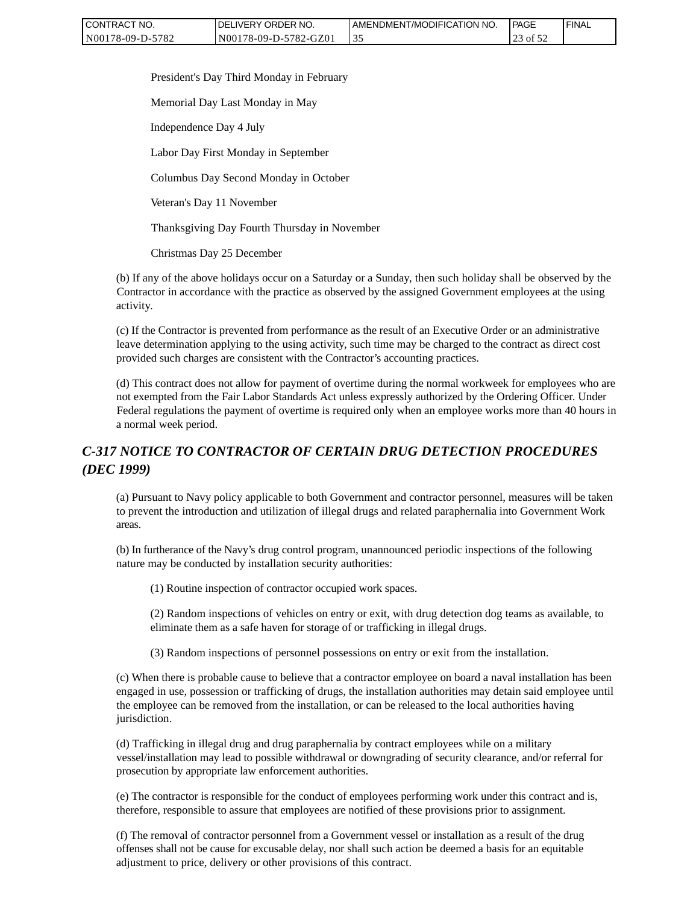| CONTRACT NO.     | <b>IDELIVERY ORDER NO.</b> | AMENDMENT/MODIFICATION NO. | PAGE         | ' FINAL |
|------------------|----------------------------|----------------------------|--------------|---------|
| N00178-09-D-5782 | N00178-09-D-5782-GZ01      |                            | of $52$<br>ت |         |

President's Day Third Monday in February

Memorial Day Last Monday in May

Independence Day 4 July

Labor Day First Monday in September

Columbus Day Second Monday in October

Veteran's Day 11 November

Thanksgiving Day Fourth Thursday in November

Christmas Day 25 December

(b) If any of the above holidays occur on a Saturday or a Sunday, then such holiday shall be observed by the Contractor in accordance with the practice as observed by the assigned Government employees at the using activity.

(c) If the Contractor is prevented from performance as the result of an Executive Order or an administrative leave determination applying to the using activity, such time may be charged to the contract as direct cost provided such charges are consistent with the Contractor's accounting practices.

(d) This contract does not allow for payment of overtime during the normal workweek for employees who are not exempted from the Fair Labor Standards Act unless expressly authorized by the Ordering Officer. Under Federal regulations the payment of overtime is required only when an employee works more than 40 hours in a normal week period.

# *C-317 NOTICE TO CONTRACTOR OF CERTAIN DRUG DETECTION PROCEDURES (DEC 1999)*

(a) Pursuant to Navy policy applicable to both Government and contractor personnel, measures will be taken to prevent the introduction and utilization of illegal drugs and related paraphernalia into Government Work areas.

(b) In furtherance of the Navy's drug control program, unannounced periodic inspections of the following nature may be conducted by installation security authorities:

(1) Routine inspection of contractor occupied work spaces.

(2) Random inspections of vehicles on entry or exit, with drug detection dog teams as available, to eliminate them as a safe haven for storage of or trafficking in illegal drugs.

(3) Random inspections of personnel possessions on entry or exit from the installation.

(c) When there is probable cause to believe that a contractor employee on board a naval installation has been engaged in use, possession or trafficking of drugs, the installation authorities may detain said employee until the employee can be removed from the installation, or can be released to the local authorities having jurisdiction.

(d) Trafficking in illegal drug and drug paraphernalia by contract employees while on a military vessel/installation may lead to possible withdrawal or downgrading of security clearance, and/or referral for prosecution by appropriate law enforcement authorities.

(e) The contractor is responsible for the conduct of employees performing work under this contract and is, therefore, responsible to assure that employees are notified of these provisions prior to assignment.

(f) The removal of contractor personnel from a Government vessel or installation as a result of the drug offenses shall not be cause for excusable delay, nor shall such action be deemed a basis for an equitable adjustment to price, delivery or other provisions of this contract.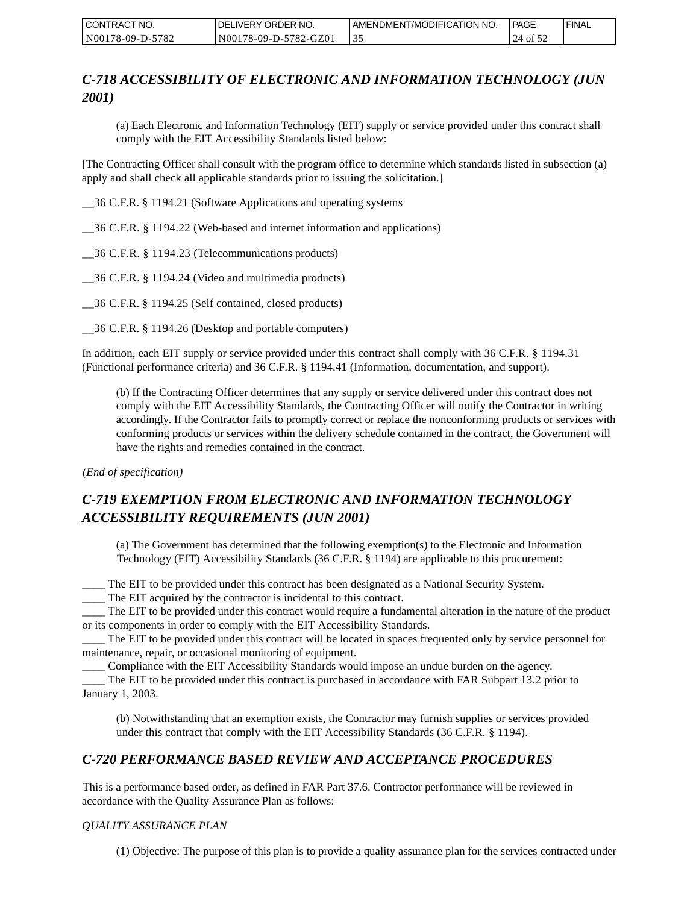| CONTRACT NO.     | DELIVERY ORDER NO.    | AMENDMENT/MODIFICATION NO. | PAGE     | ' FINAL |
|------------------|-----------------------|----------------------------|----------|---------|
| N00178-09-D-5782 | N00178-09-D-5782-GZ01 |                            | 24 of 52 |         |

# *C-718 ACCESSIBILITY OF ELECTRONIC AND INFORMATION TECHNOLOGY (JUN 2001)*

(a) Each Electronic and Information Technology (EIT) supply or service provided under this contract shall comply with the EIT Accessibility Standards listed below:

[The Contracting Officer shall consult with the program office to determine which standards listed in subsection (a) apply and shall check all applicable standards prior to issuing the solicitation.]

\_\_36 C.F.R. § 1194.21 (Software Applications and operating systems

\_\_36 C.F.R. § 1194.22 (Web-based and internet information and applications)

\_\_36 C.F.R. § 1194.23 (Telecommunications products)

\_\_36 C.F.R. § 1194.24 (Video and multimedia products)

\_\_36 C.F.R. § 1194.25 (Self contained, closed products)

\_\_36 C.F.R. § 1194.26 (Desktop and portable computers)

In addition, each EIT supply or service provided under this contract shall comply with 36 C.F.R. § 1194.31 (Functional performance criteria) and 36 C.F.R. § 1194.41 (Information, documentation, and support).

(b) If the Contracting Officer determines that any supply or service delivered under this contract does not comply with the EIT Accessibility Standards, the Contracting Officer will notify the Contractor in writing accordingly. If the Contractor fails to promptly correct or replace the nonconforming products or services with conforming products or services within the delivery schedule contained in the contract, the Government will have the rights and remedies contained in the contract.

*(End of specification)*

# *C-719 EXEMPTION FROM ELECTRONIC AND INFORMATION TECHNOLOGY ACCESSIBILITY REQUIREMENTS (JUN 2001)*

(a) The Government has determined that the following exemption(s) to the Electronic and Information Technology (EIT) Accessibility Standards (36 C.F.R. § 1194) are applicable to this procurement:

\_\_\_\_ The EIT to be provided under this contract has been designated as a National Security System.

\_\_\_\_ The EIT acquired by the contractor is incidental to this contract.

\_\_\_\_ The EIT to be provided under this contract would require a fundamental alteration in the nature of the product or its components in order to comply with the EIT Accessibility Standards.

\_\_\_\_ The EIT to be provided under this contract will be located in spaces frequented only by service personnel for maintenance, repair, or occasional monitoring of equipment.

\_\_\_\_ Compliance with the EIT Accessibility Standards would impose an undue burden on the agency.

\_\_\_\_ The EIT to be provided under this contract is purchased in accordance with FAR Subpart 13.2 prior to January 1, 2003.

(b) Notwithstanding that an exemption exists, the Contractor may furnish supplies or services provided under this contract that comply with the EIT Accessibility Standards (36 C.F.R. § 1194).

### *C-720 PERFORMANCE BASED REVIEW AND ACCEPTANCE PROCEDURES*

This is a performance based order, as defined in FAR Part 37.6. Contractor performance will be reviewed in accordance with the Quality Assurance Plan as follows:

#### *QUALITY ASSURANCE PLAN*

(1) Objective: The purpose of this plan is to provide a quality assurance plan for the services contracted under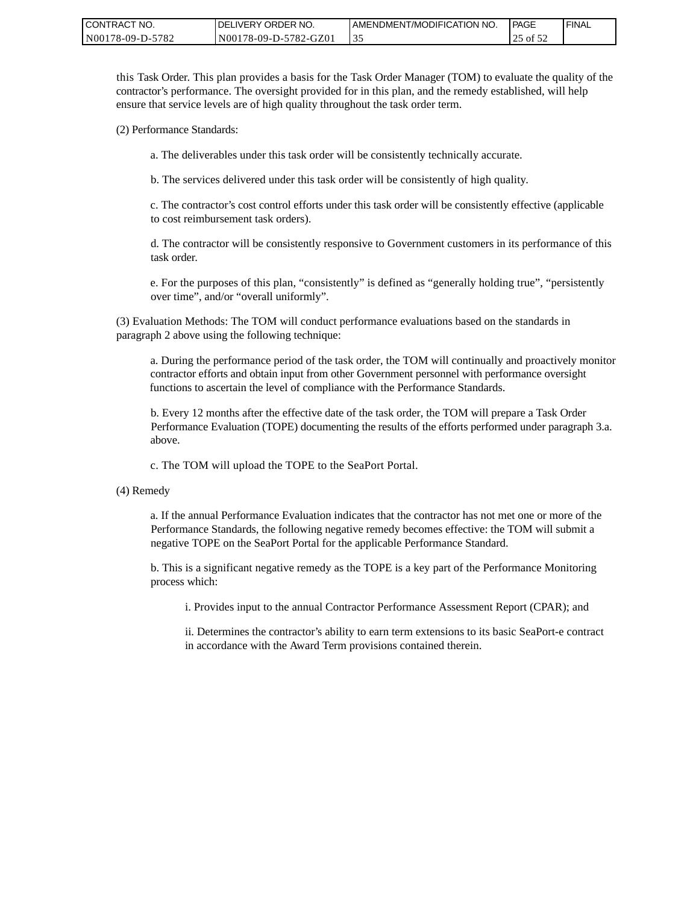| CONTRACT NO.     | <b>IDELIVERY ORDER NO.</b> | AMENDMENT/MODIFICATION NO. | PAGE    | <sup>I</sup> FINAL |
|------------------|----------------------------|----------------------------|---------|--------------------|
| N00178-09-D-5782 | N00178-09-D-5782-GZ01      | ັ້                         | - of 52 |                    |

this Task Order. This plan provides a basis for the Task Order Manager (TOM) to evaluate the quality of the contractor's performance. The oversight provided for in this plan, and the remedy established, will help ensure that service levels are of high quality throughout the task order term.

(2) Performance Standards:

a. The deliverables under this task order will be consistently technically accurate.

b. The services delivered under this task order will be consistently of high quality.

c. The contractor's cost control efforts under this task order will be consistently effective (applicable to cost reimbursement task orders).

d. The contractor will be consistently responsive to Government customers in its performance of this task order.

e. For the purposes of this plan, "consistently" is defined as "generally holding true", "persistently over time", and/or "overall uniformly".

(3) Evaluation Methods: The TOM will conduct performance evaluations based on the standards in paragraph 2 above using the following technique:

a. During the performance period of the task order, the TOM will continually and proactively monitor contractor efforts and obtain input from other Government personnel with performance oversight functions to ascertain the level of compliance with the Performance Standards.

b. Every 12 months after the effective date of the task order, the TOM will prepare a Task Order Performance Evaluation (TOPE) documenting the results of the efforts performed under paragraph 3.a. above.

c. The TOM will upload the TOPE to the SeaPort Portal.

(4) Remedy

a. If the annual Performance Evaluation indicates that the contractor has not met one or more of the Performance Standards, the following negative remedy becomes effective: the TOM will submit a negative TOPE on the SeaPort Portal for the applicable Performance Standard.

b. This is a significant negative remedy as the TOPE is a key part of the Performance Monitoring process which:

i. Provides input to the annual Contractor Performance Assessment Report (CPAR); and

ii. Determines the contractor's ability to earn term extensions to its basic SeaPort-e contract in accordance with the Award Term provisions contained therein.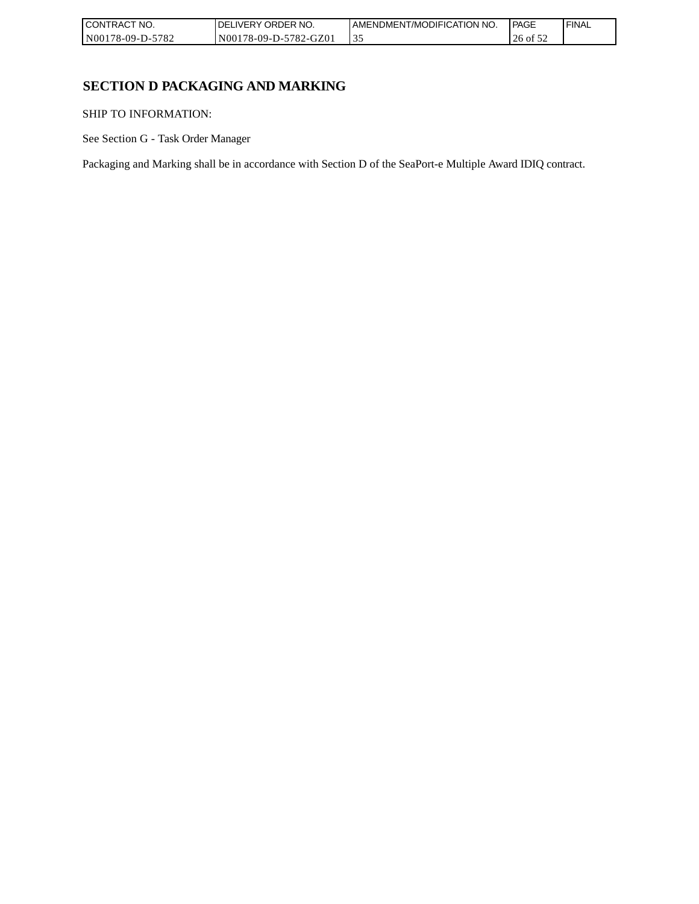| " NO.<br><b>CONTRACT</b> | LIVERY ORDER NO.<br>DEL | AMENDMENT/MODIFICATION NO. | <b>PAGE</b> | ' FINAL |
|--------------------------|-------------------------|----------------------------|-------------|---------|
| N00178-09-D-5782         | N00178-09-D-5782-GZ01   | ັ້                         | of 52<br>26 |         |

# **SECTION D PACKAGING AND MARKING**

SHIP TO INFORMATION:

See Section G - Task Order Manager

Packaging and Marking shall be in accordance with Section D of the SeaPort-e Multiple Award IDIQ contract.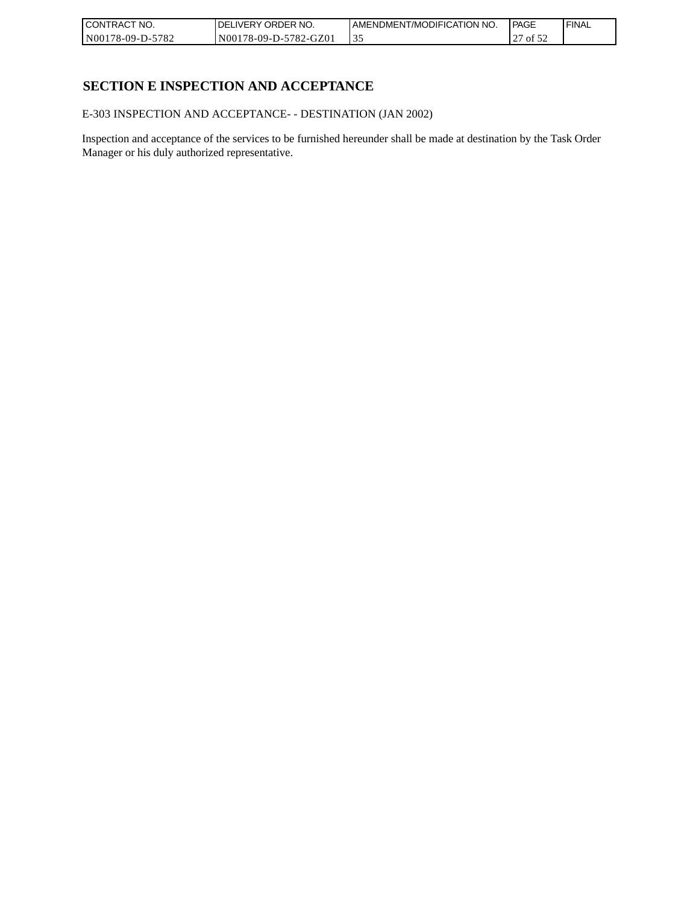| CONTRACT NO.     | ' ORDER NO.<br>DELIVERY | I AMENDMENT/MODIFICATION NO. | l PAGE                      | 'FINAL |
|------------------|-------------------------|------------------------------|-----------------------------|--------|
| N00178-09-D-5782 | N00178-09-D-5782-GZ01   | . J .                        | $\sim$<br>of 52<br>$\sim$ 1 |        |

# **SECTION E INSPECTION AND ACCEPTANCE**

E-303 INSPECTION AND ACCEPTANCE- - DESTINATION (JAN 2002)

Inspection and acceptance of the services to be furnished hereunder shall be made at destination by the Task Order Manager or his duly authorized representative.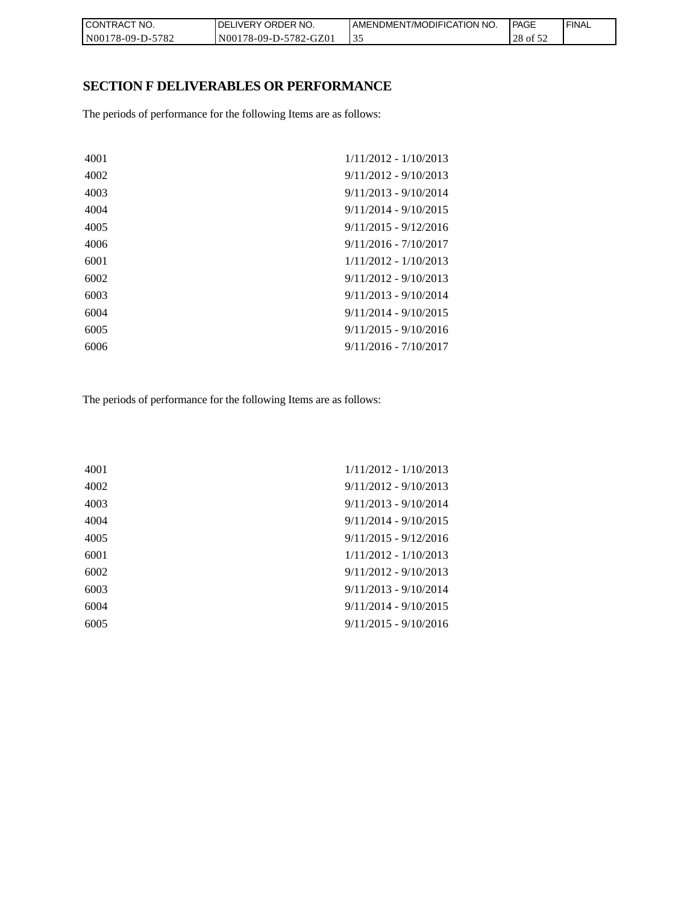| CONTRACT NO.     | <b>IDELIVERY ORDER NO.</b> | AMENDMENT/MODIFICATION NO. | PAGE     | ' FINAL |
|------------------|----------------------------|----------------------------|----------|---------|
| N00178-09-D-5782 | N00178-09-D-5782-GZ01      |                            | 28 of 52 |         |

# **SECTION F DELIVERABLES OR PERFORMANCE**

The periods of performance for the following Items are as follows:

| 4001 | 1/11/2012 - 1/10/2013   |
|------|-------------------------|
| 4002 | $9/11/2012 - 9/10/2013$ |
| 4003 | $9/11/2013 - 9/10/2014$ |
| 4004 | $9/11/2014 - 9/10/2015$ |
| 4005 | $9/11/2015 - 9/12/2016$ |
| 4006 | $9/11/2016 - 7/10/2017$ |
| 6001 | $1/11/2012 - 1/10/2013$ |
| 6002 | $9/11/2012 - 9/10/2013$ |
| 6003 | $9/11/2013 - 9/10/2014$ |
| 6004 | $9/11/2014 - 9/10/2015$ |
| 6005 | $9/11/2015 - 9/10/2016$ |
| 6006 | $9/11/2016 - 7/10/2017$ |
|      |                         |

The periods of performance for the following Items are as follows:

| 4001 | 1/11/2012 - 1/10/2013   |
|------|-------------------------|
| 4002 | $9/11/2012 - 9/10/2013$ |
| 4003 | $9/11/2013 - 9/10/2014$ |
| 4004 | $9/11/2014 - 9/10/2015$ |
| 4005 | $9/11/2015 - 9/12/2016$ |
| 6001 | $1/11/2012 - 1/10/2013$ |
| 6002 | $9/11/2012 - 9/10/2013$ |
| 6003 | $9/11/2013 - 9/10/2014$ |
| 6004 | $9/11/2014 - 9/10/2015$ |
| 6005 | $9/11/2015 - 9/10/2016$ |
|      |                         |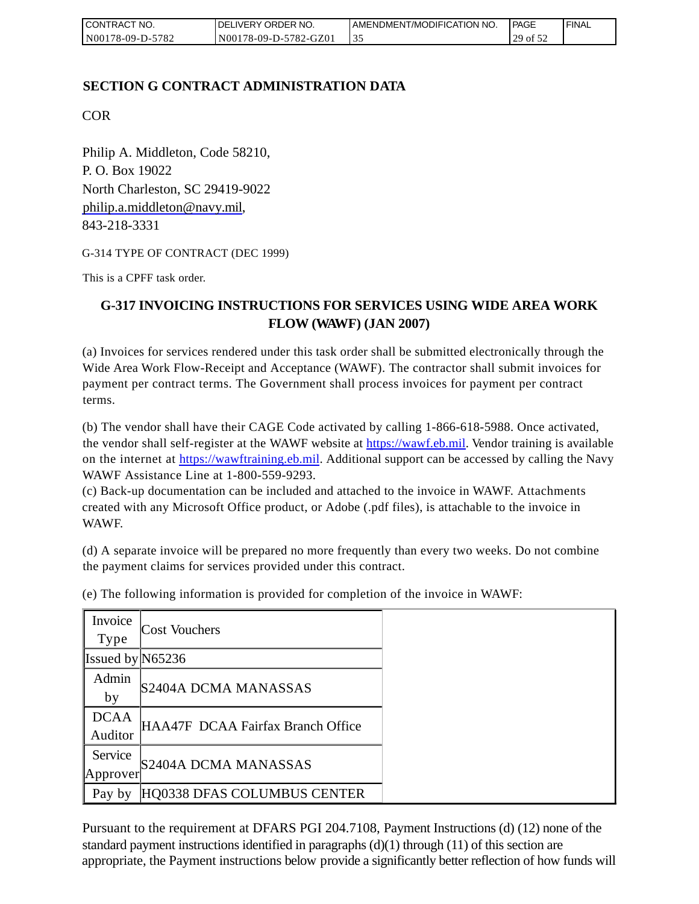| I CONTRACT NO.   | <b>IDELIVERY ORDER NO.</b> | AMENDMENT/MODIFICATION NO. | l PAGE                 | ' FINAL |
|------------------|----------------------------|----------------------------|------------------------|---------|
| N00178-09-D-5782 | N00178-09-D-5782-GZ01      |                            | 20<br>$9$ of $5\angle$ |         |

# **SECTION G CONTRACT ADMINISTRATION DATA**

COR

Philip A. Middleton, Code 58210, P. O. Box 19022 North Charleston, SC 29419-9022 [philip.a.middleton@navy.mil,](mailto:cphilip.a.middleton@navy.mil) 843-218-3331

G-314 TYPE OF CONTRACT (DEC 1999)

This is a CPFF task order.

# **G-317 INVOICING INSTRUCTIONS FOR SERVICES USING WIDE AREA WORK FLOW (WAWF) (JAN 2007)**

(a) Invoices for services rendered under this task order shall be submitted electronically through the Wide Area Work Flow-Receipt and Acceptance (WAWF). The contractor shall submit invoices for payment per contract terms. The Government shall process invoices for payment per contract terms.

(b) The vendor shall have their CAGE Code activated by calling 1-866-618-5988. Once activated, the vendor shall self-register at the WAWF website at [https://wawf.eb.mil.](https://wawf.eb.mil/) Vendor training is available on the internet at [https://wawftraining.eb.mil.](https://wawftraining.eb.mil/) Additional support can be accessed by calling the Navy WAWF Assistance Line at 1-800-559-9293.

(c) Back-up documentation can be included and attached to the invoice in WAWF. Attachments created with any Microsoft Office product, or Adobe (.pdf files), is attachable to the invoice in WAWF.

(d) A separate invoice will be prepared no more frequently than every two weeks. Do not combine the payment claims for services provided under this contract.

| Invoice<br><b>Type</b> | <b>Cost Vouchers</b>              |
|------------------------|-----------------------------------|
| Issued by $N65236$     |                                   |
| Admin<br>by            | S2404A DCMA MANASSAS              |
| <b>DCAA</b><br>Auditor | HAA47F DCAA Fairfax Branch Office |
| Service<br>Approver    | S2404A DCMA MANASSAS              |
| Pay by                 | HQ0338 DFAS COLUMBUS CENTER       |

(e) The following information is provided for completion of the invoice in WAWF:

Pursuant to the requirement at DFARS PGI 204.7108, Payment Instructions (d) (12) none of the standard payment instructions identified in paragraphs  $(d)(1)$  through  $(11)$  of this section are appropriate, the Payment instructions below provide a significantly better reflection of how funds will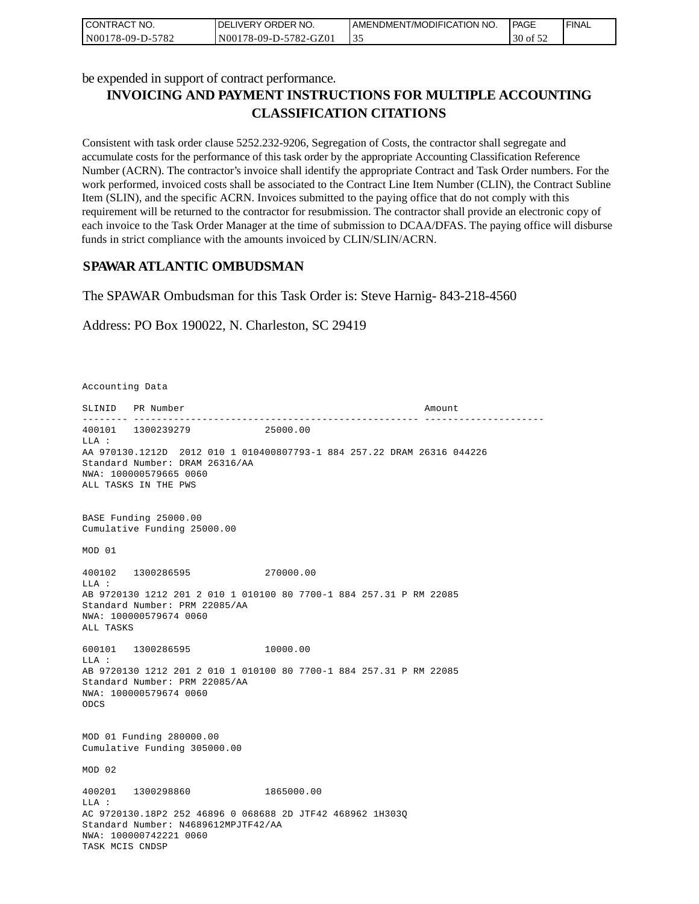| I CONTRACT NO.   | <b>IDELIVERY ORDER NO.</b> | I AMENDMENT/MODIFICATION NO. | <b>PAGE</b> | <b>FINAL</b> |
|------------------|----------------------------|------------------------------|-------------|--------------|
| N00178-09-D-5782 | N00178-09-D-5782-GZ01      | 35                           | 30 of 52    |              |

be expended in support of contract performance.

# **INVOICING AND PAYMENT INSTRUCTIONS FOR MULTIPLE ACCOUNTING CLASSIFICATION CITATIONS**

Consistent with task order clause 5252.232-9206, Segregation of Costs, the contractor shall segregate and accumulate costs for the performance of this task order by the appropriate Accounting Classification Reference Number (ACRN). The contractor's invoice shall identify the appropriate Contract and Task Order numbers. For the work performed, invoiced costs shall be associated to the Contract Line Item Number (CLIN), the Contract Subline Item (SLIN), and the specific ACRN. Invoices submitted to the paying office that do not comply with this requirement will be returned to the contractor for resubmission. The contractor shall provide an electronic copy of each invoice to the Task Order Manager at the time of submission to DCAA/DFAS. The paying office will disburse funds in strict compliance with the amounts invoiced by CLIN/SLIN/ACRN.

### **SPAWAR ATLANTIC OMBUDSMAN**

The SPAWAR Ombudsman for this Task Order is: Steve Harnig- 843-218-4560

Address: PO Box 190022, N. Charleston, SC 29419

Accounting Data

SLINID PR Number Amount -------- -------------------------------------------------- --------------------- 400101 1300239279 25000.00  $T.T.A$  : AA 970130.1212D 2012 010 1 010400807793-1 884 257.22 DRAM 26316 044226 Standard Number: DRAM 26316/AA NWA: 100000579665 0060 ALL TASKS IN THE PWS BASE Funding 25000.00 Cumulative Funding 25000.00 MOD 01 400102 1300286595 270000.00 LLA : AB 9720130 1212 201 2 010 1 010100 80 7700-1 884 257.31 P RM 22085 Standard Number: PRM 22085/AA NWA: 100000579674 0060 ALL TASKS 600101 1300286595 10000.00 LLA : AB 9720130 1212 201 2 010 1 010100 80 7700-1 884 257.31 P RM 22085 Standard Number: PRM 22085/AA NWA: 100000579674 0060 ODCS MOD 01 Funding 280000.00 Cumulative Funding 305000.00 MOD 02 400201 1300298860 1865000.00  $T.T.A$  : AC 9720130.18P2 252 46896 0 068688 2D JTF42 468962 1H303Q Standard Number: N4689612MPJTF42/AA NWA: 100000742221 0060 TASK MCIS CNDSP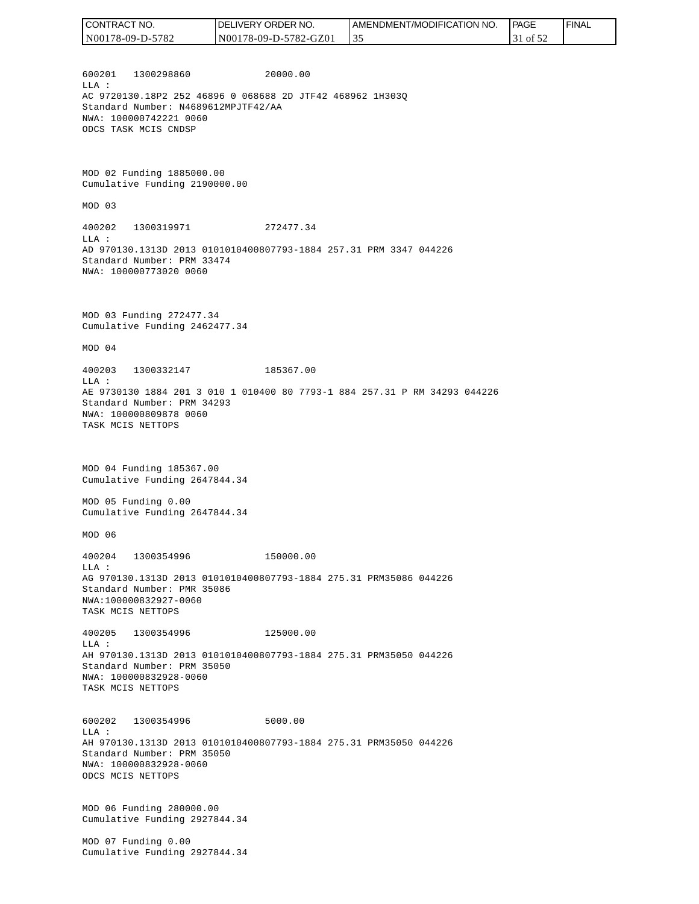600201 1300298860 20000.00  $T.T.A$  : AC 9720130.18P2 252 46896 0 068688 2D JTF42 468962 1H303Q Standard Number: N4689612MPJTF42/AA NWA: 100000742221 0060 ODCS TASK MCIS CNDSP MOD 02 Funding 1885000.00 Cumulative Funding 2190000.00 MOD 03 400202 1300319971 272477.34 LLA : AD 970130.1313D 2013 0101010400807793-1884 257.31 PRM 3347 044226 Standard Number: PRM 33474 NWA: 100000773020 0060 MOD 03 Funding 272477.34 Cumulative Funding 2462477.34 MOD 04 400203 1300332147 185367.00 LLA : AE 9730130 1884 201 3 010 1 010400 80 7793-1 884 257.31 P RM 34293 044226 Standard Number: PRM 34293 NWA: 100000809878 0060 TASK MCIS NETTOPS MOD 04 Funding 185367.00 Cumulative Funding 2647844.34 MOD 05 Funding 0.00 Cumulative Funding 2647844.34 MOD 06 400204 1300354996 150000.00 LLA : AG 970130.1313D 2013 0101010400807793-1884 275.31 PRM35086 044226 Standard Number: PMR 35086 NWA:100000832927-0060 TASK MCIS NETTOPS 400205 1300354996 125000.00 LLA : AH 970130.1313D 2013 0101010400807793-1884 275.31 PRM35050 044226 Standard Number: PRM 35050 NWA: 100000832928-0060 TASK MCIS NETTOPS 600202 1300354996 5000.00 LLA : AH 970130.1313D 2013 0101010400807793-1884 275.31 PRM35050 044226 Standard Number: PRM 35050 NWA: 100000832928-0060 ODCS MCIS NETTOPS MOD 06 Funding 280000.00 Cumulative Funding 2927844.34 CONTRACT NO. N00178-09-D-5782 DELIVERY ORDER NO. N00178-09-D-5782-GZ01 AMENDMENT/MODIFICATION NO. 35 **PAGE**  31 of 52 FINAL

MOD 07 Funding 0.00 Cumulative Funding 2927844.34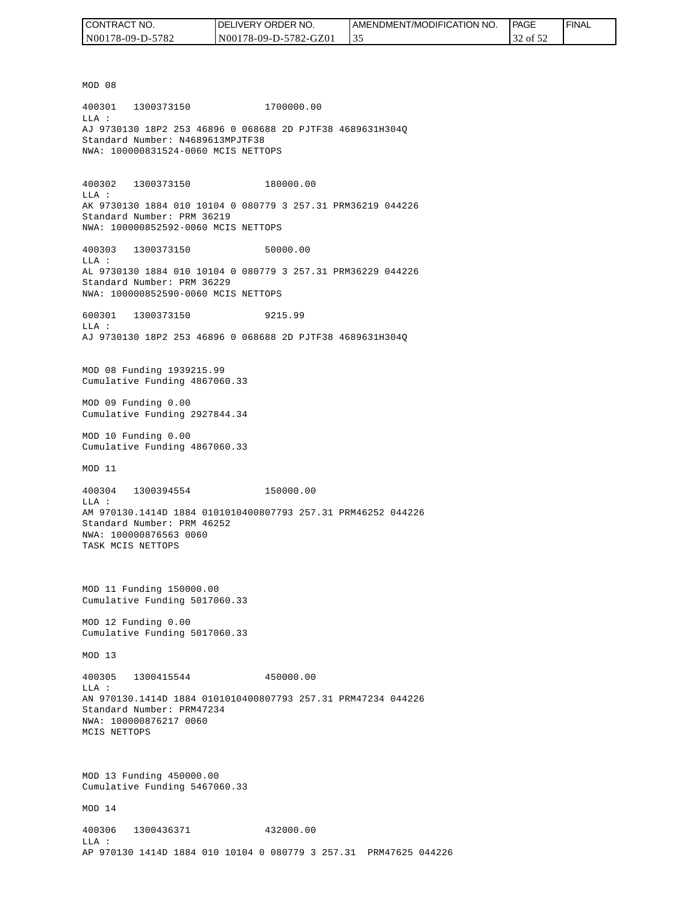| I CONTRACT NO.   | <b>IDELIVERY ORDER NO.</b> | I AMENDMENT/MODIFICATION NO. | <b>PAGE</b> | 'FINAL |
|------------------|----------------------------|------------------------------|-------------|--------|
| N00178-09-D-5782 | N00178-09-D-5782-GZ01      |                              | 32 of 52    |        |

MOD 08 400301 1300373150 1700000.00 LLA : AJ 9730130 18P2 253 46896 0 068688 2D PJTF38 4689631H304Q Standard Number: N4689613MPJTF38 NWA: 100000831524-0060 MCIS NETTOPS 400302 1300373150 180000.00 LLA : AK 9730130 1884 010 10104 0 080779 3 257.31 PRM36219 044226 Standard Number: PRM 36219 NWA: 100000852592-0060 MCIS NETTOPS 400303 1300373150 50000.00 LLA : AL 9730130 1884 010 10104 0 080779 3 257.31 PRM36229 044226 Standard Number: PRM 36229 NWA: 100000852590-0060 MCIS NETTOPS 600301 1300373150 9215.99  $T.T.A$  : AJ 9730130 18P2 253 46896 0 068688 2D PJTF38 4689631H304Q MOD 08 Funding 1939215.99 Cumulative Funding 4867060.33 MOD 09 Funding 0.00 Cumulative Funding 2927844.34 MOD 10 Funding 0.00 Cumulative Funding 4867060.33 MOD 11 400304 1300394554 150000.00 LLA : AM 970130.1414D 1884 0101010400807793 257.31 PRM46252 044226 Standard Number: PRM 46252 NWA: 100000876563 0060 TASK MCIS NETTOPS MOD 11 Funding 150000.00 Cumulative Funding 5017060.33 MOD 12 Funding 0.00 Cumulative Funding 5017060.33 MOD 13 400305 1300415544 450000.00  $L.L.A$  : AN 970130.1414D 1884 0101010400807793 257.31 PRM47234 044226 Standard Number: PRM47234 NWA: 100000876217 0060 MCIS NETTOPS MOD 13 Funding 450000.00 Cumulative Funding 5467060.33 MOD 14 400306 1300436371 432000.00 LLA : AP 970130 1414D 1884 010 10104 0 080779 3 257.31 PRM47625 044226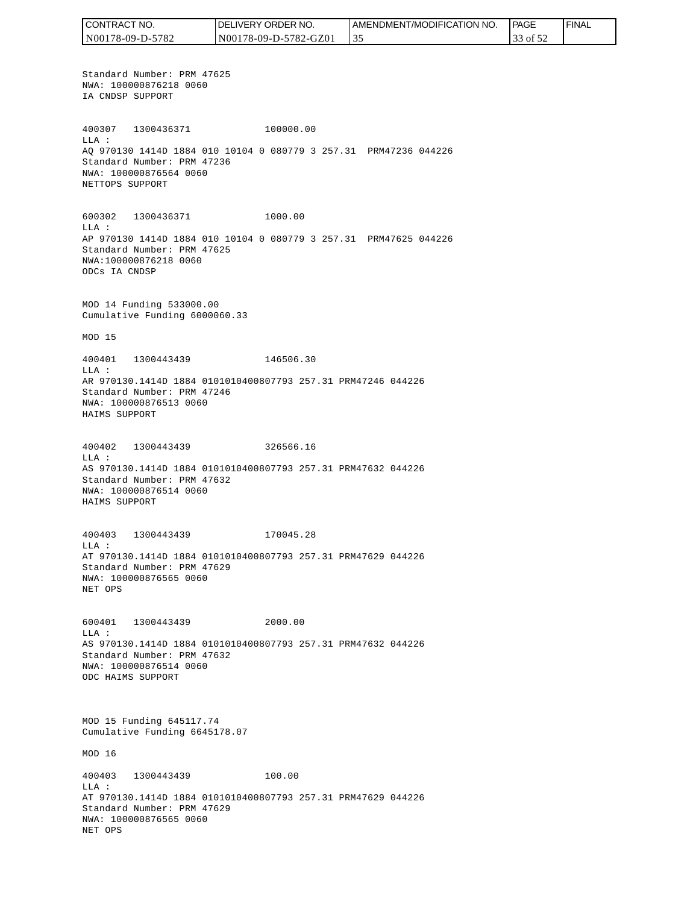CONTRACT NO. DELIVERY ORDER NO. AMENDMENT/MODIFICATION NO. PAGE FINALCONTRACT NO.<br>NO0178-09-D-5<br>Standard Numk<br>NWA: 1000087<br>IA CNDSP SUPP<br>400307 1300<br>400307 1300<br>400307 1300<br>MLA: 2000087<br>NET CNDSP SUPPC<br>600302 1300<br>NET TOPS SUPPC<br>600302 1300<br>LLA: AP 970130 141<br>Standard Numk<br>NWA: 10000087<br>MAD N00178-09-D-5782 N00178-09-D-5782-GZ01 35 33 of 52 Standard Number: PRM 47625 NWA: 100000876218 0060 IA CNDSP SUPPORT 400307 1300436371 100000.00 LLA : AQ 970130 1414D 1884 010 10104 0 080779 3 257.31 PRM47236 044226 Standard Number: PRM 47236 NWA: 100000876564 0060 NETTOPS SUPPORT 600302 1300436371 1000.00 LLA : AP 970130 1414D 1884 010 10104 0 080779 3 257.31 PRM47625 044226 Standard Number: PRM 47625 NWA:100000876218 0060 ODCs IA CNDSP MOD 14 Funding 533000.00 Cumulative Funding 6000060.33 MOD 15 400401 1300443439 146506.30 LLA : AR 970130.1414D 1884 0101010400807793 257.31 PRM47246 044226 Standard Number: PRM 47246 NWA: 100000876513 0060 HAIMS SUPPORT 400402 1300443439 326566.16 LLA : AS 970130.1414D 1884 0101010400807793 257.31 PRM47632 044226 Standard Number: PRM 47632 NWA: 100000876514 0060 HAIMS SUPPORT 400403 1300443439 170045.28 LLA : AT 970130.1414D 1884 0101010400807793 257.31 PRM47629 044226 Standard Number: PRM 47629 NWA: 100000876565 0060 NET OPS 600401 1300443439 2000.00 LLA : AS 970130.1414D 1884 0101010400807793 257.31 PRM47632 044226 Standard Number: PRM 47632 NWA: 100000876514 0060 ODC HAIMS SUPPORT MOD 15 Funding 645117.74 Cumulative Funding 6645178.07 MOD 16 400403 1300443439 100.00 LLA : AT 970130.1414D 1884 0101010400807793 257.31 PRM47629 044226 Standard Number: PRM 47629 NWA: 100000876565 0060 NET OPS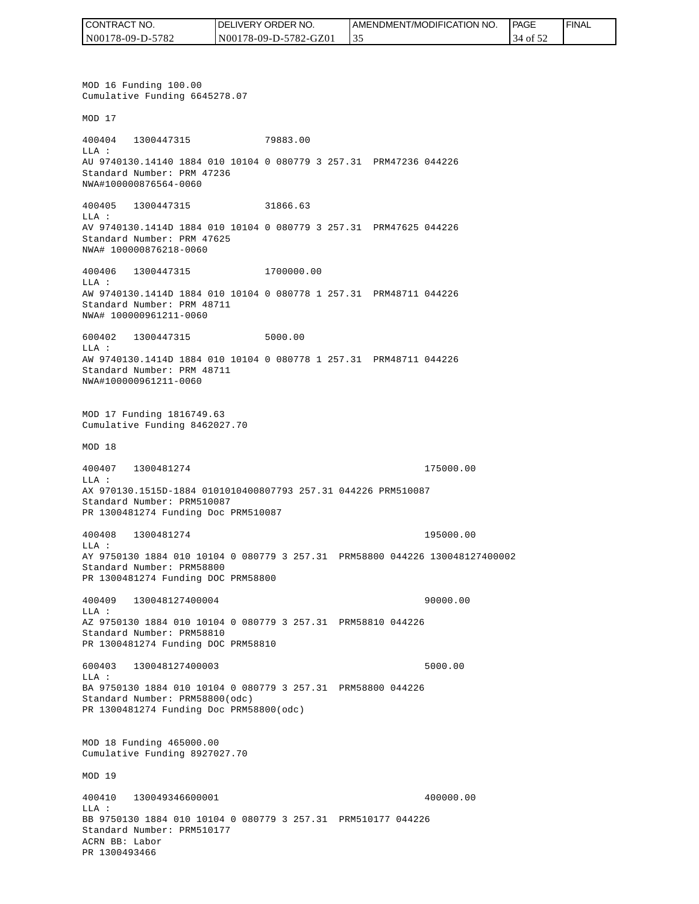| CONTRACT NO.     | <b>IDELIVERY ORDER NO.</b> | AMENDMENT/MODIFICATION NO. | PAGE     | 'FINAL |
|------------------|----------------------------|----------------------------|----------|--------|
| N00178-09-D-5782 | N00178-09-D-5782-GZ01      |                            | 34 of 52 |        |

MOD 16 Funding 100.00 Cumulative Funding 6645278.07 MOD 17 400404 1300447315 79883.00 LLA : AU 9740130.14140 1884 010 10104 0 080779 3 257.31 PRM47236 044226 Standard Number: PRM 47236 NWA#100000876564-0060 400405 1300447315 31866.63 LLA : AV 9740130.1414D 1884 010 10104 0 080779 3 257.31 PRM47625 044226 Standard Number: PRM 47625 NWA# 100000876218-0060 400406 1300447315 1700000.00 LLA : AW 9740130.1414D 1884 010 10104 0 080778 1 257.31 PRM48711 044226 Standard Number: PRM 48711 NWA# 100000961211-0060 600402 1300447315 5000.00 LLA : AW 9740130.1414D 1884 010 10104 0 080778 1 257.31 PRM48711 044226 Standard Number: PRM 48711 NWA#100000961211-0060 MOD 17 Funding 1816749.63 Cumulative Funding 8462027.70 MOD 18 400407 1300481274 175000.00 LLA : AX 970130.1515D-1884 0101010400807793 257.31 044226 PRM510087 Standard Number: PRM510087 PR 1300481274 Funding Doc PRM510087 400408 1300481274 195000.00 LLA : AY 9750130 1884 010 10104 0 080779 3 257.31 PRM58800 044226 130048127400002 Standard Number: PRM58800 PR 1300481274 Funding DOC PRM58800 400409 130048127400004 90000.00 LLA : AZ 9750130 1884 010 10104 0 080779 3 257.31 PRM58810 044226 Standard Number: PRM58810 PR 1300481274 Funding DOC PRM58810 600403 130048127400003 5000.00 LLA : BA 9750130 1884 010 10104 0 080779 3 257.31 PRM58800 044226 Standard Number: PRM58800(odc) PR 1300481274 Funding Doc PRM58800(odc) MOD 18 Funding 465000.00 Cumulative Funding 8927027.70 MOD 19 400410 130049346600001 400000.00  $L.L.A$  : BB 9750130 1884 010 10104 0 080779 3 257.31 PRM510177 044226 Standard Number: PRM510177 ACRN BB: Labor PR 1300493466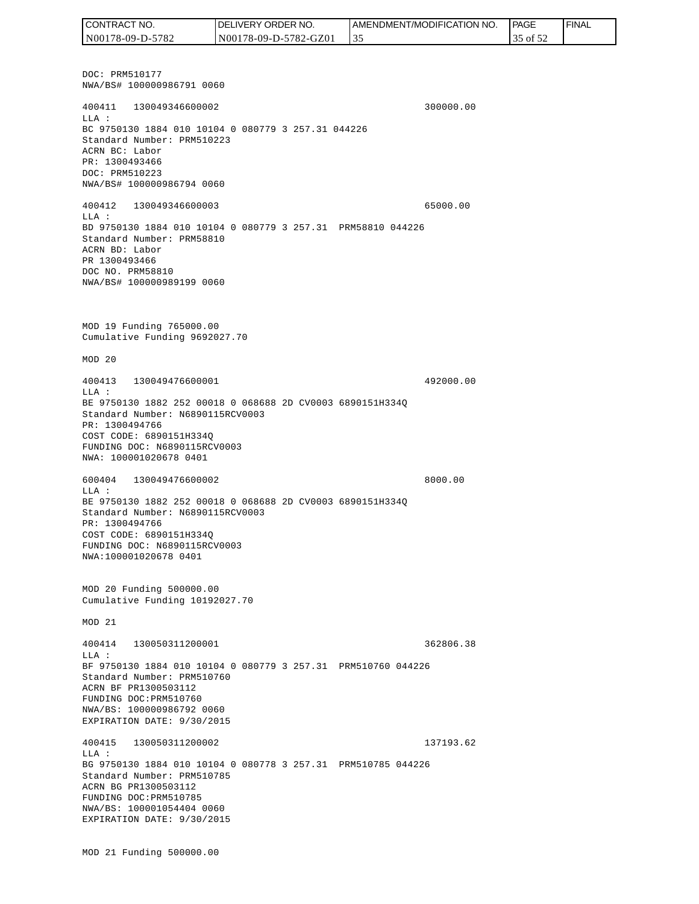DOC: PRM510177 NWA/BS# 100000986791 0060 400411 130049346600002 300000.00 LLA : BC 9750130 1884 010 10104 0 080779 3 257.31 044226 Standard Number: PRM510223 ACRN BC: Labor PR: 1300493466 DOC: PRM510223 NWA/BS# 100000986794 0060 400412 130049346600003 65000.00 LLA : BD 9750130 1884 010 10104 0 080779 3 257.31 PRM58810 044226 Standard Number: PRM58810 ACRN BD: Labor PR 1300493466 DOC NO. PRM58810 NWA/BS# 100000989199 0060 MOD 19 Funding 765000.00 Cumulative Funding 9692027.70 MOD 20 400413 130049476600001 492000.00 LLA : BE 9750130 1882 252 00018 0 068688 2D CV0003 6890151H334Q Standard Number: N6890115RCV0003 PR: 1300494766 COST CODE: 6890151H334Q FUNDING DOC: N6890115RCV0003 NWA: 100001020678 0401 600404 130049476600002 8000.00 LLA : BE 9750130 1882 252 00018 0 068688 2D CV0003 6890151H334Q Standard Number: N6890115RCV0003 PR: 1300494766 COST CODE: 6890151H334Q FUNDING DOC: N6890115RCV0003 NWA:100001020678 0401 MOD 20 Funding 500000.00 Cumulative Funding 10192027.70 MOD 21 400414 130050311200001 362806.38  $T.T.A$  : BF 9750130 1884 010 10104 0 080779 3 257.31 PRM510760 044226 Standard Number: PRM510760 ACRN BF PR1300503112 FUNDING DOC:PRM510760 NWA/BS: 100000986792 0060 EXPIRATION DATE: 9/30/2015 400415 130050311200002 137193.62 LLA : BG 9750130 1884 010 10104 0 080778 3 257.31 PRM510785 044226 Standard Number: PRM510785 ACRN BG PR1300503112 FUNDING DOC:PRM510785 NWA/BS: 100001054404 0060 EXPIRATION DATE: 9/30/2015 CONTRACT NO. N00178-09-D-5782 DELIVERY ORDER NO. N00178-09-D-5782-GZ01 AMENDMENT/MODIFICATION NO. 35 **PAGE**  35 of 52 FINAL

MOD 21 Funding 500000.00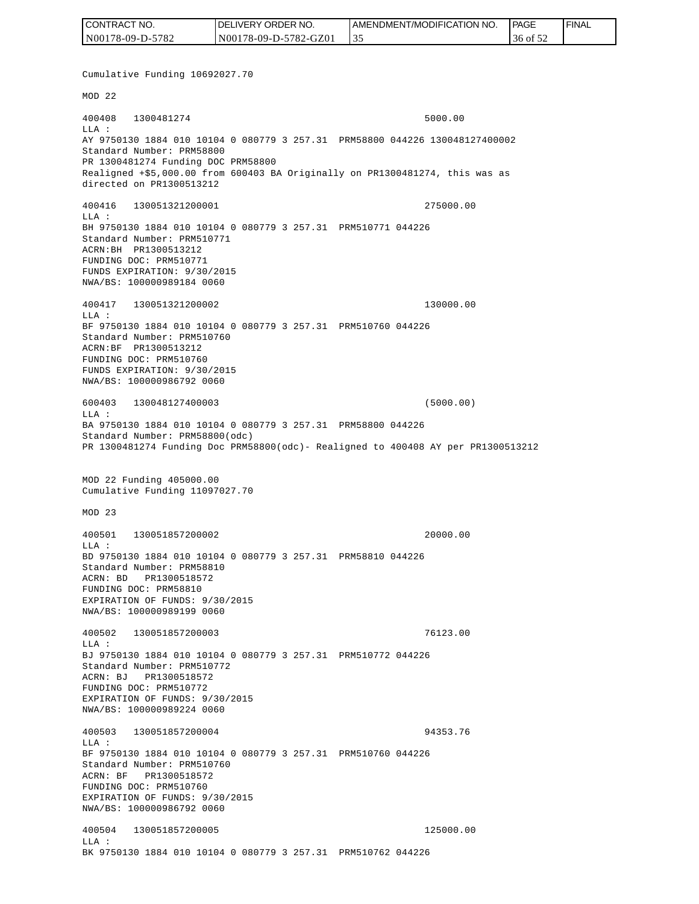| CONTRACT NO.     | <b>IDELIVERY ORDER NO.</b> | AMENDMENT/MODIFICATION NO. | <b>PAGE</b> | ' FINAL |
|------------------|----------------------------|----------------------------|-------------|---------|
| N00178-09-D-5782 | N00178-09-D-5782-GZ01      |                            | 36 of 52    |         |

Cumulative Funding 10692027.70 MOD 22 400408 1300481274 5000.00 LLA : AY 9750130 1884 010 10104 0 080779 3 257.31 PRM58800 044226 130048127400002 Standard Number: PRM58800 PR 1300481274 Funding DOC PRM58800 Realigned +\$5,000.00 from 600403 BA Originally on PR1300481274, this was as directed on PR1300513212 400416 130051321200001 275000.00 LLA : BH 9750130 1884 010 10104 0 080779 3 257.31 PRM510771 044226 Standard Number: PRM510771 ACRN:BH PR1300513212 FUNDING DOC: PRM510771 FUNDS EXPIRATION: 9/30/2015 NWA/BS: 100000989184 0060 400417 130051321200002 130000.00 LLA : BF 9750130 1884 010 10104 0 080779 3 257.31 PRM510760 044226 Standard Number: PRM510760 ACRN:BF PR1300513212 FUNDING DOC: PRM510760 FUNDS EXPIRATION: 9/30/2015 NWA/BS: 100000986792 0060 600403 130048127400003 (5000.00)  $L.L.A$  : BA 9750130 1884 010 10104 0 080779 3 257.31 PRM58800 044226 Standard Number: PRM58800(odc) PR 1300481274 Funding Doc PRM58800(odc)- Realigned to 400408 AY per PR1300513212 MOD 22 Funding 405000.00 Cumulative Funding 11097027.70 MOD 23 400501 130051857200002 20000.00  $L.L.A$  : BD 9750130 1884 010 10104 0 080779 3 257.31 PRM58810 044226 Standard Number: PRM58810 ACRN: BD PR1300518572 FUNDING DOC: PRM58810 EXPIRATION OF FUNDS: 9/30/2015 NWA/BS: 100000989199 0060 400502 130051857200003 76123.00 LLA : BJ 9750130 1884 010 10104 0 080779 3 257.31 PRM510772 044226 Standard Number: PRM510772 ACRN: BJ PR1300518572 FUNDING DOC: PRM510772 EXPIRATION OF FUNDS: 9/30/2015 NWA/BS: 100000989224 0060 400503 130051857200004 94353.76  $T.T.A$  : BF 9750130 1884 010 10104 0 080779 3 257.31 PRM510760 044226 Standard Number: PRM510760 ACRN: BF PR1300518572 FUNDING DOC: PRM510760 EXPIRATION OF FUNDS: 9/30/2015 NWA/BS: 100000986792 0060 400504 130051857200005 125000.00 LLA : BK 9750130 1884 010 10104 0 080779 3 257.31 PRM510762 044226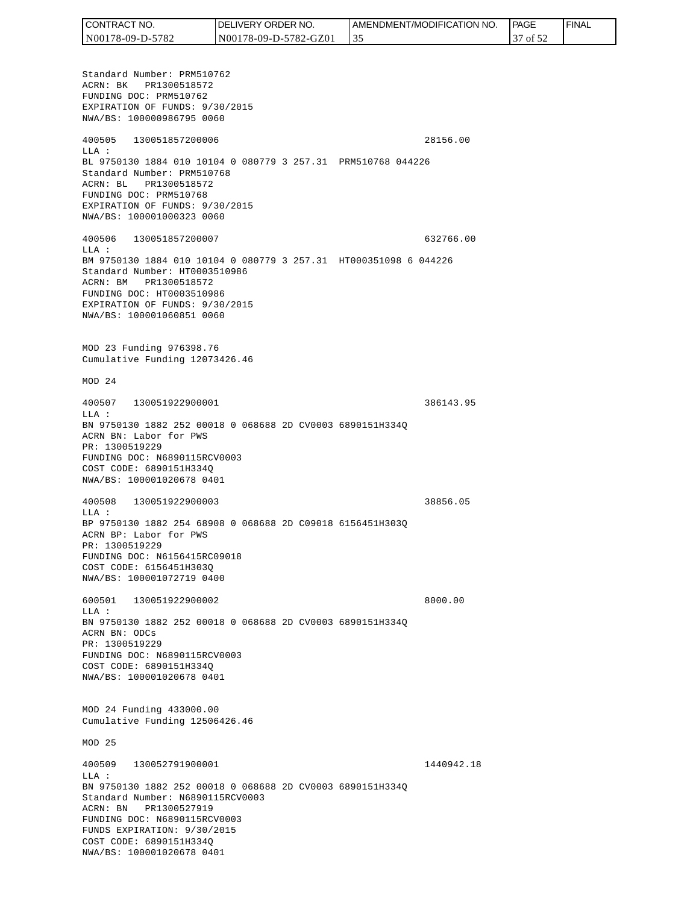| CONTRACT NO.     | <b>IDELIVERY ORDER NO.</b> | AMENDMENT/MODIFICATION NO. | <b>PAGE</b>   | ' FINAL |
|------------------|----------------------------|----------------------------|---------------|---------|
| N00178-09-D-5782 | N00178-09-D-5782-GZ01      |                            | $\cdot$ of 52 |         |

Standard Number: PRM510762 ACRN: BK PR1300518572 FUNDING DOC: PRM510762 EXPIRATION OF FUNDS: 9/30/2015 NWA/BS: 100000986795 0060 400505 130051857200006 28156.00 LLA : BL 9750130 1884 010 10104 0 080779 3 257.31 PRM510768 044226 Standard Number: PRM510768 ACRN: BL PR1300518572 FUNDING DOC: PRM510768 EXPIRATION OF FUNDS: 9/30/2015 NWA/BS: 100001000323 0060 400506 130051857200007 632766.00 LLA : BM 9750130 1884 010 10104 0 080779 3 257.31 HT000351098 6 044226 Standard Number: HT0003510986 ACRN: BM PR1300518572 FUNDING DOC: HT0003510986 EXPIRATION OF FUNDS: 9/30/2015 NWA/BS: 100001060851 0060 MOD 23 Funding 976398.76 Cumulative Funding 12073426.46 MOD 24 400507 130051922900001 386143.95  $T.T.A$  : BN 9750130 1882 252 00018 0 068688 2D CV0003 6890151H334Q ACRN BN: Labor for PWS PR: 1300519229 FUNDING DOC: N6890115RCV0003 COST CODE: 6890151H334Q NWA/BS: 100001020678 0401 400508 130051922900003 38856.05 LLA : BP 9750130 1882 254 68908 0 068688 2D C09018 6156451H303Q ACRN BP: Labor for PWS PR: 1300519229 FUNDING DOC: N6156415RC09018 COST CODE: 6156451H303Q NWA/BS: 100001072719 0400 600501 130051922900002 8000.00 LLA : BN 9750130 1882 252 00018 0 068688 2D CV0003 6890151H334Q ACRN BN: ODCs PR: 1300519229 FUNDING DOC: N6890115RCV0003 COST CODE: 6890151H334Q NWA/BS: 100001020678 0401 MOD 24 Funding 433000.00 Cumulative Funding 12506426.46 MOD 25 400509 130052791900001 1440942.18 LLA : BN 9750130 1882 252 00018 0 068688 2D CV0003 6890151H334Q Standard Number: N6890115RCV0003 ACRN: BN PR1300527919 FUNDING DOC: N6890115RCV0003 FUNDS EXPIRATION: 9/30/2015 COST CODE: 6890151H334Q NWA/BS: 100001020678 0401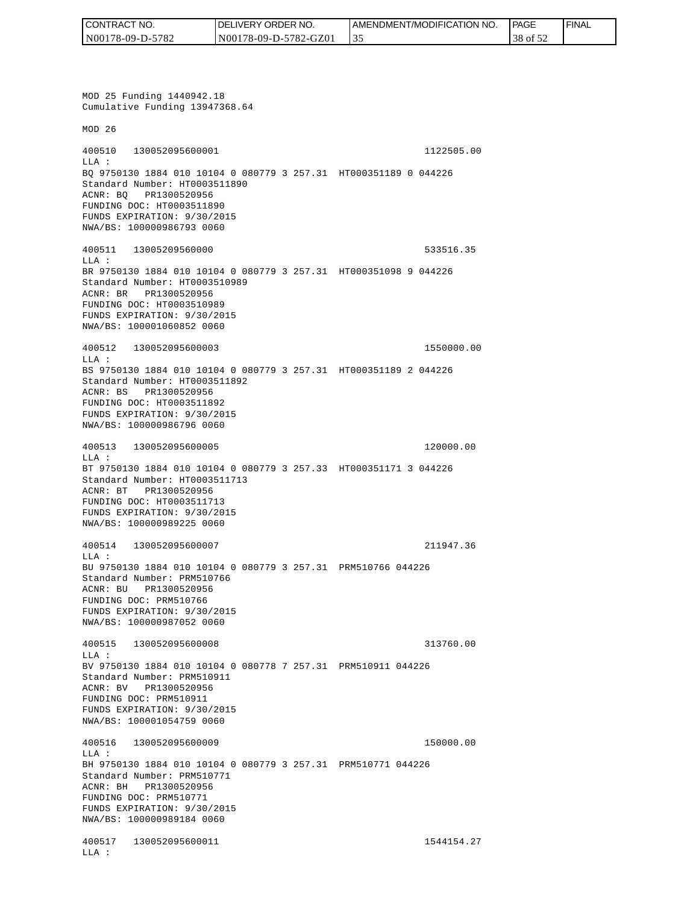| CONTRACT NO.     | <b>IDELIVERY ORDER NO.</b> | <b>I AMENDMENT/MODIFICATION NO.</b> | l PAGE   | <b>FINAL</b> |
|------------------|----------------------------|-------------------------------------|----------|--------------|
| N00178-09-D-5782 | N00178-09-D-5782-GZ01      | 35                                  | 38 of 52 |              |

MOD 25 Funding 1440942.18 Cumulative Funding 13947368.64 MOD 26 400510 130052095600001 1122505.00 LLA : BQ 9750130 1884 010 10104 0 080779 3 257.31 HT000351189 0 044226 Standard Number: HT0003511890 ACNR: BQ PR1300520956 FUNDING DOC: HT0003511890 FUNDS EXPIRATION: 9/30/2015 NWA/BS: 100000986793 0060 400511 13005209560000 533516.35 LLA : BR 9750130 1884 010 10104 0 080779 3 257.31 HT000351098 9 044226 Standard Number: HT0003510989 ACNR: BR PR1300520956 FUNDING DOC: HT0003510989 FUNDS EXPIRATION: 9/30/2015 NWA/BS: 100001060852 0060 400512 130052095600003 1550000.00 LLA : BS 9750130 1884 010 10104 0 080779 3 257.31 HT000351189 2 044226 Standard Number: HT0003511892 ACNR: BS PR1300520956 FUNDING DOC: HT0003511892 FUNDS EXPIRATION: 9/30/2015 NWA/BS: 100000986796 0060 400513 130052095600005 120000.00 LLA : BT 9750130 1884 010 10104 0 080779 3 257.33 HT000351171 3 044226 Standard Number: HT0003511713 ACNR: BT PR1300520956 FUNDING DOC: HT0003511713 FUNDS EXPIRATION: 9/30/2015 NWA/BS: 100000989225 0060 400514 130052095600007 211947.36 LLA : BU 9750130 1884 010 10104 0 080779 3 257.31 PRM510766 044226 Standard Number: PRM510766 ACNR: BU PR1300520956 FUNDING DOC: PRM510766 FUNDS EXPIRATION: 9/30/2015 NWA/BS: 100000987052 0060 400515 130052095600008 313760.00  $T.T.A$  : BV 9750130 1884 010 10104 0 080778 7 257.31 PRM510911 044226 Standard Number: PRM510911 ACNR: BV PR1300520956 FUNDING DOC: PRM510911 FUNDS EXPIRATION: 9/30/2015 NWA/BS: 100001054759 0060 400516 130052095600009 150000.00 LLA : BH 9750130 1884 010 10104 0 080779 3 257.31 PRM510771 044226 Standard Number: PRM510771 ACNR: BH PR1300520956 FUNDING DOC: PRM510771 FUNDS EXPIRATION: 9/30/2015 NWA/BS: 100000989184 0060 400517 130052095600011 1544154.27 LLA :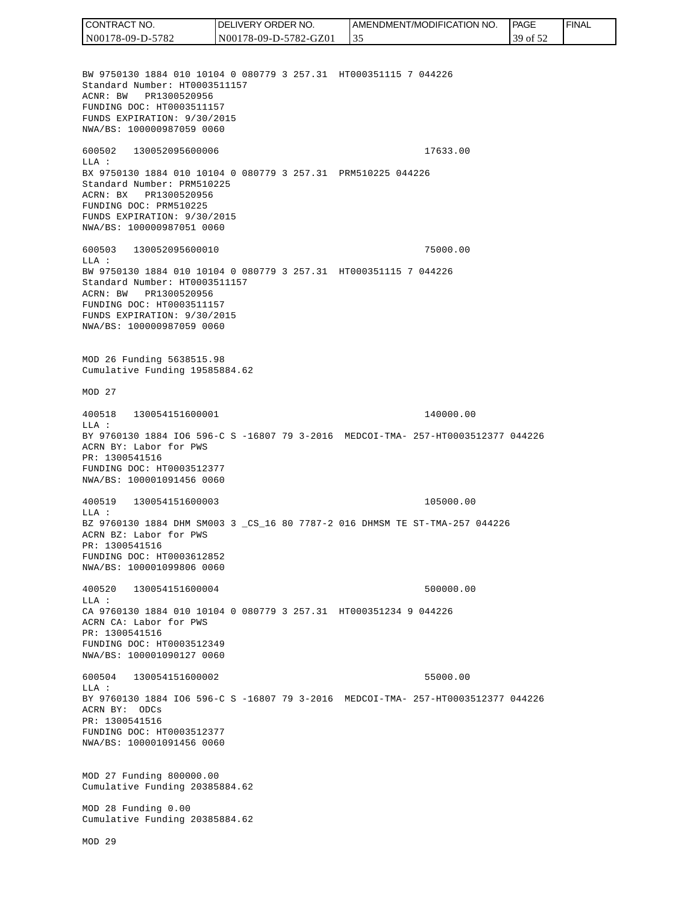CONTRACT NO. DELIVERY ORDER NO. AMENDMENT/MODIFICATION NO. **PAGE**  FINALCONTRACT NO.<br>
NO0178-09-D-5<br>
BW 9750130 18<br>
Standard Numb<br>
Standard Numb<br>
ACNR: BW PR<br>
FUNDING DOC:<br>
FUNDS EXPIRAT<br>
FUNDING DOC:<br>
TEUNDS EXPIRAT<br>
600502 1300<br>
600502 1300<br>
LLA: BX 9750130 18<br>
Standard Numb<br>
ACRR: BW PR<br>
FU N00178-09-D-5782 N00178-09-D-5782-GZ01 35 39 of 52 BW 9750130 1884 010 10104 0 080779 3 257.31 HT000351115 7 044226 Standard Number: HT0003511157 ACNR: BW PR1300520956 FUNDING DOC: HT0003511157 FUNDS EXPIRATION: 9/30/2015 NWA/BS: 100000987059 0060 600502 130052095600006 17633.00 LLA : BX 9750130 1884 010 10104 0 080779 3 257.31 PRM510225 044226 Standard Number: PRM510225 ACRN: BX PR1300520956 FUNDING DOC: PRM510225 FUNDS EXPIRATION: 9/30/2015 NWA/BS: 100000987051 0060 600503 130052095600010 75000.00  $T.T.A$  : BW 9750130 1884 010 10104 0 080779 3 257.31 HT000351115 7 044226 Standard Number: HT0003511157 ACRN: BW PR1300520956 FUNDING DOC: HT0003511157 FUNDS EXPIRATION: 9/30/2015 NWA/BS: 100000987059 0060 MOD 26 Funding 5638515.98 Cumulative Funding 19585884.62 MOD 27 400518 130054151600001 140000.00 LLA : BY 9760130 1884 IO6 596-C S -16807 79 3-2016 MEDCOI-TMA- 257-HT0003512377 044226 ACRN BY: Labor for PWS PR: 1300541516 FUNDING DOC: HT0003512377 NWA/BS: 100001091456 0060 400519 130054151600003 105000.00 LLA : BZ 9760130 1884 DHM SM003 3 \_CS\_16 80 7787-2 016 DHMSM TE ST-TMA-257 044226 ACRN BZ: Labor for PWS PR: 1300541516 FUNDING DOC: HT0003612852 NWA/BS: 100001099806 0060 400520 130054151600004 500000.00  $L.L.A$  : CA 9760130 1884 010 10104 0 080779 3 257.31 HT000351234 9 044226 ACRN CA: Labor for PWS PR: 1300541516 FUNDING DOC: HT0003512349 NWA/BS: 100001090127 0060 600504 130054151600002 55000.00  $T.T.A$  : BY 9760130 1884 IO6 596-C S -16807 79 3-2016 MEDCOI-TMA- 257-HT0003512377 044226 ACRN BY: ODCs PR: 1300541516 FUNDING DOC: HT0003512377 NWA/BS: 100001091456 0060 MOD 27 Funding 800000.00 Cumulative Funding 20385884.62 MOD 28 Funding 0.00 Cumulative Funding 20385884.62 MOD 29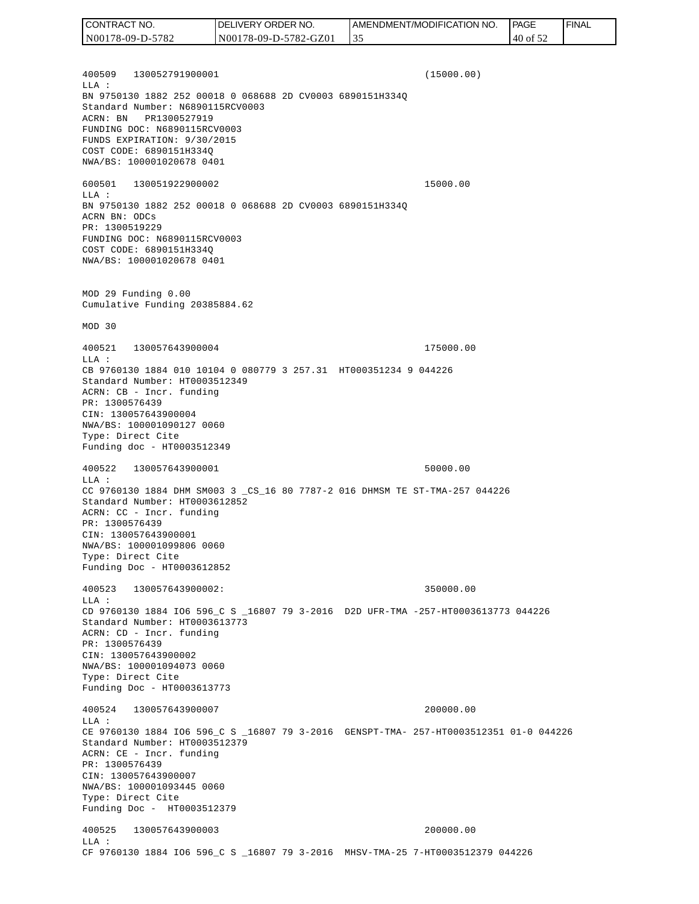400509 130052791900001 (15000.00) LLA : BN 9750130 1882 252 00018 0 068688 2D CV0003 6890151H334Q Standard Number: N6890115RCV0003 ACRN: BN PR1300527919 FUNDING DOC: N6890115RCV0003 FUNDS EXPIRATION: 9/30/2015 COST CODE: 6890151H334Q NWA/BS: 100001020678 0401 600501 130051922900002 15000.00 LLA : BN 9750130 1882 252 00018 0 068688 2D CV0003 6890151H334Q ACRN BN: ODCs PR: 1300519229 FUNDING DOC: N6890115RCV0003 COST CODE: 6890151H334Q NWA/BS: 100001020678 0401 MOD 29 Funding 0.00 Cumulative Funding 20385884.62 MOD 30 400521 130057643900004 175000.00 LLA : CB 9760130 1884 010 10104 0 080779 3 257.31 HT000351234 9 044226 Standard Number: HT0003512349 ACRN: CB - Incr. funding PR: 1300576439 CIN: 130057643900004 NWA/BS: 100001090127 0060 Type: Direct Cite Funding doc - HT0003512349 400522 130057643900001 50000.00 LLA : CC 9760130 1884 DHM SM003 3 \_CS\_16 80 7787-2 016 DHMSM TE ST-TMA-257 044226 Standard Number: HT0003612852 ACRN: CC - Incr. funding PR: 1300576439 CIN: 130057643900001 NWA/BS: 100001099806 0060 Type: Direct Cite Funding Doc - HT0003612852 400523 130057643900002: 350000.00  $L.L.A$  : CD 9760130 1884 IO6 596\_C S \_16807 79 3-2016 D2D UFR-TMA -257-HT0003613773 044226 Standard Number: HT0003613773 ACRN: CD - Incr. funding PR: 1300576439 CIN: 130057643900002 NWA/BS: 100001094073 0060 Type: Direct Cite Funding Doc - HT0003613773 400524 130057643900007 200000.00 LLA : CE 9760130 1884 IO6 596\_C S \_16807 79 3-2016 GENSPT-TMA- 257-HT0003512351 01-0 044226 Standard Number: HT0003512379 ACRN: CE - Incr. funding PR: 1300576439 CIN: 130057643900007 NWA/BS: 100001093445 0060 Type: Direct Cite Funding Doc - HT0003512379 400525 130057643900003 200000.00 LLA : CF 9760130 1884 IO6 596\_C S \_16807 79 3-2016 MHSV-TMA-25 7-HT0003512379 044226 CONTRACT NO. N00178-09-D-5782 DELIVERY ORDER NO. N00178-09-D-5782-GZ01 AMENDMENT/MODIFICATION NO. 35 **PAGE**  40 of 52 FINAL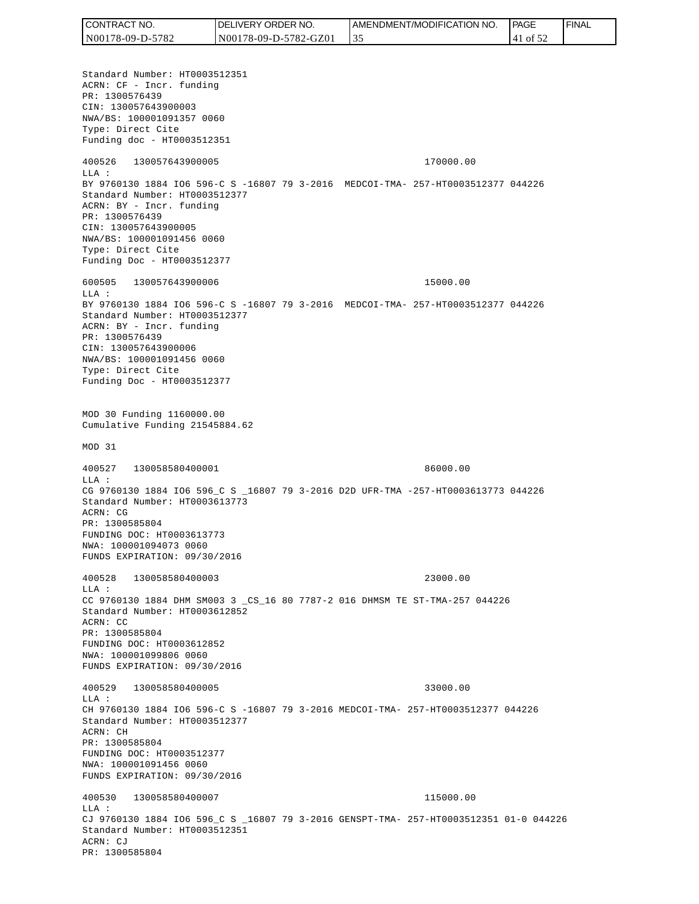| <b>CONTRACT</b><br>T NO. | 'JVERY ORDER NO.<br>DEl | <b>I AMENDMENT/MODIFICATION NO.</b> | <b>PAGE</b> | ' FINAL |
|--------------------------|-------------------------|-------------------------------------|-------------|---------|
| N00178-09-D-5782         | N00178-09-D-5782-GZ01   | 135                                 | of 52       |         |

Standard Number: HT0003512351 ACRN: CF - Incr. funding PR: 1300576439 CIN: 130057643900003 NWA/BS: 100001091357 0060 Type: Direct Cite Funding doc - HT0003512351 400526 130057643900005 170000.00 LLA : BY 9760130 1884 IO6 596-C S -16807 79 3-2016 MEDCOI-TMA- 257-HT0003512377 044226 Standard Number: HT0003512377 ACRN: BY - Incr. funding PR: 1300576439 CIN: 130057643900005 NWA/BS: 100001091456 0060 Type: Direct Cite Funding Doc - HT0003512377 600505 130057643900006 15000.00  $T.T.A$  : BY 9760130 1884 IO6 596-C S -16807 79 3-2016 MEDCOI-TMA- 257-HT0003512377 044226 Standard Number: HT0003512377 ACRN: BY - Incr. funding PR: 1300576439 CIN: 130057643900006 NWA/BS: 100001091456 0060 Type: Direct Cite Funding Doc - HT0003512377 MOD 30 Funding 1160000.00 Cumulative Funding 21545884.62 MOD 31 400527 130058580400001 86000.00 LLA : CG 9760130 1884 IO6 596\_C S \_16807 79 3-2016 D2D UFR-TMA -257-HT0003613773 044226 Standard Number: HT0003613773 ACRN: CG PR: 1300585804 FUNDING DOC: HT0003613773 NWA: 100001094073 0060 FUNDS EXPIRATION: 09/30/2016 400528 130058580400003 23000.00 LLA : CC 9760130 1884 DHM SM003 3 \_CS\_16 80 7787-2 016 DHMSM TE ST-TMA-257 044226 Standard Number: HT0003612852 ACRN: CC PR: 1300585804 FUNDING DOC: HT0003612852 NWA: 100001099806 0060 FUNDS EXPIRATION: 09/30/2016 400529 130058580400005 33000.00 LLA : CH 9760130 1884 IO6 596-C S -16807 79 3-2016 MEDCOI-TMA- 257-HT0003512377 044226 Standard Number: HT0003512377 ACRN: CH PR: 1300585804 FUNDING DOC: HT0003512377 NWA: 100001091456 0060 FUNDS EXPIRATION: 09/30/2016 400530 130058580400007 115000.00  $L.L.A$  : CJ 9760130 1884 IO6 596\_C S \_16807 79 3-2016 GENSPT-TMA- 257-HT0003512351 01-0 044226 Standard Number: HT0003512351 ACRN: CJ PR: 1300585804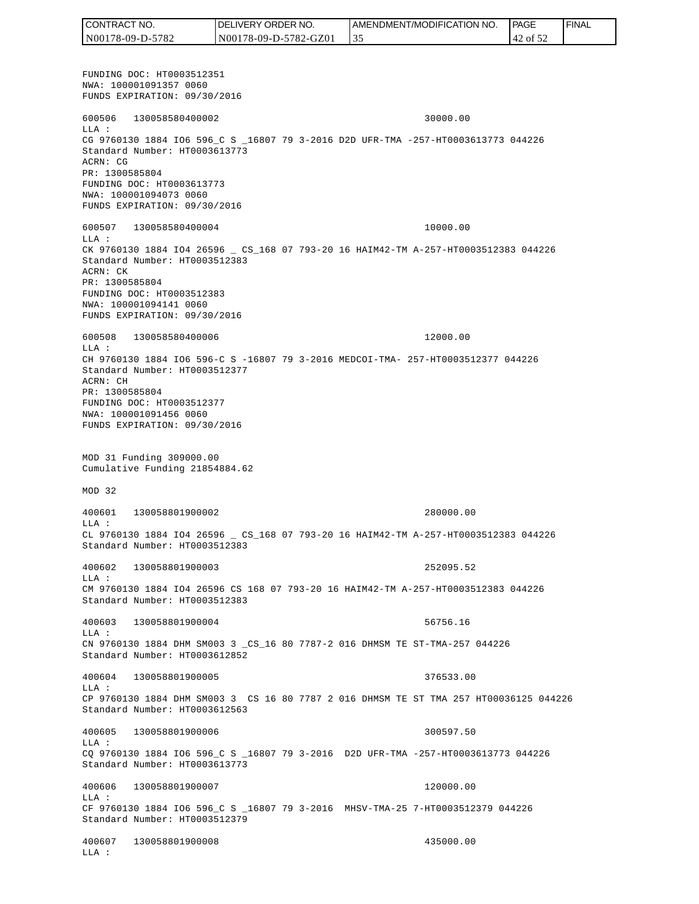FUNDING DOC: HT0003512351 NWA: 100001091357 0060 FUNDS EXPIRATION: 09/30/2016 600506 130058580400002 30000.00 LLA : CG 9760130 1884 IO6 596\_C S \_16807 79 3-2016 D2D UFR-TMA -257-HT0003613773 044226 Standard Number: HT0003613773 ACRN: CG PR: 1300585804 FUNDING DOC: HT0003613773 NWA: 100001094073 0060 FUNDS EXPIRATION: 09/30/2016 600507 130058580400004 10000.00 LLA : CK 9760130 1884 IO4 26596 \_ CS\_168 07 793-20 16 HAIM42-TM A-257-HT0003512383 044226 Standard Number: HT0003512383 ACRN: CK PR: 1300585804 FUNDING DOC: HT0003512383 NWA: 100001094141 0060 FUNDS EXPIRATION: 09/30/2016 600508 130058580400006 12000.00 LLA : CH 9760130 1884 IO6 596-C S -16807 79 3-2016 MEDCOI-TMA- 257-HT0003512377 044226 Standard Number: HT0003512377 ACRN: CH PR: 1300585804 FUNDING DOC: HT0003512377 NWA: 100001091456 0060 FUNDS EXPIRATION: 09/30/2016 MOD 31 Funding 309000.00 Cumulative Funding 21854884.62 MOD 32 400601 130058801900002 280000.00 LLA : CL 9760130 1884 IO4 26596 \_ CS\_168 07 793-20 16 HAIM42-TM A-257-HT0003512383 044226 Standard Number: HT0003512383 400602 130058801900003 252095.52 LLA : CM 9760130 1884 IO4 26596 CS 168 07 793-20 16 HAIM42-TM A-257-HT0003512383 044226 Standard Number: HT0003512383 400603 130058801900004 56756.16 LLA : CN 9760130 1884 DHM SM003 3 \_CS\_16 80 7787-2 016 DHMSM TE ST-TMA-257 044226 Standard Number: HT0003612852 400604 130058801900005 376533.00  $T.T.A$  : CP 9760130 1884 DHM SM003 3 CS 16 80 7787 2 016 DHMSM TE ST TMA 257 HT00036125 044226 Standard Number: HT0003612563 400605 130058801900006 300597.50  $T.T.A$  : CQ 9760130 1884 IO6 596\_C S \_16807 79 3-2016 D2D UFR-TMA -257-HT0003613773 044226 Standard Number: HT0003613773 400606 130058801900007 120000.00 LLA : CF 9760130 1884 IO6 596\_C S \_16807 79 3-2016 MHSV-TMA-25 7-HT0003512379 044226 Standard Number: HT0003512379 400607 130058801900008 435000.00 LLA : CONTRACT NO. N00178-09-D-5782 DELIVERY ORDER NO. N00178-09-D-5782-GZ01 AMENDMENT/MODIFICATION NO. 35 **PAGE**  42 of 52 FINAL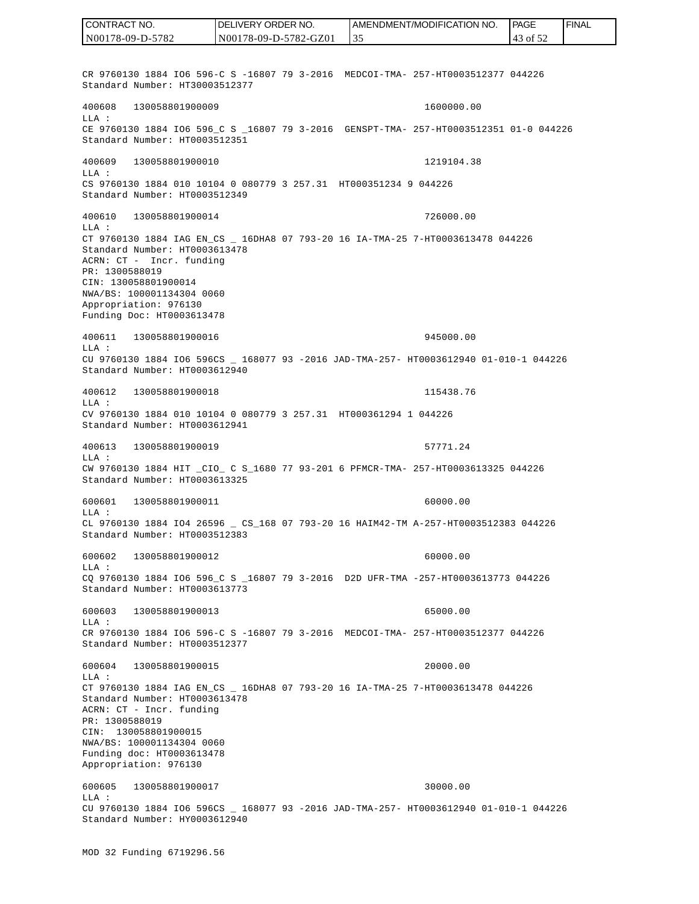CR 9760130 1884 IO6 596-C S -16807 79 3-2016 MEDCOI-TMA- 257-HT0003512377 044226 Standard Number: HT30003512377 400608 130058801900009 1600000.00 LLA : CE 9760130 1884 IO6 596 C S 16807 79 3-2016 GENSPT-TMA- 257-HT0003512351 01-0 044226 Standard Number: HT0003512351 400609 130058801900010 1219104.38 LLA : CS 9760130 1884 010 10104 0 080779 3 257.31 HT000351234 9 044226 Standard Number: HT0003512349 400610 130058801900014 726000.00 LLA : CT 9760130 1884 IAG EN\_CS \_ 16DHA8 07 793-20 16 IA-TMA-25 7-HT0003613478 044226 Standard Number: HT0003613478 ACRN: CT - Incr. funding PR: 1300588019 CIN: 130058801900014 NWA/BS: 100001134304 0060 Appropriation: 976130 Funding Doc: HT0003613478 400611 130058801900016 945000.00 LLA : CU 9760130 1884 IO6 596CS \_ 168077 93 -2016 JAD-TMA-257- HT0003612940 01-010-1 044226 Standard Number: HT0003612940 400612 130058801900018 115438.76 LLA : CV 9760130 1884 010 10104 0 080779 3 257.31 HT000361294 1 044226 Standard Number: HT0003612941 400613 130058801900019 57771.24 LLA : CW 9760130 1884 HIT \_CIO\_ C S\_1680 77 93-201 6 PFMCR-TMA- 257-HT0003613325 044226 Standard Number: HT0003613325 600601 130058801900011 60000.00 LLA : CL 9760130 1884 IO4 26596 \_ CS\_168 07 793-20 16 HAIM42-TM A-257-HT0003512383 044226 Standard Number: HT0003512383 600602 130058801900012 60000.00 LLA : CQ 9760130 1884 IO6 596\_C S \_16807 79 3-2016 D2D UFR-TMA -257-HT0003613773 044226 Standard Number: HT0003613773 600603 130058801900013 65000.00  $T.T.A$  : CR 9760130 1884 IO6 596-C S -16807 79 3-2016 MEDCOI-TMA- 257-HT0003512377 044226 Standard Number: HT0003512377 600604 130058801900015 20000.00 LLA : CT 9760130 1884 IAG EN\_CS \_ 16DHA8 07 793-20 16 IA-TMA-25 7-HT0003613478 044226 Standard Number: HT0003613478 ACRN: CT - Incr. funding PR: 1300588019 CIN: 130058801900015 NWA/BS: 100001134304 0060 Funding doc: HT0003613478 Appropriation: 976130 600605 130058801900017 30000.00 LLA : CU 9760130 1884 IO6 596CS \_ 168077 93 -2016 JAD-TMA-257- HT0003612940 01-010-1 044226 Standard Number: HY0003612940 CONTRACT NO. N00178-09-D-5782 DELIVERY ORDER NO. N00178-09-D-5782-GZ01 AMENDMENT/MODIFICATION NO. 35 **PAGE**  43 of 52 FINAL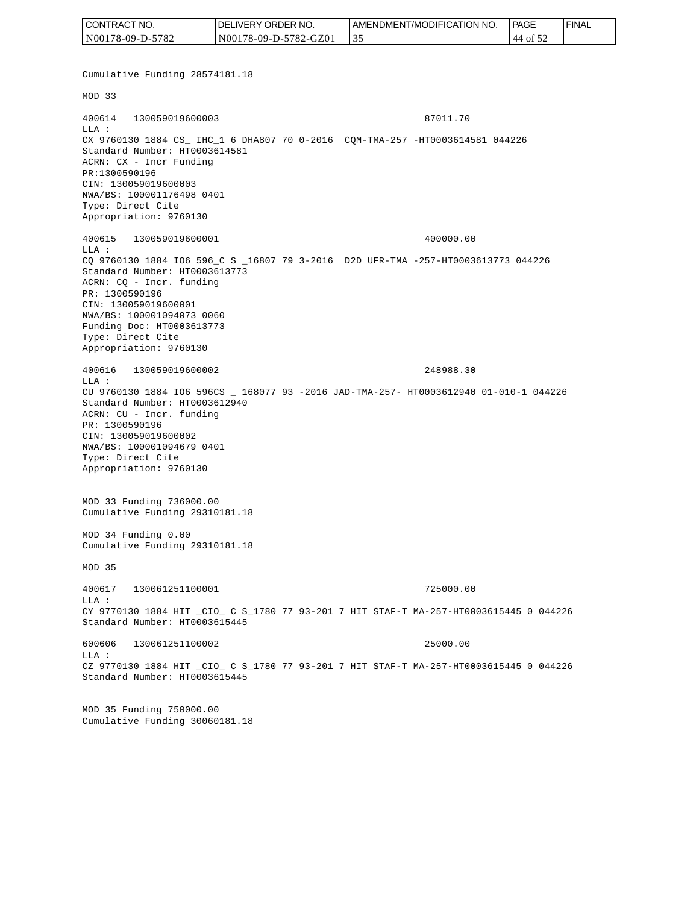| CONTRACT NO.     | I DELIVERY ORDER NO.  | AMENDMENT/MODIFICATION NO. | <b>PAGE</b>   | ' FINAL |
|------------------|-----------------------|----------------------------|---------------|---------|
| N00178-09-D-5782 | N00178-09-D-5782-GZ01 |                            | . 44<br>of 52 |         |

Cumulative Funding 28574181.18 MOD 33 400614 130059019600003 87011.70 LLA : CX 9760130 1884 CS\_ IHC\_1 6 DHA807 70 0-2016 CQM-TMA-257 -HT0003614581 044226 Standard Number: HT0003614581 ACRN: CX - Incr Funding PR:1300590196 CIN: 130059019600003 NWA/BS: 100001176498 0401 Type: Direct Cite Appropriation: 9760130 400615 130059019600001 400000.00 LLA : CQ 9760130 1884 IO6 596\_C S \_16807 79 3-2016 D2D UFR-TMA -257-HT0003613773 044226 Standard Number: HT0003613773 ACRN: CQ - Incr. funding PR: 1300590196 CIN: 130059019600001 NWA/BS: 100001094073 0060 Funding Doc: HT0003613773 Type: Direct Cite Appropriation: 9760130 400616 130059019600002 248988.30 LLA : CU 9760130 1884 IO6 596CS \_ 168077 93 -2016 JAD-TMA-257- HT0003612940 01-010-1 044226 Standard Number: HT0003612940 ACRN: CU - Incr. funding PR: 1300590196 CIN: 130059019600002 NWA/BS: 100001094679 0401 Type: Direct Cite Appropriation: 9760130 MOD 33 Funding 736000.00 Cumulative Funding 29310181.18 MOD 34 Funding 0.00 Cumulative Funding 29310181.18 MOD 35 400617 130061251100001 725000.00  $L.L.A$  : CY 9770130 1884 HIT \_CIO\_ C S\_1780 77 93-201 7 HIT STAF-T MA-257-HT0003615445 0 044226 Standard Number: HT0003615445 600606 130061251100002 25000.00  $T.T.A$  : CZ 9770130 1884 HIT \_CIO\_ C S\_1780 77 93-201 7 HIT STAF-T MA-257-HT0003615445 0 044226 Standard Number: HT0003615445 MOD 35 Funding 750000.00

Cumulative Funding 30060181.18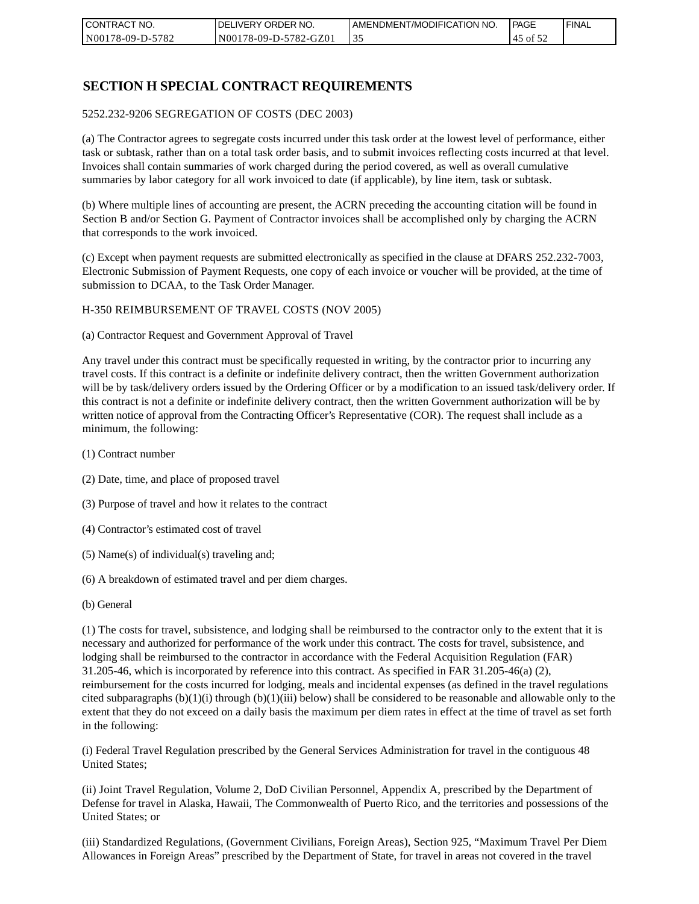| CONTRACT NO.     | ' NO.<br><b>DELIVERY ORDER</b> | AMENDMENT/MODIFICATION NO. | PAGE     | ' FINAL |
|------------------|--------------------------------|----------------------------|----------|---------|
| N00178-09-D-5782 | N00178-09-D-5782-GZ01          |                            | 0Ť<br>45 |         |

## **SECTION H SPECIAL CONTRACT REQUIREMENTS**

#### 5252.232-9206 SEGREGATION OF COSTS (DEC 2003)

(a) The Contractor agrees to segregate costs incurred under this task order at the lowest level of performance, either task or subtask, rather than on a total task order basis, and to submit invoices reflecting costs incurred at that level. Invoices shall contain summaries of work charged during the period covered, as well as overall cumulative summaries by labor category for all work invoiced to date (if applicable), by line item, task or subtask.

(b) Where multiple lines of accounting are present, the ACRN preceding the accounting citation will be found in Section B and/or Section G. Payment of Contractor invoices shall be accomplished only by charging the ACRN that corresponds to the work invoiced.

(c) Except when payment requests are submitted electronically as specified in the clause at DFARS 252.232-7003, Electronic Submission of Payment Requests, one copy of each invoice or voucher will be provided, at the time of submission to DCAA, to the Task Order Manager.

#### H-350 REIMBURSEMENT OF TRAVEL COSTS (NOV 2005)

(a) Contractor Request and Government Approval of Travel

Any travel under this contract must be specifically requested in writing, by the contractor prior to incurring any travel costs. If this contract is a definite or indefinite delivery contract, then the written Government authorization will be by task/delivery orders issued by the Ordering Officer or by a modification to an issued task/delivery order. If this contract is not a definite or indefinite delivery contract, then the written Government authorization will be by written notice of approval from the Contracting Officer's Representative (COR). The request shall include as a minimum, the following:

- (1) Contract number
- (2) Date, time, and place of proposed travel
- (3) Purpose of travel and how it relates to the contract
- (4) Contractor's estimated cost of travel
- (5) Name(s) of individual(s) traveling and;
- (6) A breakdown of estimated travel and per diem charges.
- (b) General

(1) The costs for travel, subsistence, and lodging shall be reimbursed to the contractor only to the extent that it is necessary and authorized for performance of the work under this contract. The costs for travel, subsistence, and lodging shall be reimbursed to the contractor in accordance with the Federal Acquisition Regulation (FAR) 31.205-46, which is incorporated by reference into this contract. As specified in FAR 31.205-46(a) (2), reimbursement for the costs incurred for lodging, meals and incidental expenses (as defined in the travel regulations cited subparagraphs  $(b)(1)(i)$  through  $(b)(1)(iii)$  below) shall be considered to be reasonable and allowable only to the extent that they do not exceed on a daily basis the maximum per diem rates in effect at the time of travel as set forth in the following:

(i) Federal Travel Regulation prescribed by the General Services Administration for travel in the contiguous 48 United States;

(ii) Joint Travel Regulation, Volume 2, DoD Civilian Personnel, Appendix A, prescribed by the Department of Defense for travel in Alaska, Hawaii, The Commonwealth of Puerto Rico, and the territories and possessions of the United States; or

(iii) Standardized Regulations, (Government Civilians, Foreign Areas), Section 925, "Maximum Travel Per Diem Allowances in Foreign Areas" prescribed by the Department of State, for travel in areas not covered in the travel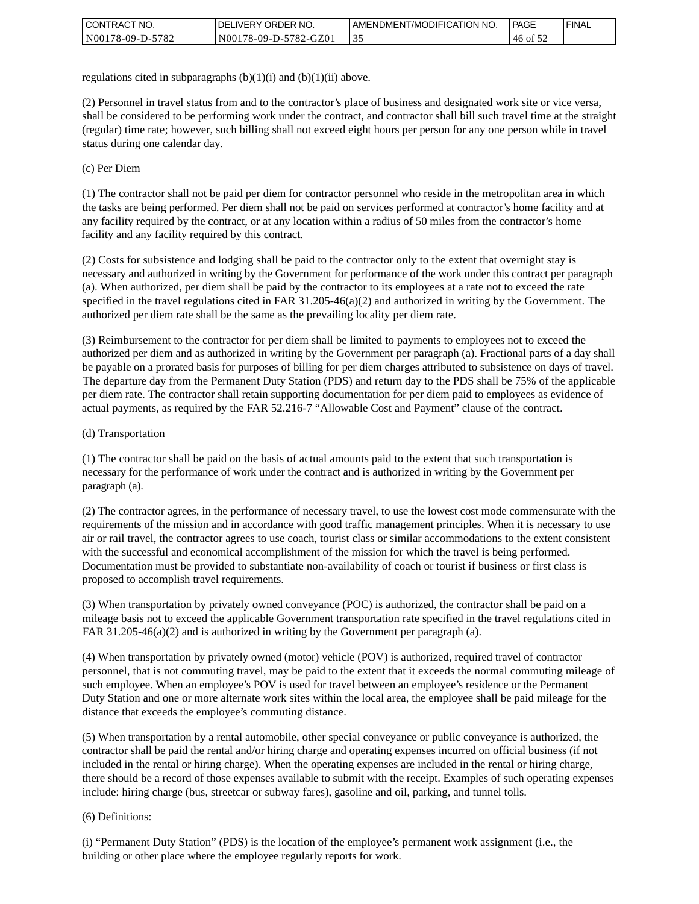| CONTRACT NO.     | <b>IDELIVERY ORDER NO.</b> | I AMENDMENT/MODIFICATION NO. | <b>PAGE</b>   | <b>I FINAL</b> |
|------------------|----------------------------|------------------------------|---------------|----------------|
| N00178-09-D-5782 | N00178-09-D-5782-GZ01      | ້                            | 46<br>of $52$ |                |

regulations cited in subparagraphs  $(b)(1)(i)$  and  $(b)(1)(ii)$  above.

(2) Personnel in travel status from and to the contractor's place of business and designated work site or vice versa, shall be considered to be performing work under the contract, and contractor shall bill such travel time at the straight (regular) time rate; however, such billing shall not exceed eight hours per person for any one person while in travel status during one calendar day.

(c) Per Diem

(1) The contractor shall not be paid per diem for contractor personnel who reside in the metropolitan area in which the tasks are being performed. Per diem shall not be paid on services performed at contractor's home facility and at any facility required by the contract, or at any location within a radius of 50 miles from the contractor's home facility and any facility required by this contract.

(2) Costs for subsistence and lodging shall be paid to the contractor only to the extent that overnight stay is necessary and authorized in writing by the Government for performance of the work under this contract per paragraph (a). When authorized, per diem shall be paid by the contractor to its employees at a rate not to exceed the rate specified in the travel regulations cited in FAR 31.205-46(a)(2) and authorized in writing by the Government. The authorized per diem rate shall be the same as the prevailing locality per diem rate.

(3) Reimbursement to the contractor for per diem shall be limited to payments to employees not to exceed the authorized per diem and as authorized in writing by the Government per paragraph (a). Fractional parts of a day shall be payable on a prorated basis for purposes of billing for per diem charges attributed to subsistence on days of travel. The departure day from the Permanent Duty Station (PDS) and return day to the PDS shall be 75% of the applicable per diem rate. The contractor shall retain supporting documentation for per diem paid to employees as evidence of actual payments, as required by the FAR 52.216-7 "Allowable Cost and Payment" clause of the contract.

#### (d) Transportation

(1) The contractor shall be paid on the basis of actual amounts paid to the extent that such transportation is necessary for the performance of work under the contract and is authorized in writing by the Government per paragraph (a).

(2) The contractor agrees, in the performance of necessary travel, to use the lowest cost mode commensurate with the requirements of the mission and in accordance with good traffic management principles. When it is necessary to use air or rail travel, the contractor agrees to use coach, tourist class or similar accommodations to the extent consistent with the successful and economical accomplishment of the mission for which the travel is being performed. Documentation must be provided to substantiate non-availability of coach or tourist if business or first class is proposed to accomplish travel requirements.

(3) When transportation by privately owned conveyance (POC) is authorized, the contractor shall be paid on a mileage basis not to exceed the applicable Government transportation rate specified in the travel regulations cited in FAR 31.205-46(a)(2) and is authorized in writing by the Government per paragraph (a).

(4) When transportation by privately owned (motor) vehicle (POV) is authorized, required travel of contractor personnel, that is not commuting travel, may be paid to the extent that it exceeds the normal commuting mileage of such employee. When an employee's POV is used for travel between an employee's residence or the Permanent Duty Station and one or more alternate work sites within the local area, the employee shall be paid mileage for the distance that exceeds the employee's commuting distance.

(5) When transportation by a rental automobile, other special conveyance or public conveyance is authorized, the contractor shall be paid the rental and/or hiring charge and operating expenses incurred on official business (if not included in the rental or hiring charge). When the operating expenses are included in the rental or hiring charge, there should be a record of those expenses available to submit with the receipt. Examples of such operating expenses include: hiring charge (bus, streetcar or subway fares), gasoline and oil, parking, and tunnel tolls.

#### (6) Definitions:

(i) "Permanent Duty Station" (PDS) is the location of the employee's permanent work assignment (i.e., the building or other place where the employee regularly reports for work.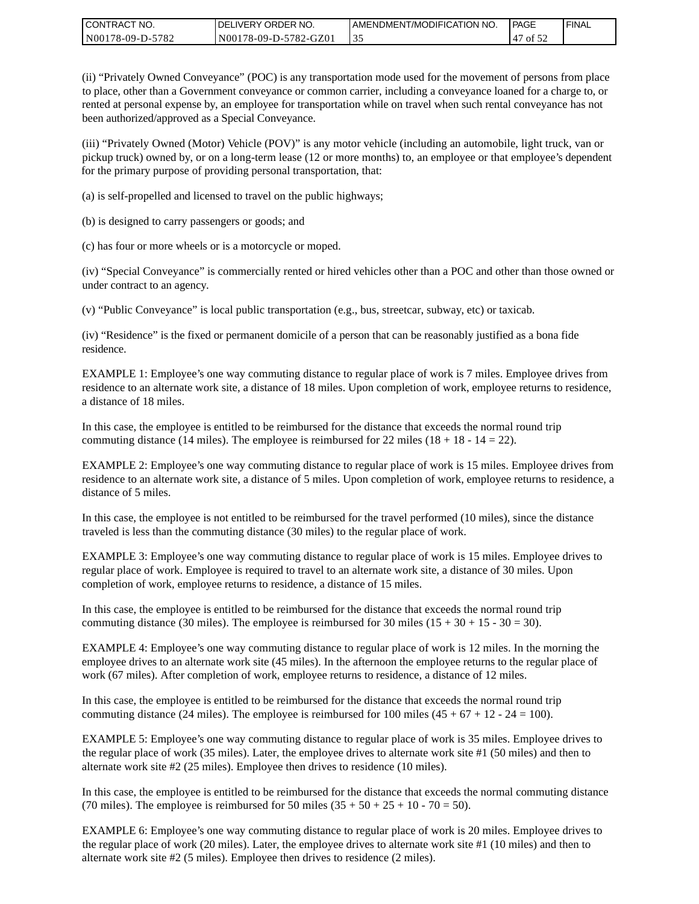| I CONTRACT NO.   | DELIVERY ORDER NO.    | <b>LAMENDMENT/MODIFICATION NO.</b> | PAGE      | l FINAL |
|------------------|-----------------------|------------------------------------|-----------|---------|
| N00178-09-D-5782 | N00178-09-D-5782-GZ01 |                                    | $'$ of 5. |         |

(ii) "Privately Owned Conveyance" (POC) is any transportation mode used for the movement of persons from place to place, other than a Government conveyance or common carrier, including a conveyance loaned for a charge to, or rented at personal expense by, an employee for transportation while on travel when such rental conveyance has not been authorized/approved as a Special Conveyance.

(iii) "Privately Owned (Motor) Vehicle (POV)" is any motor vehicle (including an automobile, light truck, van or pickup truck) owned by, or on a long-term lease (12 or more months) to, an employee or that employee's dependent for the primary purpose of providing personal transportation, that:

(a) is self-propelled and licensed to travel on the public highways;

(b) is designed to carry passengers or goods; and

(c) has four or more wheels or is a motorcycle or moped.

(iv) "Special Conveyance" is commercially rented or hired vehicles other than a POC and other than those owned or under contract to an agency.

(v) "Public Conveyance" is local public transportation (e.g., bus, streetcar, subway, etc) or taxicab.

(iv) "Residence" is the fixed or permanent domicile of a person that can be reasonably justified as a bona fide residence.

EXAMPLE 1: Employee's one way commuting distance to regular place of work is 7 miles. Employee drives from residence to an alternate work site, a distance of 18 miles. Upon completion of work, employee returns to residence, a distance of 18 miles.

In this case, the employee is entitled to be reimbursed for the distance that exceeds the normal round trip commuting distance (14 miles). The employee is reimbursed for 22 miles (18 + 18 - 14 = 22).

EXAMPLE 2: Employee's one way commuting distance to regular place of work is 15 miles. Employee drives from residence to an alternate work site, a distance of 5 miles. Upon completion of work, employee returns to residence, a distance of 5 miles.

In this case, the employee is not entitled to be reimbursed for the travel performed (10 miles), since the distance traveled is less than the commuting distance (30 miles) to the regular place of work.

EXAMPLE 3: Employee's one way commuting distance to regular place of work is 15 miles. Employee drives to regular place of work. Employee is required to travel to an alternate work site, a distance of 30 miles. Upon completion of work, employee returns to residence, a distance of 15 miles.

In this case, the employee is entitled to be reimbursed for the distance that exceeds the normal round trip commuting distance (30 miles). The employee is reimbursed for 30 miles  $(15 + 30 + 15 - 30 = 30)$ .

EXAMPLE 4: Employee's one way commuting distance to regular place of work is 12 miles. In the morning the employee drives to an alternate work site (45 miles). In the afternoon the employee returns to the regular place of work (67 miles). After completion of work, employee returns to residence, a distance of 12 miles.

In this case, the employee is entitled to be reimbursed for the distance that exceeds the normal round trip commuting distance (24 miles). The employee is reimbursed for 100 miles  $(45 + 67 + 12 - 24 = 100)$ .

EXAMPLE 5: Employee's one way commuting distance to regular place of work is 35 miles. Employee drives to the regular place of work (35 miles). Later, the employee drives to alternate work site #1 (50 miles) and then to alternate work site #2 (25 miles). Employee then drives to residence (10 miles).

In this case, the employee is entitled to be reimbursed for the distance that exceeds the normal commuting distance (70 miles). The employee is reimbursed for 50 miles  $(35 + 50 + 25 + 10 - 70 = 50)$ .

EXAMPLE 6: Employee's one way commuting distance to regular place of work is 20 miles. Employee drives to the regular place of work (20 miles). Later, the employee drives to alternate work site #1 (10 miles) and then to alternate work site #2 (5 miles). Employee then drives to residence (2 miles).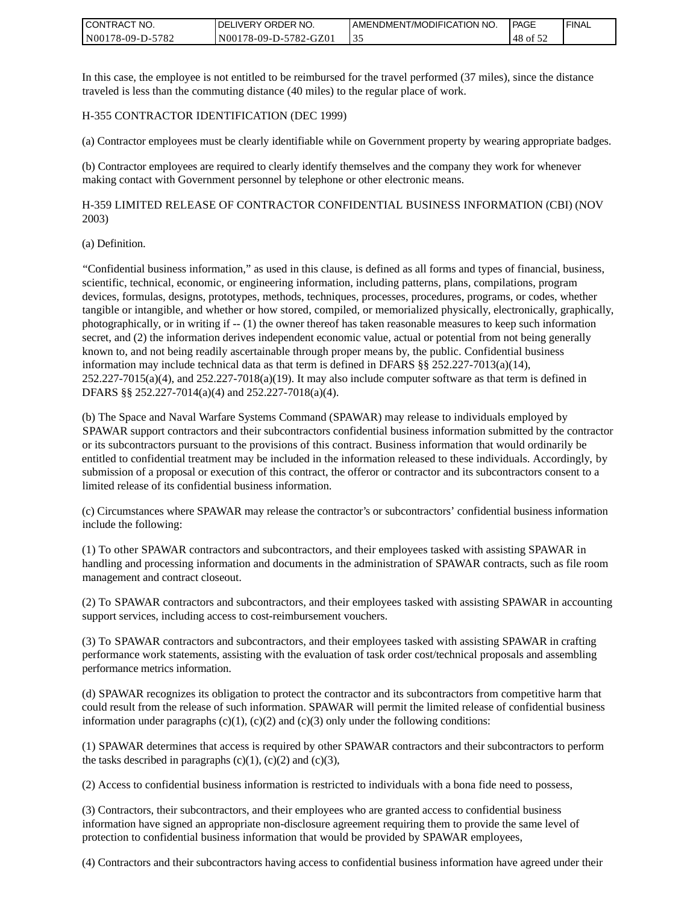| I CONTRACT NO.   | DELIVERY ORDER NO.    | I AMENDMENT/MODIFICATION NO. | PAGE                  | <b>I FINAL</b> |
|------------------|-----------------------|------------------------------|-----------------------|----------------|
| N00178-09-D-5782 | N00178-09-D-5782-GZ01 | . J .                        | '48<br>$\times$ of 5. |                |

In this case, the employee is not entitled to be reimbursed for the travel performed (37 miles), since the distance traveled is less than the commuting distance (40 miles) to the regular place of work.

H-355 CONTRACTOR IDENTIFICATION (DEC 1999)

(a) Contractor employees must be clearly identifiable while on Government property by wearing appropriate badges.

(b) Contractor employees are required to clearly identify themselves and the company they work for whenever making contact with Government personnel by telephone or other electronic means.

H-359 LIMITED RELEASE OF CONTRACTOR CONFIDENTIAL BUSINESS INFORMATION (CBI) (NOV 2003)

#### (a) Definition.

"Confidential business information," as used in this clause, is defined as all forms and types of financial, business, scientific, technical, economic, or engineering information, including patterns, plans, compilations, program devices, formulas, designs, prototypes, methods, techniques, processes, procedures, programs, or codes, whether tangible or intangible, and whether or how stored, compiled, or memorialized physically, electronically, graphically, photographically, or in writing if -- (1) the owner thereof has taken reasonable measures to keep such information secret, and (2) the information derives independent economic value, actual or potential from not being generally known to, and not being readily ascertainable through proper means by, the public. Confidential business information may include technical data as that term is defined in DFARS  $\S$ § 252.227-7013(a)(14),  $252.227-7015(a)(4)$ , and  $252.227-7018(a)(19)$ . It may also include computer software as that term is defined in DFARS §§ 252.227-7014(a)(4) and 252.227-7018(a)(4).

(b) The Space and Naval Warfare Systems Command (SPAWAR) may release to individuals employed by SPAWAR support contractors and their subcontractors confidential business information submitted by the contractor or its subcontractors pursuant to the provisions of this contract. Business information that would ordinarily be entitled to confidential treatment may be included in the information released to these individuals. Accordingly, by submission of a proposal or execution of this contract, the offeror or contractor and its subcontractors consent to a limited release of its confidential business information.

(c) Circumstances where SPAWAR may release the contractor's or subcontractors' confidential business information include the following:

(1) To other SPAWAR contractors and subcontractors, and their employees tasked with assisting SPAWAR in handling and processing information and documents in the administration of SPAWAR contracts, such as file room management and contract closeout.

(2) To SPAWAR contractors and subcontractors, and their employees tasked with assisting SPAWAR in accounting support services, including access to cost-reimbursement vouchers.

(3) To SPAWAR contractors and subcontractors, and their employees tasked with assisting SPAWAR in crafting performance work statements, assisting with the evaluation of task order cost/technical proposals and assembling performance metrics information.

(d) SPAWAR recognizes its obligation to protect the contractor and its subcontractors from competitive harm that could result from the release of such information. SPAWAR will permit the limited release of confidential business information under paragraphs  $(c)(1)$ ,  $(c)(2)$  and  $(c)(3)$  only under the following conditions:

(1) SPAWAR determines that access is required by other SPAWAR contractors and their subcontractors to perform the tasks described in paragraphs  $(c)(1)$ ,  $(c)(2)$  and  $(c)(3)$ ,

(2) Access to confidential business information is restricted to individuals with a bona fide need to possess,

(3) Contractors, their subcontractors, and their employees who are granted access to confidential business information have signed an appropriate non-disclosure agreement requiring them to provide the same level of protection to confidential business information that would be provided by SPAWAR employees,

(4) Contractors and their subcontractors having access to confidential business information have agreed under their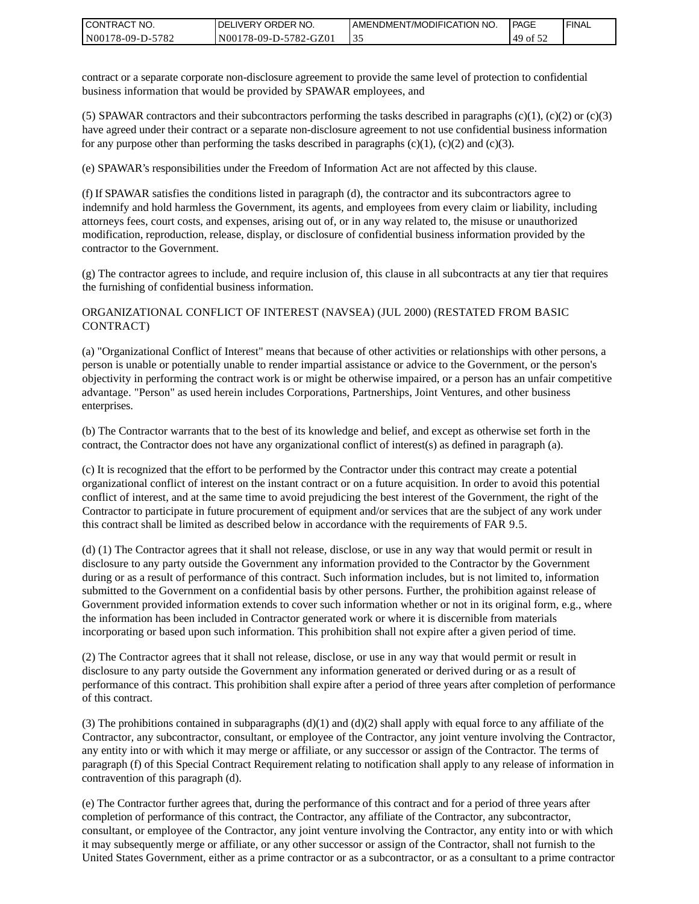| I CONTRACT NO.   | `NO.<br><b>DELIVERY ORDER</b> | AMENDMENT/MODIFICATION NO. | <b>PAGE</b>    | 'FINAL |
|------------------|-------------------------------|----------------------------|----------------|--------|
| N00178-09-D-5782 | N00178-09-D-5782-GZ01         |                            | . 49.<br>of 52 |        |

contract or a separate corporate non-disclosure agreement to provide the same level of protection to confidential business information that would be provided by SPAWAR employees, and

(5) SPAWAR contractors and their subcontractors performing the tasks described in paragraphs  $(c)(1)$ ,  $(c)(2)$  or  $(c)(3)$ have agreed under their contract or a separate non-disclosure agreement to not use confidential business information for any purpose other than performing the tasks described in paragraphs  $(c)(1)$ ,  $(c)(2)$  and  $(c)(3)$ .

(e) SPAWAR's responsibilities under the Freedom of Information Act are not affected by this clause.

(f) If SPAWAR satisfies the conditions listed in paragraph (d), the contractor and its subcontractors agree to indemnify and hold harmless the Government, its agents, and employees from every claim or liability, including attorneys fees, court costs, and expenses, arising out of, or in any way related to, the misuse or unauthorized modification, reproduction, release, display, or disclosure of confidential business information provided by the contractor to the Government.

(g) The contractor agrees to include, and require inclusion of, this clause in all subcontracts at any tier that requires the furnishing of confidential business information.

#### ORGANIZATIONAL CONFLICT OF INTEREST (NAVSEA) (JUL 2000) (RESTATED FROM BASIC CONTRACT)

(a) "Organizational Conflict of Interest" means that because of other activities or relationships with other persons, a person is unable or potentially unable to render impartial assistance or advice to the Government, or the person's objectivity in performing the contract work is or might be otherwise impaired, or a person has an unfair competitive advantage. "Person" as used herein includes Corporations, Partnerships, Joint Ventures, and other business enterprises.

(b) The Contractor warrants that to the best of its knowledge and belief, and except as otherwise set forth in the contract, the Contractor does not have any organizational conflict of interest(s) as defined in paragraph (a).

(c) It is recognized that the effort to be performed by the Contractor under this contract may create a potential organizational conflict of interest on the instant contract or on a future acquisition. In order to avoid this potential conflict of interest, and at the same time to avoid prejudicing the best interest of the Government, the right of the Contractor to participate in future procurement of equipment and/or services that are the subject of any work under this contract shall be limited as described below in accordance with the requirements of FAR 9.5.

(d) (1) The Contractor agrees that it shall not release, disclose, or use in any way that would permit or result in disclosure to any party outside the Government any information provided to the Contractor by the Government during or as a result of performance of this contract. Such information includes, but is not limited to, information submitted to the Government on a confidential basis by other persons. Further, the prohibition against release of Government provided information extends to cover such information whether or not in its original form, e.g., where the information has been included in Contractor generated work or where it is discernible from materials incorporating or based upon such information. This prohibition shall not expire after a given period of time.

(2) The Contractor agrees that it shall not release, disclose, or use in any way that would permit or result in disclosure to any party outside the Government any information generated or derived during or as a result of performance of this contract. This prohibition shall expire after a period of three years after completion of performance of this contract.

(3) The prohibitions contained in subparagraphs  $(d)(1)$  and  $(d)(2)$  shall apply with equal force to any affiliate of the Contractor, any subcontractor, consultant, or employee of the Contractor, any joint venture involving the Contractor, any entity into or with which it may merge or affiliate, or any successor or assign of the Contractor. The terms of paragraph (f) of this Special Contract Requirement relating to notification shall apply to any release of information in contravention of this paragraph (d).

(e) The Contractor further agrees that, during the performance of this contract and for a period of three years after completion of performance of this contract, the Contractor, any affiliate of the Contractor, any subcontractor, consultant, or employee of the Contractor, any joint venture involving the Contractor, any entity into or with which it may subsequently merge or affiliate, or any other successor or assign of the Contractor, shall not furnish to the United States Government, either as a prime contractor or as a subcontractor, or as a consultant to a prime contractor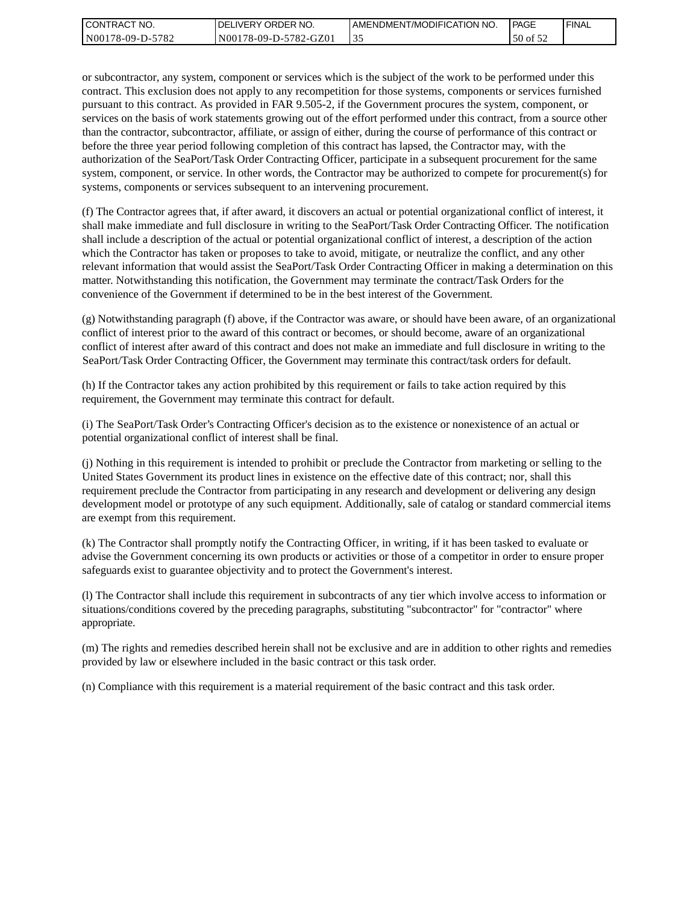| <b>CONTRACT</b><br>" NO. | `NO.<br><b>DELIVERY ORDER</b> | AMENDMENT/MODIFICATION NO. | <b>PAGE</b> | ' FINAL |
|--------------------------|-------------------------------|----------------------------|-------------|---------|
| N00178-09-D-5782         | N00178-09-D-5782-GZ01         | ັ                          | 50 of 52    |         |

or subcontractor, any system, component or services which is the subject of the work to be performed under this contract. This exclusion does not apply to any recompetition for those systems, components or services furnished pursuant to this contract. As provided in FAR 9.505-2, if the Government procures the system, component, or services on the basis of work statements growing out of the effort performed under this contract, from a source other than the contractor, subcontractor, affiliate, or assign of either, during the course of performance of this contract or before the three year period following completion of this contract has lapsed, the Contractor may, with the authorization of the SeaPort/Task Order Contracting Officer, participate in a subsequent procurement for the same system, component, or service. In other words, the Contractor may be authorized to compete for procurement(s) for systems, components or services subsequent to an intervening procurement.

(f) The Contractor agrees that, if after award, it discovers an actual or potential organizational conflict of interest, it shall make immediate and full disclosure in writing to the SeaPort/Task Order Contracting Officer. The notification shall include a description of the actual or potential organizational conflict of interest, a description of the action which the Contractor has taken or proposes to take to avoid, mitigate, or neutralize the conflict, and any other relevant information that would assist the SeaPort/Task Order Contracting Officer in making a determination on this matter. Notwithstanding this notification, the Government may terminate the contract/Task Orders for the convenience of the Government if determined to be in the best interest of the Government.

(g) Notwithstanding paragraph (f) above, if the Contractor was aware, or should have been aware, of an organizational conflict of interest prior to the award of this contract or becomes, or should become, aware of an organizational conflict of interest after award of this contract and does not make an immediate and full disclosure in writing to the SeaPort/Task Order Contracting Officer, the Government may terminate this contract/task orders for default.

(h) If the Contractor takes any action prohibited by this requirement or fails to take action required by this requirement, the Government may terminate this contract for default.

(i) The SeaPort/Task Order's Contracting Officer's decision as to the existence or nonexistence of an actual or potential organizational conflict of interest shall be final.

(j) Nothing in this requirement is intended to prohibit or preclude the Contractor from marketing or selling to the United States Government its product lines in existence on the effective date of this contract; nor, shall this requirement preclude the Contractor from participating in any research and development or delivering any design development model or prototype of any such equipment. Additionally, sale of catalog or standard commercial items are exempt from this requirement.

(k) The Contractor shall promptly notify the Contracting Officer, in writing, if it has been tasked to evaluate or advise the Government concerning its own products or activities or those of a competitor in order to ensure proper safeguards exist to guarantee objectivity and to protect the Government's interest.

(l) The Contractor shall include this requirement in subcontracts of any tier which involve access to information or situations/conditions covered by the preceding paragraphs, substituting "subcontractor" for "contractor" where appropriate.

(m) The rights and remedies described herein shall not be exclusive and are in addition to other rights and remedies provided by law or elsewhere included in the basic contract or this task order.

(n) Compliance with this requirement is a material requirement of the basic contract and this task order.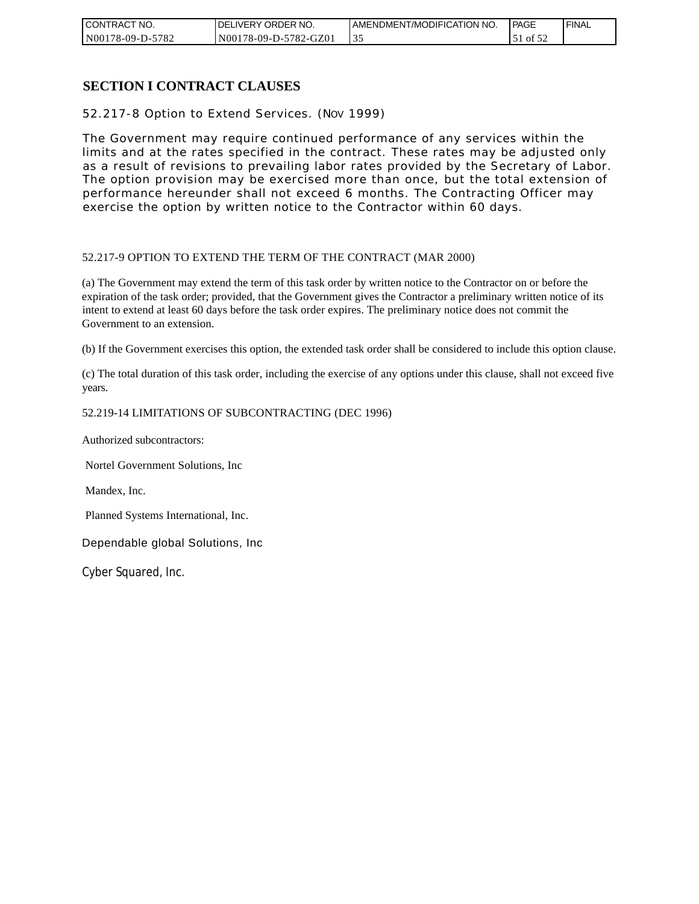| CONTRACT NO.     | DELIVERY ORDER NO.    | I AMENDMENT/MODIFICATION NO. | <b>PAGE</b> | ' FINAL |
|------------------|-----------------------|------------------------------|-------------|---------|
| N00178-09-D-5782 | N00178-09-D-5782-GZ01 | . J .                        | - of        |         |

### **SECTION I CONTRACT CLAUSES**

52.217-8 Option to Extend Services. (NOV 1999)

The Government may require continued performance of any services within the limits and at the rates specified in the contract. These rates may be adjusted only as a result of revisions to prevailing labor rates provided by the Secretary of Labor. The option provision may be exercised more than once, but the total extension of performance hereunder shall not exceed 6 months. The Contracting Officer may exercise the option by written notice to the Contractor within 60 days.

#### 52.217-9 OPTION TO EXTEND THE TERM OF THE CONTRACT (MAR 2000)

(a) The Government may extend the term of this task order by written notice to the Contractor on or before the expiration of the task order; provided, that the Government gives the Contractor a preliminary written notice of its intent to extend at least 60 days before the task order expires. The preliminary notice does not commit the Government to an extension.

(b) If the Government exercises this option, the extended task order shall be considered to include this option clause.

(c) The total duration of this task order, including the exercise of any options under this clause, shall not exceed five years.

#### 52.219-14 LIMITATIONS OF SUBCONTRACTING (DEC 1996)

Authorized subcontractors:

Nortel Government Solutions, Inc

Mandex, Inc.

Planned Systems International, Inc.

Dependable global Solutions, Inc

Cyber Squared, Inc.